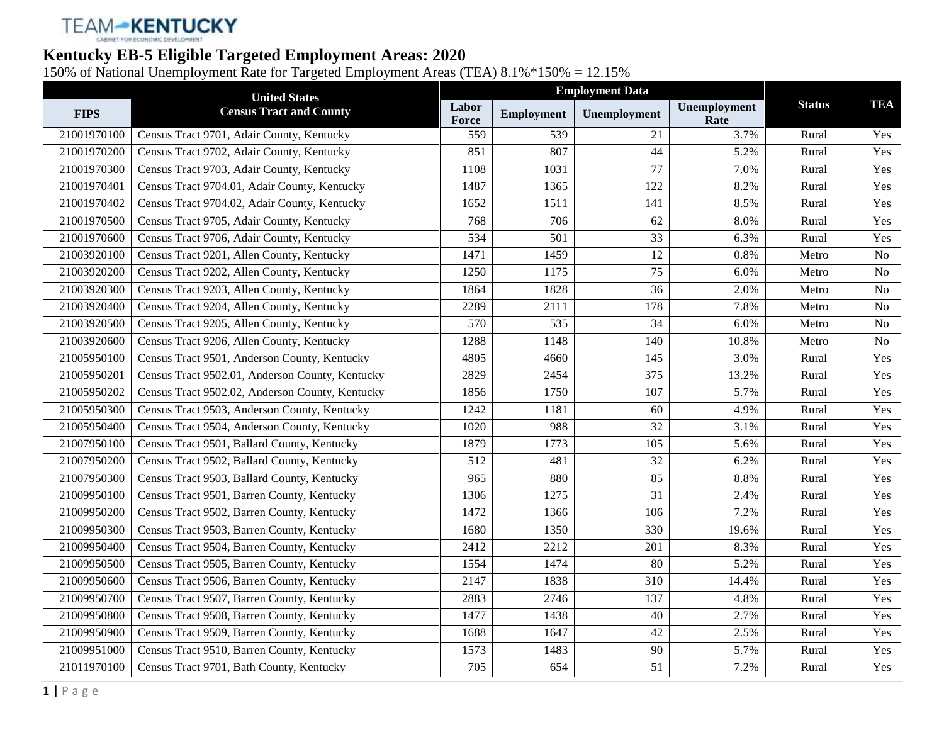# TEAM-KENTUCKY

### **Kentucky EB-5 Eligible Targeted Employment Areas: 2020**

150% of National Unemployment Rate for Targeted Employment Areas (TEA) 8.1%\*150% = 12.15%

|             | <b>United States</b>                            |                | <b>Employment Data</b> |                 |                      |               |                |
|-------------|-------------------------------------------------|----------------|------------------------|-----------------|----------------------|---------------|----------------|
| <b>FIPS</b> | <b>Census Tract and County</b>                  | Labor<br>Force | <b>Employment</b>      | Unemployment    | Unemployment<br>Rate | <b>Status</b> | <b>TEA</b>     |
| 21001970100 | Census Tract 9701, Adair County, Kentucky       | 559            | 539                    | 21              | 3.7%                 | Rural         | Yes            |
| 21001970200 | Census Tract 9702, Adair County, Kentucky       | 851            | 807                    | 44              | 5.2%                 | Rural         | Yes            |
| 21001970300 | Census Tract 9703, Adair County, Kentucky       | 1108           | 1031                   | 77              | 7.0%                 | Rural         | Yes            |
| 21001970401 | Census Tract 9704.01, Adair County, Kentucky    | 1487           | 1365                   | 122             | 8.2%                 | Rural         | Yes            |
| 21001970402 | Census Tract 9704.02, Adair County, Kentucky    | 1652           | 1511                   | 141             | 8.5%                 | Rural         | Yes            |
| 21001970500 | Census Tract 9705, Adair County, Kentucky       | 768            | 706                    | 62              | 8.0%                 | Rural         | Yes            |
| 21001970600 | Census Tract 9706, Adair County, Kentucky       | 534            | 501                    | $\overline{33}$ | 6.3%                 | Rural         | Yes            |
| 21003920100 | Census Tract 9201, Allen County, Kentucky       | 1471           | 1459                   | 12              | 0.8%                 | Metro         | <b>No</b>      |
| 21003920200 | Census Tract 9202, Allen County, Kentucky       | 1250           | 1175                   | 75              | 6.0%                 | Metro         | No             |
| 21003920300 | Census Tract 9203, Allen County, Kentucky       | 1864           | 1828                   | $\overline{36}$ | 2.0%                 | Metro         | <b>No</b>      |
| 21003920400 | Census Tract 9204, Allen County, Kentucky       | 2289           | 2111                   | 178             | 7.8%                 | Metro         | N <sub>o</sub> |
| 21003920500 | Census Tract 9205, Allen County, Kentucky       | 570            | 535                    | 34              | 6.0%                 | Metro         | No             |
| 21003920600 | Census Tract 9206, Allen County, Kentucky       | 1288           | 1148                   | 140             | 10.8%                | Metro         | N <sub>0</sub> |
| 21005950100 | Census Tract 9501, Anderson County, Kentucky    | 4805           | 4660                   | 145             | 3.0%                 | Rural         | Yes            |
| 21005950201 | Census Tract 9502.01, Anderson County, Kentucky | 2829           | 2454                   | $\frac{375}{2}$ | 13.2%                | Rural         | Yes            |
| 21005950202 | Census Tract 9502.02, Anderson County, Kentucky | 1856           | 1750                   | 107             | 5.7%                 | Rural         | Yes            |
| 21005950300 | Census Tract 9503, Anderson County, Kentucky    | 1242           | 1181                   | 60              | 4.9%                 | Rural         | Yes            |
| 21005950400 | Census Tract 9504, Anderson County, Kentucky    | 1020           | 988                    | 32              | 3.1%                 | Rural         | Yes            |
| 21007950100 | Census Tract 9501, Ballard County, Kentucky     | 1879           | 1773                   | 105             | 5.6%                 | Rural         | Yes            |
| 21007950200 | Census Tract 9502, Ballard County, Kentucky     | 512            | 481                    | 32              | 6.2%                 | Rural         | Yes            |
| 21007950300 | Census Tract 9503, Ballard County, Kentucky     | 965            | 880                    | 85              | 8.8%                 | Rural         | Yes            |
| 21009950100 | Census Tract 9501, Barren County, Kentucky      | 1306           | 1275                   | $\overline{31}$ | 2.4%                 | Rural         | Yes            |
| 21009950200 | Census Tract 9502, Barren County, Kentucky      | 1472           | 1366                   | 106             | 7.2%                 | Rural         | Yes            |
| 21009950300 | Census Tract 9503, Barren County, Kentucky      | 1680           | 1350                   | 330             | 19.6%                | Rural         | Yes            |
| 21009950400 | Census Tract 9504, Barren County, Kentucky      | 2412           | 2212                   | 201             | 8.3%                 | Rural         | Yes            |
| 21009950500 | Census Tract 9505, Barren County, Kentucky      | 1554           | 1474                   | 80              | 5.2%                 | Rural         | Yes            |
| 21009950600 | Census Tract 9506, Barren County, Kentucky      | 2147           | 1838                   | 310             | 14.4%                | Rural         | Yes            |
| 21009950700 | Census Tract 9507, Barren County, Kentucky      | 2883           | 2746                   | 137             | 4.8%                 | Rural         | Yes            |
| 21009950800 | Census Tract 9508, Barren County, Kentucky      | 1477           | 1438                   | 40              | 2.7%                 | Rural         | Yes            |
| 21009950900 | Census Tract 9509, Barren County, Kentucky      | 1688           | 1647                   | 42              | 2.5%                 | Rural         | Yes            |
| 21009951000 | Census Tract 9510, Barren County, Kentucky      | 1573           | 1483                   | 90              | 5.7%                 | Rural         | Yes            |
| 21011970100 | Census Tract 9701, Bath County, Kentucky        | 705            | 654                    | $\overline{51}$ | 7.2%                 | Rural         | Yes            |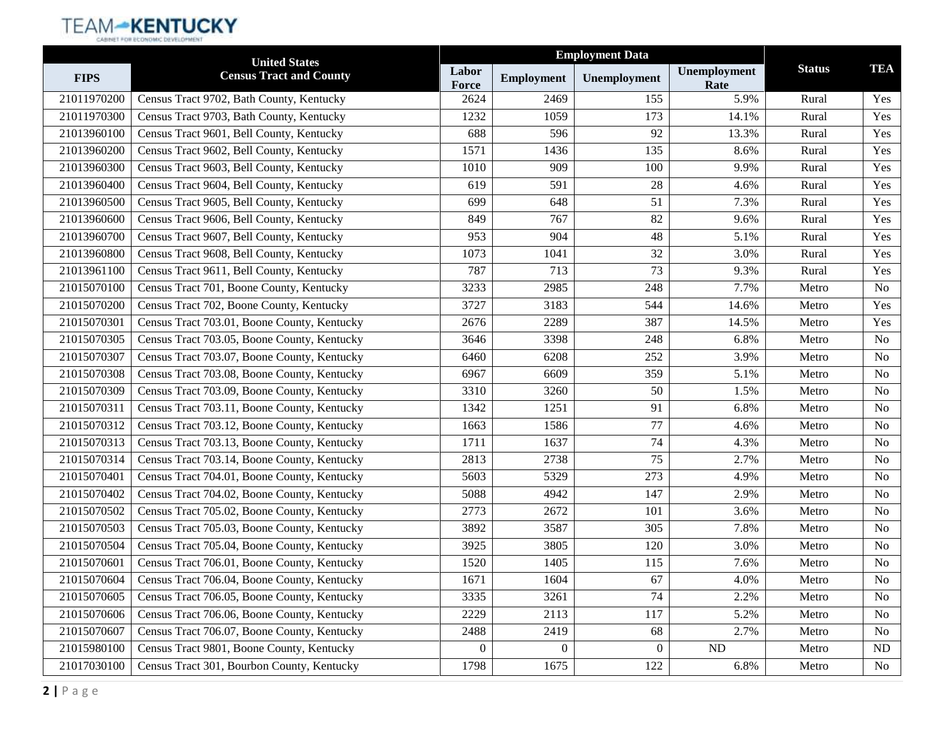|             | <b>United States</b>                        |                |                   | <b>Employment Data</b> |                      |               |                |
|-------------|---------------------------------------------|----------------|-------------------|------------------------|----------------------|---------------|----------------|
| <b>FIPS</b> | <b>Census Tract and County</b>              | Labor<br>Force | <b>Employment</b> | Unemployment           | Unemployment<br>Rate | <b>Status</b> | <b>TEA</b>     |
| 21011970200 | Census Tract 9702, Bath County, Kentucky    | 2624           | 2469              | 155                    | 5.9%                 | Rural         | Yes            |
| 21011970300 | Census Tract 9703, Bath County, Kentucky    | 1232           | 1059              | 173                    | 14.1%                | Rural         | Yes            |
| 21013960100 | Census Tract 9601, Bell County, Kentucky    | 688            | 596               | 92                     | 13.3%                | Rural         | Yes            |
| 21013960200 | Census Tract 9602, Bell County, Kentucky    | 1571           | 1436              | 135                    | 8.6%                 | Rural         | Yes            |
| 21013960300 | Census Tract 9603, Bell County, Kentucky    | 1010           | 909               | 100                    | 9.9%                 | Rural         | Yes            |
| 21013960400 | Census Tract 9604, Bell County, Kentucky    | 619            | 591               | 28                     | 4.6%                 | Rural         | Yes            |
| 21013960500 | Census Tract 9605, Bell County, Kentucky    | 699            | 648               | 51                     | 7.3%                 | Rural         | Yes            |
| 21013960600 | Census Tract 9606, Bell County, Kentucky    | 849            | 767               | 82                     | 9.6%                 | Rural         | Yes            |
| 21013960700 | Census Tract 9607, Bell County, Kentucky    | 953            | 904               | 48                     | 5.1%                 | Rural         | Yes            |
| 21013960800 | Census Tract 9608, Bell County, Kentucky    | 1073           | 1041              | 32                     | 3.0%                 | Rural         | Yes            |
| 21013961100 | Census Tract 9611, Bell County, Kentucky    | 787            | 713               | 73                     | 9.3%                 | Rural         | Yes            |
| 21015070100 | Census Tract 701, Boone County, Kentucky    | 3233           | 2985              | 248                    | 7.7%                 | Metro         | <b>No</b>      |
| 21015070200 | Census Tract 702, Boone County, Kentucky    | 3727           | 3183              | 544                    | 14.6%                | Metro         | Yes            |
| 21015070301 | Census Tract 703.01, Boone County, Kentucky | 2676           | 2289              | 387                    | 14.5%                | Metro         | Yes            |
| 21015070305 | Census Tract 703.05, Boone County, Kentucky | 3646           | 3398              | 248                    | 6.8%                 | Metro         | No             |
| 21015070307 | Census Tract 703.07, Boone County, Kentucky | 6460           | 6208              | 252                    | 3.9%                 | Metro         | No             |
| 21015070308 | Census Tract 703.08, Boone County, Kentucky | 6967           | 6609              | 359                    | 5.1%                 | Metro         | No             |
| 21015070309 | Census Tract 703.09, Boone County, Kentucky | 3310           | 3260              | 50                     | 1.5%                 | Metro         | N <sub>o</sub> |
| 21015070311 | Census Tract 703.11, Boone County, Kentucky | 1342           | 1251              | 91                     | 6.8%                 | Metro         | N <sub>o</sub> |
| 21015070312 | Census Tract 703.12, Boone County, Kentucky | 1663           | 1586              | 77                     | 4.6%                 | Metro         | No             |
| 21015070313 | Census Tract 703.13, Boone County, Kentucky | 1711           | 1637              | 74                     | 4.3%                 | Metro         | No             |
| 21015070314 | Census Tract 703.14, Boone County, Kentucky | 2813           | 2738              | 75                     | 2.7%                 | Metro         | No             |
| 21015070401 | Census Tract 704.01, Boone County, Kentucky | 5603           | 5329              | 273                    | 4.9%                 | Metro         | No             |
| 21015070402 | Census Tract 704.02, Boone County, Kentucky | 5088           | 4942              | 147                    | 2.9%                 | Metro         | No             |
| 21015070502 | Census Tract 705.02, Boone County, Kentucky | 2773           | 2672              | 101                    | 3.6%                 | Metro         | No             |
| 21015070503 | Census Tract 705.03, Boone County, Kentucky | 3892           | 3587              | 305                    | 7.8%                 | Metro         | No             |
| 21015070504 | Census Tract 705.04, Boone County, Kentucky | 3925           | 3805              | 120                    | 3.0%                 | Metro         | No             |
| 21015070601 | Census Tract 706.01, Boone County, Kentucky | 1520           | 1405              | 115                    | 7.6%                 | Metro         | N <sub>o</sub> |
| 21015070604 | Census Tract 706.04, Boone County, Kentucky | 1671           | 1604              | 67                     | 4.0%                 | Metro         | No             |
| 21015070605 | Census Tract 706.05, Boone County, Kentucky | 3335           | 3261              | 74                     | 2.2%                 | Metro         | No             |
| 21015070606 | Census Tract 706.06, Boone County, Kentucky | 2229           | 2113              | 117                    | 5.2%                 | Metro         | No             |
| 21015070607 | Census Tract 706.07, Boone County, Kentucky | 2488           | 2419              | 68                     | 2.7%                 | Metro         | No             |
| 21015980100 | Census Tract 9801, Boone County, Kentucky   | $\overline{0}$ | $\theta$          | $\overline{0}$         | ND                   | Metro         | ND             |
| 21017030100 | Census Tract 301, Bourbon County, Kentucky  | 1798           | 1675              | 122                    | 6.8%                 | Metro         | No             |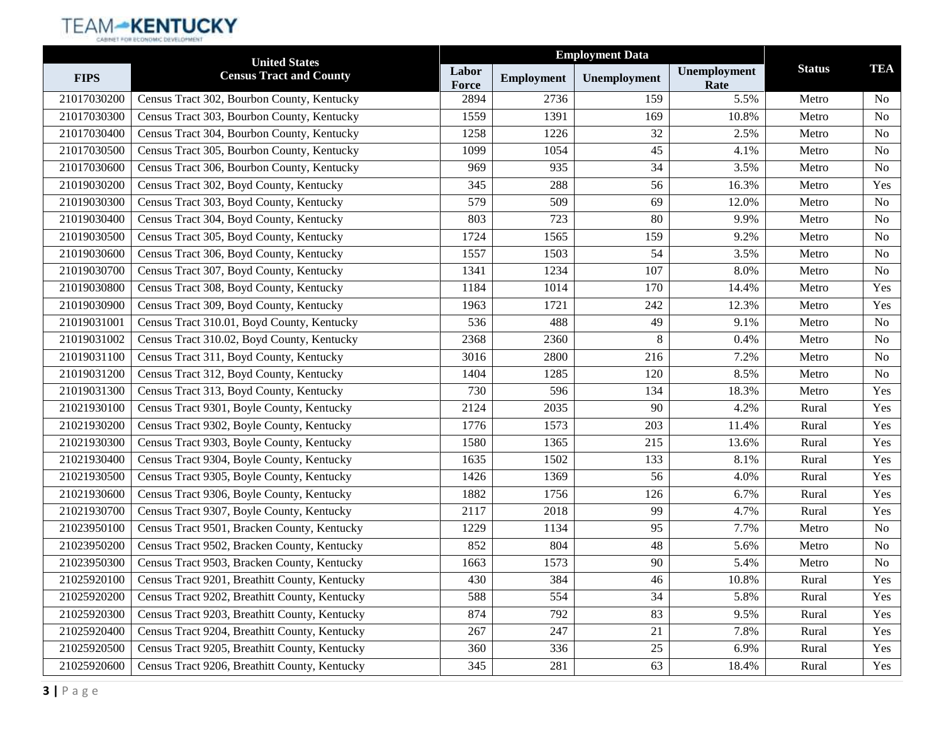|             | <b>United States</b>                          |                |                   |              |                      |               |           |
|-------------|-----------------------------------------------|----------------|-------------------|--------------|----------------------|---------------|-----------|
| <b>FIPS</b> | <b>Census Tract and County</b>                | Labor<br>Force | <b>Employment</b> | Unemployment | Unemployment<br>Rate | <b>Status</b> | TEA       |
| 21017030200 | Census Tract 302, Bourbon County, Kentucky    | 2894           | 2736              | 159          | 5.5%                 | Metro         | <b>No</b> |
| 21017030300 | Census Tract 303, Bourbon County, Kentucky    | 1559           | 1391              | 169          | 10.8%                | Metro         | No        |
| 21017030400 | Census Tract 304, Bourbon County, Kentucky    | 1258           | 1226              | 32           | 2.5%                 | Metro         | No        |
| 21017030500 | Census Tract 305, Bourbon County, Kentucky    | 1099           | 1054              | 45           | 4.1%                 | Metro         | No        |
| 21017030600 | Census Tract 306, Bourbon County, Kentucky    | 969            | 935               | 34           | 3.5%                 | Metro         | No        |
| 21019030200 | Census Tract 302, Boyd County, Kentucky       | 345            | 288               | 56           | 16.3%                | Metro         | Yes       |
| 21019030300 | Census Tract 303, Boyd County, Kentucky       | 579            | 509               | 69           | 12.0%                | Metro         | No        |
| 21019030400 | Census Tract 304, Boyd County, Kentucky       | 803            | 723               | 80           | 9.9%                 | Metro         | No        |
| 21019030500 | Census Tract 305, Boyd County, Kentucky       | 1724           | 1565              | 159          | 9.2%                 | Metro         | No        |
| 21019030600 | Census Tract 306, Boyd County, Kentucky       | 1557           | 1503              | 54           | 3.5%                 | Metro         | No        |
| 21019030700 | Census Tract 307, Boyd County, Kentucky       | 1341           | 1234              | 107          | 8.0%                 | Metro         | No        |
| 21019030800 | Census Tract 308, Boyd County, Kentucky       | 1184           | 1014              | 170          | 14.4%                | Metro         | Yes       |
| 21019030900 | Census Tract 309, Boyd County, Kentucky       | 1963           | 1721              | 242          | 12.3%                | Metro         | Yes       |
| 21019031001 | Census Tract 310.01, Boyd County, Kentucky    | 536            | 488               | 49           | 9.1%                 | Metro         | No        |
| 21019031002 | Census Tract 310.02, Boyd County, Kentucky    | 2368           | 2360              | 8            | 0.4%                 | Metro         | No        |
| 21019031100 | Census Tract 311, Boyd County, Kentucky       | 3016           | 2800              | 216          | 7.2%                 | Metro         | No        |
| 21019031200 | Census Tract 312, Boyd County, Kentucky       | 1404           | 1285              | 120          | 8.5%                 | Metro         | No        |
| 21019031300 | Census Tract 313, Boyd County, Kentucky       | 730            | 596               | 134          | 18.3%                | Metro         | Yes       |
| 21021930100 | Census Tract 9301, Boyle County, Kentucky     | 2124           | 2035              | 90           | 4.2%                 | Rural         | Yes       |
| 21021930200 | Census Tract 9302, Boyle County, Kentucky     | 1776           | 1573              | 203          | 11.4%                | Rural         | Yes       |
| 21021930300 | Census Tract 9303, Boyle County, Kentucky     | 1580           | 1365              | 215          | 13.6%                | Rural         | Yes       |
| 21021930400 | Census Tract 9304, Boyle County, Kentucky     | 1635           | 1502              | 133          | 8.1%                 | Rural         | Yes       |
| 21021930500 | Census Tract 9305, Boyle County, Kentucky     | 1426           | 1369              | 56           | 4.0%                 | Rural         | Yes       |
| 21021930600 | Census Tract 9306, Boyle County, Kentucky     | 1882           | 1756              | 126          | 6.7%                 | Rural         | Yes       |
| 21021930700 | Census Tract 9307, Boyle County, Kentucky     | 2117           | 2018              | 99           | 4.7%                 | Rural         | Yes       |
| 21023950100 | Census Tract 9501, Bracken County, Kentucky   | 1229           | 1134              | 95           | 7.7%                 | Metro         | No        |
| 21023950200 | Census Tract 9502, Bracken County, Kentucky   | 852            | 804               | 48           | 5.6%                 | Metro         | No        |
| 21023950300 | Census Tract 9503, Bracken County, Kentucky   | 1663           | 1573              | 90           | 5.4%                 | Metro         | No        |
| 21025920100 | Census Tract 9201, Breathitt County, Kentucky | 430            | 384               | 46           | 10.8%                | Rural         | Yes       |
| 21025920200 | Census Tract 9202, Breathitt County, Kentucky | 588            | 554               | 34           | 5.8%                 | Rural         | Yes       |
| 21025920300 | Census Tract 9203, Breathitt County, Kentucky | 874            | 792               | 83           | 9.5%                 | Rural         | Yes       |
| 21025920400 | Census Tract 9204, Breathitt County, Kentucky | 267            | 247               | 21           | 7.8%                 | Rural         | Yes       |
| 21025920500 | Census Tract 9205, Breathitt County, Kentucky | 360            | 336               | $25\,$       | 6.9%                 | Rural         | Yes       |
| 21025920600 | Census Tract 9206, Breathitt County, Kentucky | 345            | 281               | 63           | 18.4%                | Rural         | Yes       |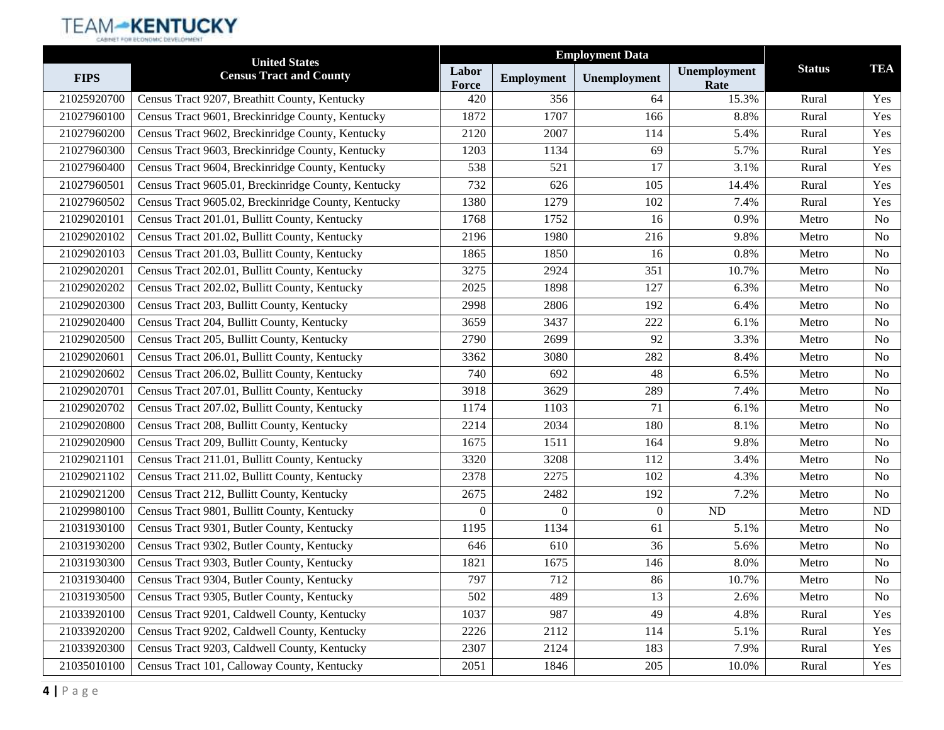|             | <b>United States</b>                                |                |                   | <b>Employment Data</b> |                      |               |                |
|-------------|-----------------------------------------------------|----------------|-------------------|------------------------|----------------------|---------------|----------------|
| <b>FIPS</b> | <b>Census Tract and County</b>                      | Labor<br>Force | <b>Employment</b> | Unemployment           | Unemployment<br>Rate | <b>Status</b> | <b>TEA</b>     |
| 21025920700 | Census Tract 9207, Breathitt County, Kentucky       | 420            | 356               | 64                     | 15.3%                | Rural         | Yes            |
| 21027960100 | Census Tract 9601, Breckinridge County, Kentucky    | 1872           | 1707              | 166                    | 8.8%                 | Rural         | Yes            |
| 21027960200 | Census Tract 9602, Breckinridge County, Kentucky    | 2120           | 2007              | 114                    | 5.4%                 | Rural         | Yes            |
| 21027960300 | Census Tract 9603, Breckinridge County, Kentucky    | 1203           | 1134              | 69                     | 5.7%                 | Rural         | Yes            |
| 21027960400 | Census Tract 9604, Breckinridge County, Kentucky    | 538            | 521               | 17                     | 3.1%                 | Rural         | Yes            |
| 21027960501 | Census Tract 9605.01, Breckinridge County, Kentucky | 732            | 626               | 105                    | 14.4%                | Rural         | Yes            |
| 21027960502 | Census Tract 9605.02, Breckinridge County, Kentucky | 1380           | 1279              | 102                    | 7.4%                 | Rural         | Yes            |
| 21029020101 | Census Tract 201.01, Bullitt County, Kentucky       | 1768           | 1752              | 16                     | 0.9%                 | Metro         | N <sub>0</sub> |
| 21029020102 | Census Tract 201.02, Bullitt County, Kentucky       | 2196           | 1980              | 216                    | 9.8%                 | Metro         | N <sub>o</sub> |
| 21029020103 | Census Tract 201.03, Bullitt County, Kentucky       | 1865           | 1850              | 16                     | 0.8%                 | Metro         | N <sub>0</sub> |
| 21029020201 | Census Tract 202.01, Bullitt County, Kentucky       | 3275           | 2924              | 351                    | 10.7%                | Metro         | N <sub>0</sub> |
| 21029020202 | Census Tract 202.02, Bullitt County, Kentucky       | 2025           | 1898              | 127                    | 6.3%                 | Metro         | N <sub>o</sub> |
| 21029020300 | Census Tract 203, Bullitt County, Kentucky          | 2998           | 2806              | 192                    | 6.4%                 | Metro         | N <sub>0</sub> |
| 21029020400 | Census Tract 204, Bullitt County, Kentucky          | 3659           | 3437              | 222                    | 6.1%                 | Metro         | N <sub>o</sub> |
| 21029020500 | Census Tract 205, Bullitt County, Kentucky          | 2790           | 2699              | 92                     | 3.3%                 | Metro         | N <sub>0</sub> |
| 21029020601 | Census Tract 206.01, Bullitt County, Kentucky       | 3362           | 3080              | 282                    | 8.4%                 | Metro         | N <sub>0</sub> |
| 21029020602 | Census Tract 206.02, Bullitt County, Kentucky       | 740            | 692               | 48                     | 6.5%                 | Metro         | N <sub>o</sub> |
| 21029020701 | Census Tract 207.01, Bullitt County, Kentucky       | 3918           | 3629              | 289                    | 7.4%                 | Metro         | N <sub>0</sub> |
| 21029020702 | Census Tract 207.02, Bullitt County, Kentucky       | 1174           | 1103              | 71                     | 6.1%                 | Metro         | N <sub>o</sub> |
| 21029020800 | Census Tract 208, Bullitt County, Kentucky          | 2214           | 2034              | 180                    | 8.1%                 | Metro         | N <sub>0</sub> |
| 21029020900 | Census Tract 209, Bullitt County, Kentucky          | 1675           | 1511              | 164                    | 9.8%                 | Metro         | N <sub>0</sub> |
| 21029021101 | Census Tract 211.01, Bullitt County, Kentucky       | 3320           | 3208              | 112                    | 3.4%                 | Metro         | N <sub>o</sub> |
| 21029021102 | Census Tract 211.02, Bullitt County, Kentucky       | 2378           | 2275              | 102                    | 4.3%                 | Metro         | N <sub>0</sub> |
| 21029021200 | Census Tract 212, Bullitt County, Kentucky          | 2675           | 2482              | 192                    | 7.2%                 | Metro         | N <sub>o</sub> |
| 21029980100 | Census Tract 9801, Bullitt County, Kentucky         | $\overline{0}$ | $\overline{0}$    | $\overline{0}$         | ND                   | Metro         | ND             |
| 21031930100 | Census Tract 9301, Butler County, Kentucky          | 1195           | 1134              | 61                     | 5.1%                 | Metro         | N <sub>0</sub> |
| 21031930200 | Census Tract 9302, Butler County, Kentucky          | 646            | 610               | 36                     | 5.6%                 | Metro         | No             |
| 21031930300 | Census Tract 9303, Butler County, Kentucky          | 1821           | 1675              | 146                    | 8.0%                 | Metro         | No             |
| 21031930400 | Census Tract 9304, Butler County, Kentucky          | 797            | 712               | 86                     | 10.7%                | Metro         | No             |
| 21031930500 | Census Tract 9305, Butler County, Kentucky          | 502            | 489               | 13                     | 2.6%                 | Metro         | No             |
| 21033920100 | Census Tract 9201, Caldwell County, Kentucky        | 1037           | 987               | 49                     | 4.8%                 | Rural         | Yes            |
| 21033920200 | Census Tract 9202, Caldwell County, Kentucky        | 2226           | 2112              | 114                    | 5.1%                 | Rural         | Yes            |
| 21033920300 | Census Tract 9203, Caldwell County, Kentucky        | 2307           | 2124              | 183                    | 7.9%                 | Rural         | Yes            |
| 21035010100 | Census Tract 101, Calloway County, Kentucky         | 2051           | 1846              | 205                    | 10.0%                | Rural         | Yes            |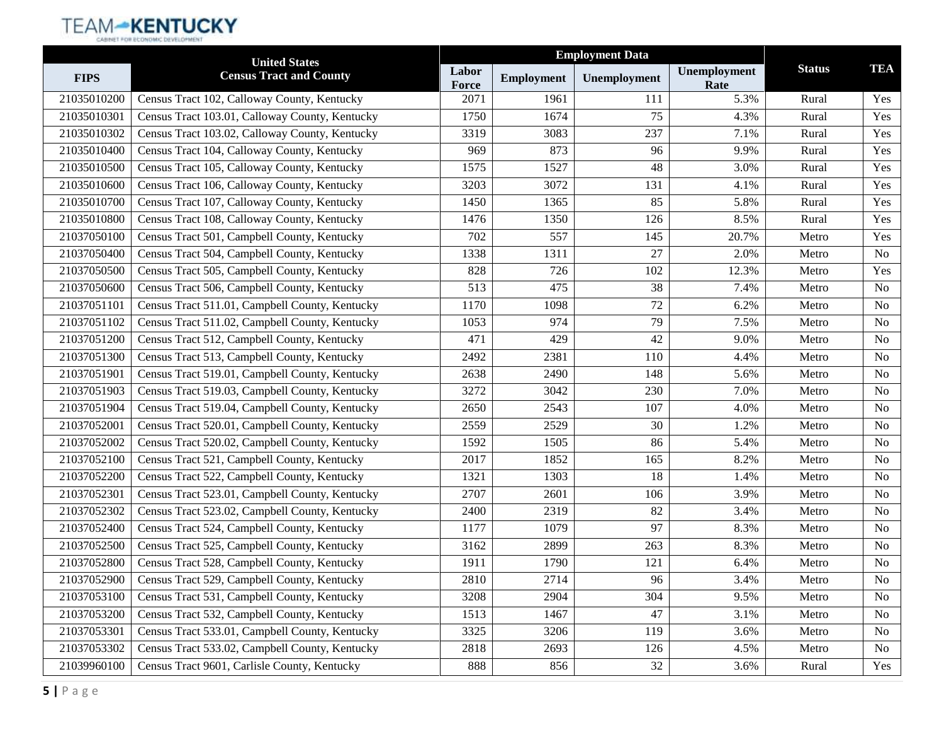|             | <b>United States</b>                           |                |                   |              |                      |               |                |
|-------------|------------------------------------------------|----------------|-------------------|--------------|----------------------|---------------|----------------|
| <b>FIPS</b> | <b>Census Tract and County</b>                 | Labor<br>Force | <b>Employment</b> | Unemployment | Unemployment<br>Rate | <b>Status</b> | <b>TEA</b>     |
| 21035010200 | Census Tract 102, Calloway County, Kentucky    | 2071           | 1961              | 111          | 5.3%                 | Rural         | Yes            |
| 21035010301 | Census Tract 103.01, Calloway County, Kentucky | 1750           | 1674              | 75           | 4.3%                 | Rural         | Yes            |
| 21035010302 | Census Tract 103.02, Calloway County, Kentucky | 3319           | 3083              | 237          | 7.1%                 | Rural         | Yes            |
| 21035010400 | Census Tract 104, Calloway County, Kentucky    | 969            | 873               | 96           | 9.9%                 | Rural         | Yes            |
| 21035010500 | Census Tract 105, Calloway County, Kentucky    | 1575           | 1527              | 48           | 3.0%                 | Rural         | Yes            |
| 21035010600 | Census Tract 106, Calloway County, Kentucky    | 3203           | 3072              | 131          | 4.1%                 | Rural         | Yes            |
| 21035010700 | Census Tract 107, Calloway County, Kentucky    | 1450           | 1365              | 85           | 5.8%                 | Rural         | Yes            |
| 21035010800 | Census Tract 108, Calloway County, Kentucky    | 1476           | 1350              | 126          | 8.5%                 | Rural         | Yes            |
| 21037050100 | Census Tract 501, Campbell County, Kentucky    | 702            | 557               | 145          | 20.7%                | Metro         | Yes            |
| 21037050400 | Census Tract 504, Campbell County, Kentucky    | 1338           | 1311              | 27           | 2.0%                 | Metro         | N <sub>o</sub> |
| 21037050500 | Census Tract 505, Campbell County, Kentucky    | 828            | 726               | 102          | 12.3%                | Metro         | Yes            |
| 21037050600 | Census Tract 506, Campbell County, Kentucky    | 513            | 475               | 38           | 7.4%                 | Metro         | N <sub>o</sub> |
| 21037051101 | Census Tract 511.01, Campbell County, Kentucky | 1170           | 1098              | 72           | 6.2%                 | Metro         | N <sub>o</sub> |
| 21037051102 | Census Tract 511.02, Campbell County, Kentucky | 1053           | 974               | 79           | 7.5%                 | Metro         | <b>No</b>      |
| 21037051200 | Census Tract 512, Campbell County, Kentucky    | 471            | 429               | 42           | 9.0%                 | Metro         | N <sub>o</sub> |
| 21037051300 | Census Tract 513, Campbell County, Kentucky    | 2492           | 2381              | 110          | 4.4%                 | Metro         | N <sub>o</sub> |
| 21037051901 | Census Tract 519.01, Campbell County, Kentucky | 2638           | 2490              | 148          | 5.6%                 | Metro         | <b>No</b>      |
| 21037051903 | Census Tract 519.03, Campbell County, Kentucky | 3272           | 3042              | 230          | 7.0%                 | Metro         | N <sub>o</sub> |
| 21037051904 | Census Tract 519.04, Campbell County, Kentucky | 2650           | 2543              | 107          | 4.0%                 | Metro         | <b>No</b>      |
| 21037052001 | Census Tract 520.01, Campbell County, Kentucky | 2559           | 2529              | 30           | 1.2%                 | Metro         | N <sub>o</sub> |
| 21037052002 | Census Tract 520.02, Campbell County, Kentucky | 1592           | 1505              | 86           | 5.4%                 | Metro         | N <sub>o</sub> |
| 21037052100 | Census Tract 521, Campbell County, Kentucky    | 2017           | 1852              | 165          | 8.2%                 | Metro         | <b>No</b>      |
| 21037052200 | Census Tract 522, Campbell County, Kentucky    | 1321           | 1303              | 18           | 1.4%                 | Metro         | N <sub>o</sub> |
| 21037052301 | Census Tract 523.01, Campbell County, Kentucky | 2707           | 2601              | 106          | 3.9%                 | Metro         | <b>No</b>      |
| 21037052302 | Census Tract 523.02, Campbell County, Kentucky | 2400           | 2319              | 82           | 3.4%                 | Metro         | N <sub>o</sub> |
| 21037052400 | Census Tract 524, Campbell County, Kentucky    | 1177           | 1079              | 97           | 8.3%                 | Metro         | N <sub>o</sub> |
| 21037052500 | Census Tract 525, Campbell County, Kentucky    | 3162           | 2899              | 263          | 8.3%                 | Metro         | <b>No</b>      |
| 21037052800 | Census Tract 528, Campbell County, Kentucky    | 1911           | 1790              | 121          | 6.4%                 | Metro         | N <sub>o</sub> |
| 21037052900 | Census Tract 529, Campbell County, Kentucky    | 2810           | 2714              | 96           | 3.4%                 | Metro         | No             |
| 21037053100 | Census Tract 531, Campbell County, Kentucky    | 3208           | 2904              | 304          | 9.5%                 | Metro         | N <sub>0</sub> |
| 21037053200 | Census Tract 532, Campbell County, Kentucky    | 1513           | 1467              | 47           | 3.1%                 | Metro         | No             |
| 21037053301 | Census Tract 533.01, Campbell County, Kentucky | 3325           | 3206              | 119          | 3.6%                 | Metro         | <b>No</b>      |
| 21037053302 | Census Tract 533.02, Campbell County, Kentucky | 2818           | 2693              | 126          | 4.5%                 | Metro         | No             |
| 21039960100 | Census Tract 9601, Carlisle County, Kentucky   | 888            | 856               | 32           | 3.6%                 | Rural         | Yes            |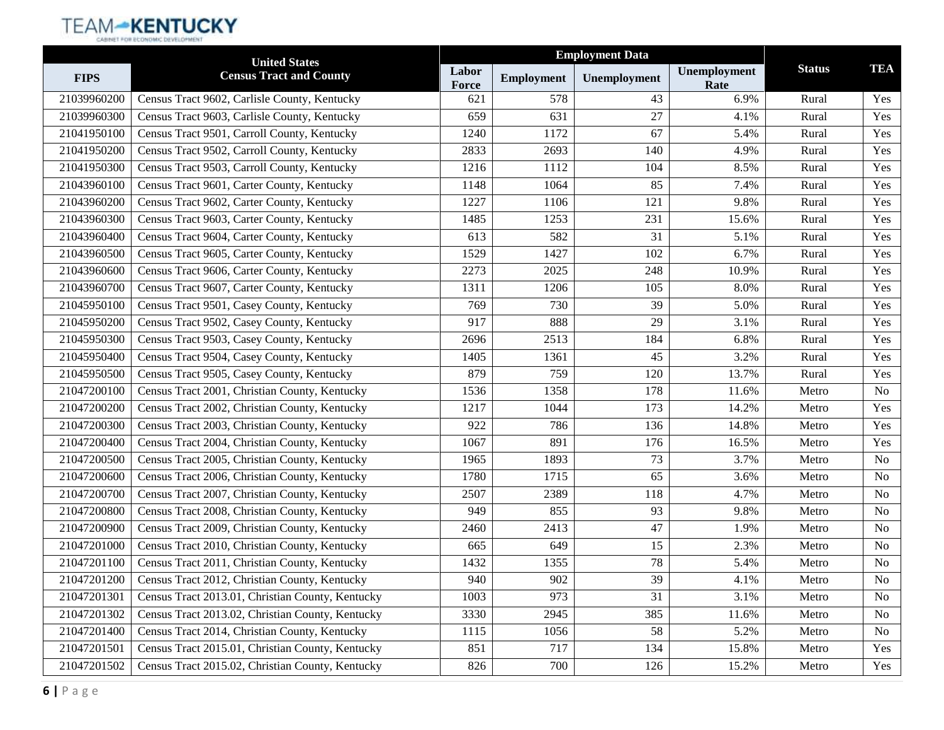|             | <b>United States</b>                             |                |                   |              |                      |               |                |
|-------------|--------------------------------------------------|----------------|-------------------|--------------|----------------------|---------------|----------------|
| <b>FIPS</b> | <b>Census Tract and County</b>                   | Labor<br>Force | <b>Employment</b> | Unemployment | Unemployment<br>Rate | <b>Status</b> | <b>TEA</b>     |
| 21039960200 | Census Tract 9602, Carlisle County, Kentucky     | 621            | 578               | 43           | 6.9%                 | Rural         | Yes            |
| 21039960300 | Census Tract 9603, Carlisle County, Kentucky     | 659            | 631               | 27           | 4.1%                 | Rural         | Yes            |
| 21041950100 | Census Tract 9501, Carroll County, Kentucky      | 1240           | 1172              | 67           | 5.4%                 | Rural         | Yes            |
| 21041950200 | Census Tract 9502, Carroll County, Kentucky      | 2833           | 2693              | 140          | 4.9%                 | Rural         | Yes            |
| 21041950300 | Census Tract 9503, Carroll County, Kentucky      | 1216           | 1112              | 104          | 8.5%                 | Rural         | Yes            |
| 21043960100 | Census Tract 9601, Carter County, Kentucky       | 1148           | 1064              | 85           | 7.4%                 | Rural         | Yes            |
| 21043960200 | Census Tract 9602, Carter County, Kentucky       | 1227           | 1106              | 121          | 9.8%                 | Rural         | Yes            |
| 21043960300 | Census Tract 9603, Carter County, Kentucky       | 1485           | 1253              | 231          | 15.6%                | Rural         | Yes            |
| 21043960400 | Census Tract 9604, Carter County, Kentucky       | 613            | 582               | 31           | 5.1%                 | Rural         | Yes            |
| 21043960500 | Census Tract 9605, Carter County, Kentucky       | 1529           | 1427              | 102          | 6.7%                 | Rural         | Yes            |
| 21043960600 | Census Tract 9606, Carter County, Kentucky       | 2273           | 2025              | 248          | 10.9%                | Rural         | Yes            |
| 21043960700 | Census Tract 9607, Carter County, Kentucky       | 1311           | 1206              | 105          | 8.0%                 | Rural         | Yes            |
| 21045950100 | Census Tract 9501, Casey County, Kentucky        | 769            | 730               | 39           | 5.0%                 | Rural         | Yes            |
| 21045950200 | Census Tract 9502, Casey County, Kentucky        | 917            | 888               | 29           | 3.1%                 | Rural         | Yes            |
| 21045950300 | Census Tract 9503, Casey County, Kentucky        | 2696           | 2513              | 184          | 6.8%                 | Rural         | Yes            |
| 21045950400 | Census Tract 9504, Casey County, Kentucky        | 1405           | 1361              | 45           | 3.2%                 | Rural         | Yes            |
| 21045950500 | Census Tract 9505, Casey County, Kentucky        | 879            | 759               | 120          | 13.7%                | Rural         | Yes            |
| 21047200100 | Census Tract 2001, Christian County, Kentucky    | 1536           | 1358              | 178          | 11.6%                | Metro         | No             |
| 21047200200 | Census Tract 2002, Christian County, Kentucky    | 1217           | 1044              | 173          | 14.2%                | Metro         | Yes            |
| 21047200300 | Census Tract 2003, Christian County, Kentucky    | 922            | 786               | 136          | 14.8%                | Metro         | Yes            |
| 21047200400 | Census Tract 2004, Christian County, Kentucky    | 1067           | 891               | 176          | 16.5%                | Metro         | Yes            |
| 21047200500 | Census Tract 2005, Christian County, Kentucky    | 1965           | 1893              | 73           | 3.7%                 | Metro         | No             |
| 21047200600 | Census Tract 2006, Christian County, Kentucky    | 1780           | 1715              | 65           | 3.6%                 | Metro         | No             |
| 21047200700 | Census Tract 2007, Christian County, Kentucky    | 2507           | 2389              | 118          | 4.7%                 | Metro         | No             |
| 21047200800 | Census Tract 2008, Christian County, Kentucky    | 949            | 855               | 93           | 9.8%                 | Metro         | N <sub>o</sub> |
| 21047200900 | Census Tract 2009, Christian County, Kentucky    | 2460           | 2413              | 47           | 1.9%                 | Metro         | No             |
| 21047201000 | Census Tract 2010, Christian County, Kentucky    | 665            | 649               | 15           | 2.3%                 | Metro         | No             |
| 21047201100 | Census Tract 2011, Christian County, Kentucky    | 1432           | 1355              | 78           | 5.4%                 | Metro         | N <sub>o</sub> |
| 21047201200 | Census Tract 2012, Christian County, Kentucky    | 940            | 902               | 39           | 4.1%                 | Metro         | No             |
| 21047201301 | Census Tract 2013.01, Christian County, Kentucky | 1003           | 973               | 31           | 3.1%                 | Metro         | No             |
| 21047201302 | Census Tract 2013.02, Christian County, Kentucky | 3330           | 2945              | 385          | 11.6%                | Metro         | No             |
| 21047201400 | Census Tract 2014, Christian County, Kentucky    | 1115           | 1056              | 58           | 5.2%                 | Metro         | No             |
| 21047201501 | Census Tract 2015.01, Christian County, Kentucky | 851            | 717               | 134          | 15.8%                | Metro         | Yes            |
| 21047201502 | Census Tract 2015.02, Christian County, Kentucky | 826            | 700               | 126          | 15.2%                | Metro         | Yes            |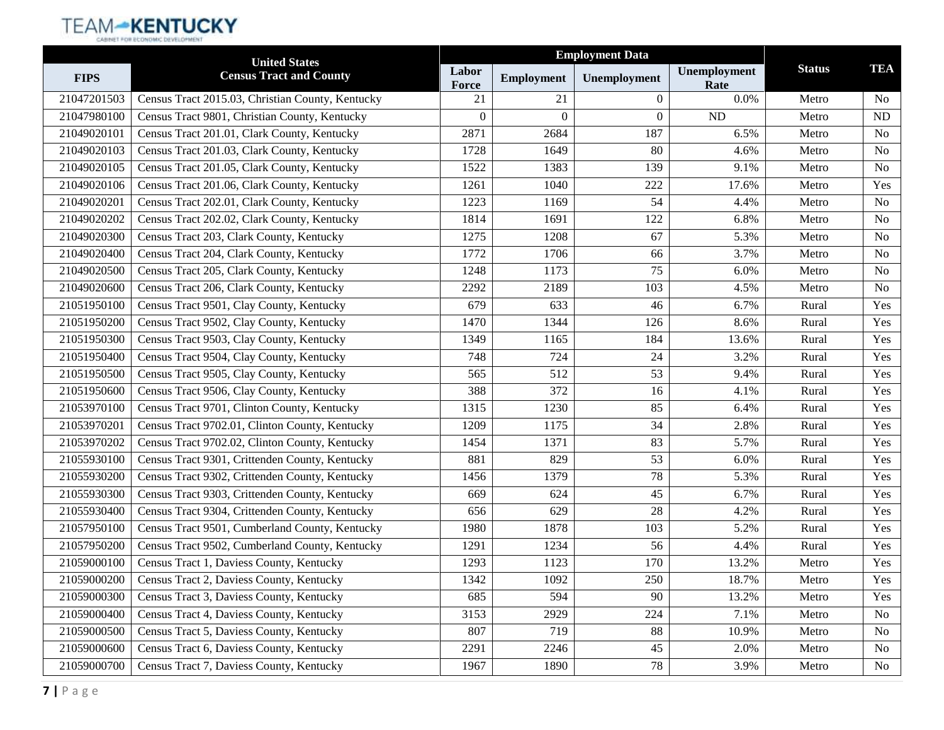|             | <b>United States</b>                             | <b>Employment Data</b> |                   |              |                      |               |                |
|-------------|--------------------------------------------------|------------------------|-------------------|--------------|----------------------|---------------|----------------|
| <b>FIPS</b> | <b>Census Tract and County</b>                   | Labor<br>Force         | <b>Employment</b> | Unemployment | Unemployment<br>Rate | <b>Status</b> | <b>TEA</b>     |
| 21047201503 | Census Tract 2015.03, Christian County, Kentucky | 21                     | 21                | $\Omega$     | 0.0%                 | Metro         | N <sub>0</sub> |
| 21047980100 | Census Tract 9801, Christian County, Kentucky    | $\theta$               | $\Omega$          | $\theta$     | <b>ND</b>            | Metro         | ND             |
| 21049020101 | Census Tract 201.01, Clark County, Kentucky      | 2871                   | 2684              | 187          | 6.5%                 | Metro         | N <sub>0</sub> |
| 21049020103 | Census Tract 201.03, Clark County, Kentucky      | 1728                   | 1649              | 80           | 4.6%                 | Metro         | No             |
| 21049020105 | Census Tract 201.05, Clark County, Kentucky      | 1522                   | 1383              | 139          | 9.1%                 | Metro         | N <sub>o</sub> |
| 21049020106 | Census Tract 201.06, Clark County, Kentucky      | 1261                   | 1040              | 222          | 17.6%                | Metro         | Yes            |
| 21049020201 | Census Tract 202.01, Clark County, Kentucky      | 1223                   | 1169              | 54           | 4.4%                 | Metro         | N <sub>o</sub> |
| 21049020202 | Census Tract 202.02, Clark County, Kentucky      | 1814                   | 1691              | 122          | 6.8%                 | Metro         | N <sub>o</sub> |
| 21049020300 | Census Tract 203, Clark County, Kentucky         | 1275                   | 1208              | 67           | 5.3%                 | Metro         | No             |
| 21049020400 | Census Tract 204, Clark County, Kentucky         | 1772                   | 1706              | 66           | 3.7%                 | Metro         | N <sub>o</sub> |
| 21049020500 | Census Tract 205, Clark County, Kentucky         | 1248                   | 1173              | 75           | 6.0%                 | Metro         | N <sub>o</sub> |
| 21049020600 | Census Tract 206, Clark County, Kentucky         | 2292                   | 2189              | 103          | 4.5%                 | Metro         | N <sub>o</sub> |
| 21051950100 | Census Tract 9501, Clay County, Kentucky         | 679                    | 633               | 46           | 6.7%                 | Rural         | Yes            |
| 21051950200 | Census Tract 9502, Clay County, Kentucky         | 1470                   | 1344              | 126          | 8.6%                 | Rural         | Yes            |
| 21051950300 | Census Tract 9503, Clay County, Kentucky         | 1349                   | 1165              | 184          | 13.6%                | Rural         | Yes            |
| 21051950400 | Census Tract 9504, Clay County, Kentucky         | 748                    | 724               | 24           | 3.2%                 | Rural         | Yes            |
| 21051950500 | Census Tract 9505, Clay County, Kentucky         | 565                    | 512               | 53           | 9.4%                 | Rural         | Yes            |
| 21051950600 | Census Tract 9506, Clay County, Kentucky         | 388                    | 372               | 16           | 4.1%                 | Rural         | Yes            |
| 21053970100 | Census Tract 9701, Clinton County, Kentucky      | 1315                   | 1230              | 85           | 6.4%                 | Rural         | Yes            |
| 21053970201 | Census Tract 9702.01, Clinton County, Kentucky   | 1209                   | 1175              | 34           | 2.8%                 | Rural         | Yes            |
| 21053970202 | Census Tract 9702.02, Clinton County, Kentucky   | 1454                   | 1371              | 83           | 5.7%                 | Rural         | Yes            |
| 21055930100 | Census Tract 9301, Crittenden County, Kentucky   | 881                    | 829               | 53           | 6.0%                 | Rural         | Yes            |
| 21055930200 | Census Tract 9302, Crittenden County, Kentucky   | 1456                   | 1379              | 78           | 5.3%                 | Rural         | Yes            |
| 21055930300 | Census Tract 9303, Crittenden County, Kentucky   | 669                    | 624               | 45           | 6.7%                 | Rural         | Yes            |
| 21055930400 | Census Tract 9304, Crittenden County, Kentucky   | 656                    | 629               | 28           | 4.2%                 | Rural         | Yes            |
| 21057950100 | Census Tract 9501, Cumberland County, Kentucky   | 1980                   | 1878              | 103          | 5.2%                 | Rural         | Yes            |
| 21057950200 | Census Tract 9502, Cumberland County, Kentucky   | 1291                   | 1234              | 56           | 4.4%                 | Rural         | Yes            |
| 21059000100 | Census Tract 1, Daviess County, Kentucky         | 1293                   | 1123              | 170          | 13.2%                | Metro         | Yes            |
| 21059000200 | Census Tract 2, Daviess County, Kentucky         | 1342                   | 1092              | 250          | 18.7%                | Metro         | Yes            |
| 21059000300 | Census Tract 3, Daviess County, Kentucky         | 685                    | 594               | 90           | 13.2%                | Metro         | Yes            |
| 21059000400 | Census Tract 4, Daviess County, Kentucky         | 3153                   | 2929              | 224          | 7.1%                 | Metro         | N <sub>0</sub> |
| 21059000500 | Census Tract 5, Daviess County, Kentucky         | 807                    | 719               | 88           | 10.9%                | Metro         | N <sub>0</sub> |
| 21059000600 | Census Tract 6, Daviess County, Kentucky         | 2291                   | 2246              | 45           | 2.0%                 | Metro         | No             |
| 21059000700 | Census Tract 7, Daviess County, Kentucky         | 1967                   | 1890              | 78           | 3.9%                 | Metro         | No             |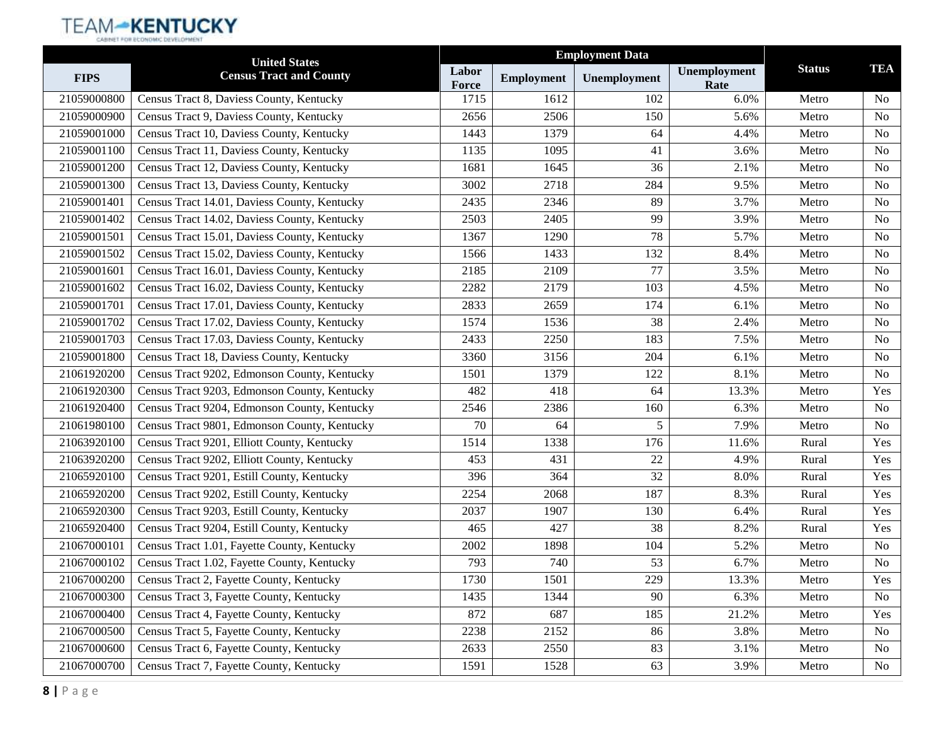|             | <b>United States</b>                         |                |                   | <b>Employment Data</b> |                      |               |                |
|-------------|----------------------------------------------|----------------|-------------------|------------------------|----------------------|---------------|----------------|
| <b>FIPS</b> | <b>Census Tract and County</b>               | Labor<br>Force | <b>Employment</b> | Unemployment           | Unemployment<br>Rate | <b>Status</b> | <b>TEA</b>     |
| 21059000800 | Census Tract 8, Daviess County, Kentucky     | 1715           | 1612              | 102                    | 6.0%                 | Metro         | N <sub>0</sub> |
| 21059000900 | Census Tract 9, Daviess County, Kentucky     | 2656           | 2506              | 150                    | 5.6%                 | Metro         | N <sub>o</sub> |
| 21059001000 | Census Tract 10, Daviess County, Kentucky    | 1443           | 1379              | 64                     | 4.4%                 | Metro         | N <sub>0</sub> |
| 21059001100 | Census Tract 11, Daviess County, Kentucky    | 1135           | 1095              | 41                     | 3.6%                 | Metro         | N <sub>o</sub> |
| 21059001200 | Census Tract 12, Daviess County, Kentucky    | 1681           | 1645              | 36                     | 2.1%                 | Metro         | N <sub>0</sub> |
| 21059001300 | Census Tract 13, Daviess County, Kentucky    | 3002           | 2718              | 284                    | 9.5%                 | Metro         | N <sub>0</sub> |
| 21059001401 | Census Tract 14.01, Daviess County, Kentucky | 2435           | 2346              | 89                     | 3.7%                 | Metro         | N <sub>o</sub> |
| 21059001402 | Census Tract 14.02, Daviess County, Kentucky | 2503           | 2405              | 99                     | 3.9%                 | Metro         | N <sub>0</sub> |
| 21059001501 | Census Tract 15.01, Daviess County, Kentucky | 1367           | 1290              | 78                     | 5.7%                 | Metro         | N <sub>o</sub> |
| 21059001502 | Census Tract 15.02, Daviess County, Kentucky | 1566           | 1433              | 132                    | 8.4%                 | Metro         | N <sub>0</sub> |
| 21059001601 | Census Tract 16.01, Daviess County, Kentucky | 2185           | 2109              | 77                     | 3.5%                 | Metro         | N <sub>0</sub> |
| 21059001602 | Census Tract 16.02, Daviess County, Kentucky | 2282           | 2179              | 103                    | 4.5%                 | Metro         | N <sub>o</sub> |
| 21059001701 | Census Tract 17.01, Daviess County, Kentucky | 2833           | 2659              | 174                    | 6.1%                 | Metro         | N <sub>0</sub> |
| 21059001702 | Census Tract 17.02, Daviess County, Kentucky | 1574           | 1536              | 38                     | 2.4%                 | Metro         | N <sub>o</sub> |
| 21059001703 | Census Tract 17.03, Daviess County, Kentucky | 2433           | 2250              | 183                    | 7.5%                 | Metro         | N <sub>0</sub> |
| 21059001800 | Census Tract 18, Daviess County, Kentucky    | 3360           | 3156              | 204                    | 6.1%                 | Metro         | N <sub>0</sub> |
| 21061920200 | Census Tract 9202, Edmonson County, Kentucky | 1501           | 1379              | 122                    | 8.1%                 | Metro         | N <sub>o</sub> |
| 21061920300 | Census Tract 9203, Edmonson County, Kentucky | 482            | 418               | 64                     | 13.3%                | Metro         | Yes            |
| 21061920400 | Census Tract 9204, Edmonson County, Kentucky | 2546           | 2386              | 160                    | 6.3%                 | Metro         | No             |
| 21061980100 | Census Tract 9801, Edmonson County, Kentucky | 70             | 64                | 5                      | 7.9%                 | Metro         | N <sub>0</sub> |
| 21063920100 | Census Tract 9201, Elliott County, Kentucky  | 1514           | 1338              | 176                    | 11.6%                | Rural         | Yes            |
| 21063920200 | Census Tract 9202, Elliott County, Kentucky  | 453            | 431               | 22                     | 4.9%                 | Rural         | Yes            |
| 21065920100 | Census Tract 9201, Estill County, Kentucky   | 396            | 364               | 32                     | 8.0%                 | Rural         | Yes            |
| 21065920200 | Census Tract 9202, Estill County, Kentucky   | 2254           | 2068              | 187                    | 8.3%                 | Rural         | Yes            |
| 21065920300 | Census Tract 9203, Estill County, Kentucky   | 2037           | 1907              | 130                    | 6.4%                 | Rural         | Yes            |
| 21065920400 | Census Tract 9204, Estill County, Kentucky   | 465            | 427               | 38                     | 8.2%                 | Rural         | Yes            |
| 21067000101 | Census Tract 1.01, Fayette County, Kentucky  | 2002           | 1898              | 104                    | 5.2%                 | Metro         | No             |
| 21067000102 | Census Tract 1.02, Fayette County, Kentucky  | 793            | 740               | 53                     | 6.7%                 | Metro         | No             |
| 21067000200 | Census Tract 2, Fayette County, Kentucky     | 1730           | 1501              | 229                    | 13.3%                | Metro         | Yes            |
| 21067000300 | Census Tract 3, Fayette County, Kentucky     | 1435           | 1344              | 90                     | 6.3%                 | Metro         | No             |
| 21067000400 | Census Tract 4, Fayette County, Kentucky     | 872            | 687               | 185                    | 21.2%                | Metro         | Yes            |
| 21067000500 | Census Tract 5, Fayette County, Kentucky     | 2238           | 2152              | 86                     | 3.8%                 | Metro         | N <sub>o</sub> |
| 21067000600 | Census Tract 6, Fayette County, Kentucky     | 2633           | 2550              | 83                     | 3.1%                 | Metro         | No             |
| 21067000700 | Census Tract 7, Fayette County, Kentucky     | 1591           | 1528              | 63                     | 3.9%                 | Metro         | No             |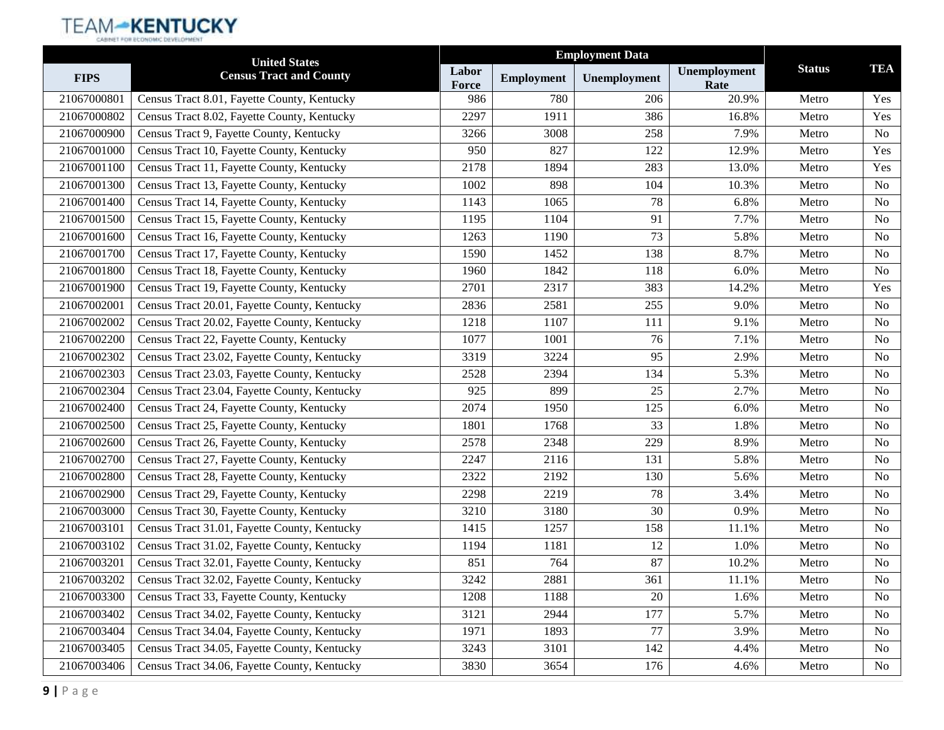|             | <b>United States</b>                         |                |                   | <b>Employment Data</b> |                      |               |                |
|-------------|----------------------------------------------|----------------|-------------------|------------------------|----------------------|---------------|----------------|
| <b>FIPS</b> | <b>Census Tract and County</b>               | Labor<br>Force | <b>Employment</b> | Unemployment           | Unemployment<br>Rate | <b>Status</b> | <b>TEA</b>     |
| 21067000801 | Census Tract 8.01, Fayette County, Kentucky  | 986            | 780               | 206                    | 20.9%                | Metro         | Yes            |
| 21067000802 | Census Tract 8.02, Fayette County, Kentucky  | 2297           | 1911              | 386                    | 16.8%                | Metro         | Yes            |
| 21067000900 | Census Tract 9, Fayette County, Kentucky     | 3266           | 3008              | 258                    | 7.9%                 | Metro         | N <sub>o</sub> |
| 21067001000 | Census Tract 10, Fayette County, Kentucky    | 950            | 827               | 122                    | 12.9%                | Metro         | Yes            |
| 21067001100 | Census Tract 11, Fayette County, Kentucky    | 2178           | 1894              | 283                    | 13.0%                | Metro         | Yes            |
| 21067001300 | Census Tract 13, Fayette County, Kentucky    | 1002           | 898               | 104                    | 10.3%                | Metro         | N <sub>0</sub> |
| 21067001400 | Census Tract 14, Fayette County, Kentucky    | 1143           | 1065              | 78                     | 6.8%                 | Metro         | N <sub>o</sub> |
| 21067001500 | Census Tract 15, Fayette County, Kentucky    | 1195           | 1104              | 91                     | 7.7%                 | Metro         | N <sub>o</sub> |
| 21067001600 | Census Tract 16, Fayette County, Kentucky    | 1263           | 1190              | 73                     | 5.8%                 | Metro         | No             |
| 21067001700 | Census Tract 17, Fayette County, Kentucky    | 1590           | 1452              | 138                    | 8.7%                 | Metro         | N <sub>o</sub> |
| 21067001800 | Census Tract 18, Fayette County, Kentucky    | 1960           | 1842              | 118                    | 6.0%                 | Metro         | N <sub>o</sub> |
| 21067001900 | Census Tract 19, Fayette County, Kentucky    | 2701           | 2317              | 383                    | 14.2%                | Metro         | Yes            |
| 21067002001 | Census Tract 20.01, Fayette County, Kentucky | 2836           | 2581              | 255                    | 9.0%                 | Metro         | N <sub>0</sub> |
| 21067002002 | Census Tract 20.02, Fayette County, Kentucky | 1218           | 1107              | 111                    | 9.1%                 | Metro         | No             |
| 21067002200 | Census Tract 22, Fayette County, Kentucky    | 1077           | 1001              | 76                     | 7.1%                 | Metro         | N <sub>o</sub> |
| 21067002302 | Census Tract 23.02, Fayette County, Kentucky | 3319           | 3224              | 95                     | 2.9%                 | Metro         | N <sub>o</sub> |
| 21067002303 | Census Tract 23.03, Fayette County, Kentucky | 2528           | 2394              | 134                    | 5.3%                 | Metro         | N <sub>o</sub> |
| 21067002304 | Census Tract 23.04, Fayette County, Kentucky | 925            | 899               | 25                     | 2.7%                 | Metro         | N <sub>o</sub> |
| 21067002400 | Census Tract 24, Fayette County, Kentucky    | 2074           | 1950              | 125                    | 6.0%                 | Metro         | No             |
| 21067002500 | Census Tract 25, Fayette County, Kentucky    | 1801           | 1768              | 33                     | 1.8%                 | Metro         | N <sub>o</sub> |
| 21067002600 | Census Tract 26, Fayette County, Kentucky    | 2578           | 2348              | 229                    | 8.9%                 | Metro         | N <sub>o</sub> |
| 21067002700 | Census Tract 27, Fayette County, Kentucky    | 2247           | 2116              | 131                    | 5.8%                 | Metro         | N <sub>o</sub> |
| 21067002800 | Census Tract 28, Fayette County, Kentucky    | 2322           | 2192              | 130                    | 5.6%                 | Metro         | N <sub>o</sub> |
| 21067002900 | Census Tract 29, Fayette County, Kentucky    | 2298           | 2219              | 78                     | 3.4%                 | Metro         | No             |
| 21067003000 | Census Tract 30, Fayette County, Kentucky    | 3210           | 3180              | 30                     | 0.9%                 | Metro         | N <sub>o</sub> |
| 21067003101 | Census Tract 31.01, Fayette County, Kentucky | 1415           | 1257              | 158                    | 11.1%                | Metro         | N <sub>0</sub> |
| 21067003102 | Census Tract 31.02, Fayette County, Kentucky | 1194           | 1181              | 12                     | 1.0%                 | Metro         | No             |
| 21067003201 | Census Tract 32.01, Fayette County, Kentucky | 851            | 764               | 87                     | 10.2%                | Metro         | No             |
| 21067003202 | Census Tract 32.02, Fayette County, Kentucky | 3242           | 2881              | 361                    | 11.1%                | Metro         | No             |
| 21067003300 | Census Tract 33, Fayette County, Kentucky    | 1208           | 1188              | 20                     | 1.6%                 | Metro         | N <sub>0</sub> |
| 21067003402 | Census Tract 34.02, Fayette County, Kentucky | 3121           | 2944              | 177                    | 5.7%                 | Metro         | No             |
| 21067003404 | Census Tract 34.04, Fayette County, Kentucky | 1971           | 1893              | 77                     | 3.9%                 | Metro         | N <sub>0</sub> |
| 21067003405 | Census Tract 34.05, Fayette County, Kentucky | 3243           | 3101              | 142                    | 4.4%                 | Metro         | No             |
| 21067003406 | Census Tract 34.06, Fayette County, Kentucky | 3830           | 3654              | 176                    | 4.6%                 | Metro         | No             |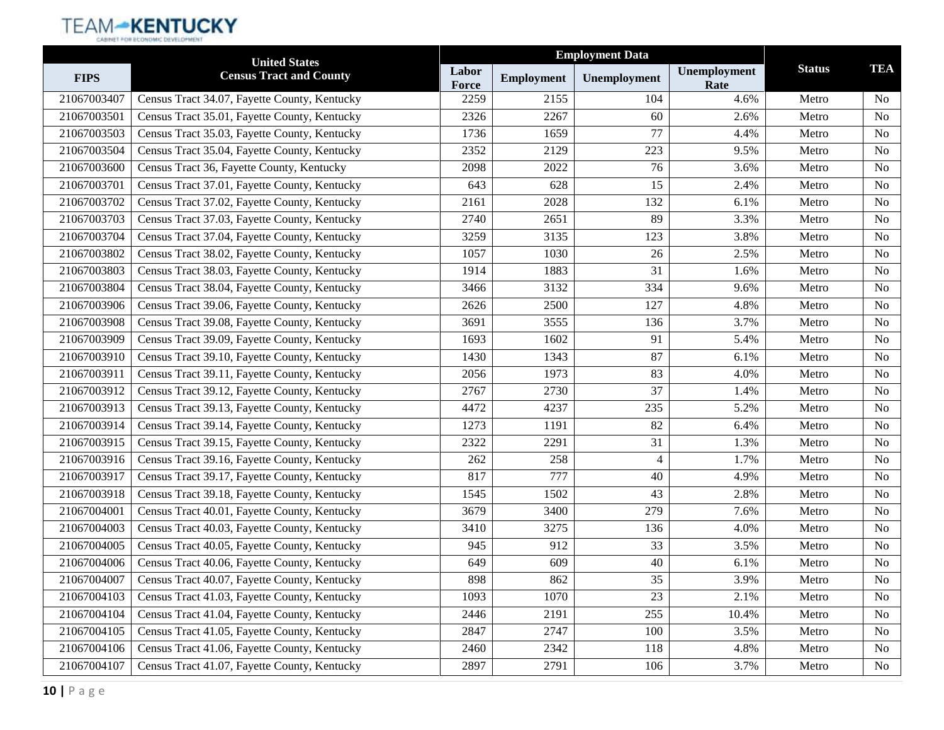|             | <b>United States</b>                         |                       |                   |              |                      |               |                |
|-------------|----------------------------------------------|-----------------------|-------------------|--------------|----------------------|---------------|----------------|
| <b>FIPS</b> | <b>Census Tract and County</b>               | Labor<br><b>Force</b> | <b>Employment</b> | Unemployment | Unemployment<br>Rate | <b>Status</b> | <b>TEA</b>     |
| 21067003407 | Census Tract 34.07, Fayette County, Kentucky | 2259                  | 2155              | 104          | 4.6%                 | Metro         | N <sub>o</sub> |
| 21067003501 | Census Tract 35.01, Fayette County, Kentucky | 2326                  | 2267              | 60           | 2.6%                 | Metro         | <b>No</b>      |
| 21067003503 | Census Tract 35.03, Fayette County, Kentucky | 1736                  | 1659              | 77           | 4.4%                 | Metro         | N <sub>0</sub> |
| 21067003504 | Census Tract 35.04, Fayette County, Kentucky | 2352                  | 2129              | 223          | 9.5%                 | Metro         | <b>No</b>      |
| 21067003600 | Census Tract 36, Fayette County, Kentucky    | 2098                  | 2022              | 76           | 3.6%                 | Metro         | No             |
| 21067003701 | Census Tract 37.01, Fayette County, Kentucky | 643                   | 628               | 15           | 2.4%                 | Metro         | N <sub>o</sub> |
| 21067003702 | Census Tract 37.02, Fayette County, Kentucky | 2161                  | 2028              | 132          | 6.1%                 | Metro         | <b>No</b>      |
| 21067003703 | Census Tract 37.03, Fayette County, Kentucky | 2740                  | 2651              | 89           | 3.3%                 | Metro         | N <sub>o</sub> |
| 21067003704 | Census Tract 37.04, Fayette County, Kentucky | 3259                  | 3135              | 123          | 3.8%                 | Metro         | <b>No</b>      |
| 21067003802 | Census Tract 38.02, Fayette County, Kentucky | 1057                  | 1030              | 26           | 2.5%                 | Metro         | N <sub>o</sub> |
| 21067003803 | Census Tract 38.03, Fayette County, Kentucky | 1914                  | 1883              | 31           | 1.6%                 | Metro         | <b>No</b>      |
| 21067003804 | Census Tract 38.04, Fayette County, Kentucky | 3466                  | 3132              | 334          | 9.6%                 | Metro         | <b>No</b>      |
| 21067003906 | Census Tract 39.06, Fayette County, Kentucky | 2626                  | 2500              | 127          | 4.8%                 | Metro         | N <sub>o</sub> |
| 21067003908 | Census Tract 39.08, Fayette County, Kentucky | 3691                  | 3555              | 136          | 3.7%                 | Metro         | <b>No</b>      |
| 21067003909 | Census Tract 39.09, Fayette County, Kentucky | 1693                  | 1602              | 91           | 5.4%                 | Metro         | N <sub>o</sub> |
| 21067003910 | Census Tract 39.10, Fayette County, Kentucky | 1430                  | 1343              | 87           | 6.1%                 | Metro         | <b>No</b>      |
| 21067003911 | Census Tract 39.11, Fayette County, Kentucky | 2056                  | 1973              | 83           | 4.0%                 | Metro         | <b>No</b>      |
| 21067003912 | Census Tract 39.12, Fayette County, Kentucky | 2767                  | 2730              | 37           | 1.4%                 | Metro         | N <sub>0</sub> |
| 21067003913 | Census Tract 39.13, Fayette County, Kentucky | 4472                  | 4237              | 235          | 5.2%                 | Metro         | <b>No</b>      |
| 21067003914 | Census Tract 39.14, Fayette County, Kentucky | 1273                  | 1191              | 82           | 6.4%                 | Metro         | N <sub>o</sub> |
| 21067003915 | Census Tract 39.15, Fayette County, Kentucky | 2322                  | 2291              | 31           | 1.3%                 | Metro         | N <sub>o</sub> |
| 21067003916 | Census Tract 39.16, Fayette County, Kentucky | 262                   | 258               | 4            | 1.7%                 | Metro         | <b>No</b>      |
| 21067003917 | Census Tract 39.17, Fayette County, Kentucky | 817                   | 777               | 40           | 4.9%                 | Metro         | N <sub>o</sub> |
| 21067003918 | Census Tract 39.18, Fayette County, Kentucky | 1545                  | 1502              | 43           | 2.8%                 | Metro         | <b>No</b>      |
| 21067004001 | Census Tract 40.01, Fayette County, Kentucky | 3679                  | 3400              | 279          | 7.6%                 | Metro         | N <sub>o</sub> |
| 21067004003 | Census Tract 40.03, Fayette County, Kentucky | 3410                  | 3275              | 136          | 4.0%                 | Metro         | <b>No</b>      |
| 21067004005 | Census Tract 40.05, Fayette County, Kentucky | 945                   | 912               | 33           | 3.5%                 | Metro         | <b>No</b>      |
| 21067004006 | Census Tract 40.06, Fayette County, Kentucky | 649                   | 609               | 40           | 6.1%                 | Metro         | N <sub>o</sub> |
| 21067004007 | Census Tract 40.07, Fayette County, Kentucky | 898                   | 862               | 35           | 3.9%                 | Metro         | No             |
| 21067004103 | Census Tract 41.03, Fayette County, Kentucky | 1093                  | 1070              | 23           | 2.1%                 | Metro         | N <sub>o</sub> |
| 21067004104 | Census Tract 41.04, Fayette County, Kentucky | 2446                  | 2191              | 255          | 10.4%                | Metro         | No             |
| 21067004105 | Census Tract 41.05, Fayette County, Kentucky | 2847                  | 2747              | 100          | 3.5%                 | Metro         | N <sub>o</sub> |
| 21067004106 | Census Tract 41.06, Fayette County, Kentucky | 2460                  | 2342              | 118          | 4.8%                 | Metro         | No             |
| 21067004107 | Census Tract 41.07, Fayette County, Kentucky | 2897                  | 2791              | 106          | 3.7%                 | Metro         | No             |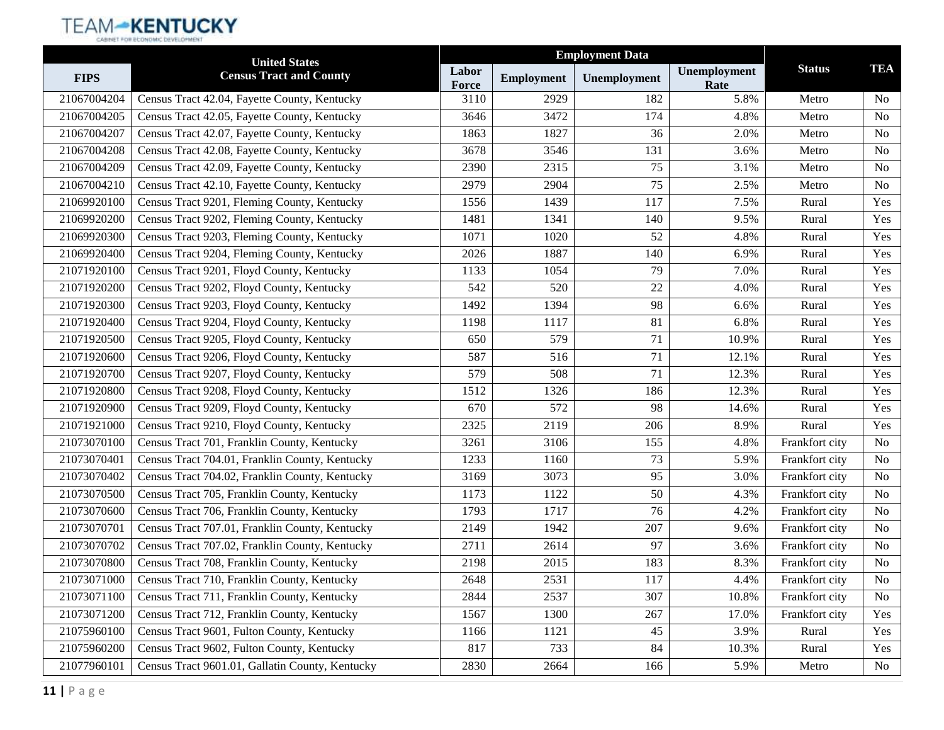|             | <b>United States</b>                            | <b>Employment Data</b> |                   |              |                      |                |                |
|-------------|-------------------------------------------------|------------------------|-------------------|--------------|----------------------|----------------|----------------|
| <b>FIPS</b> | <b>Census Tract and County</b>                  | Labor<br>Force         | <b>Employment</b> | Unemployment | Unemployment<br>Rate | <b>Status</b>  | <b>TEA</b>     |
| 21067004204 | Census Tract 42.04, Fayette County, Kentucky    | 3110                   | 2929              | 182          | 5.8%                 | Metro          | N <sub>0</sub> |
| 21067004205 | Census Tract 42.05, Fayette County, Kentucky    | 3646                   | 3472              | 174          | 4.8%                 | Metro          | N <sub>o</sub> |
| 21067004207 | Census Tract 42.07, Fayette County, Kentucky    | 1863                   | 1827              | 36           | 2.0%                 | Metro          | N <sub>0</sub> |
| 21067004208 | Census Tract 42.08, Fayette County, Kentucky    | 3678                   | 3546              | 131          | 3.6%                 | Metro          | N <sub>o</sub> |
| 21067004209 | Census Tract 42.09, Fayette County, Kentucky    | 2390                   | 2315              | 75           | 3.1%                 | Metro          | N <sub>o</sub> |
| 21067004210 | Census Tract 42.10, Fayette County, Kentucky    | 2979                   | 2904              | 75           | 2.5%                 | Metro          | N <sub>0</sub> |
| 21069920100 | Census Tract 9201, Fleming County, Kentucky     | 1556                   | 1439              | 117          | 7.5%                 | Rural          | Yes            |
| 21069920200 | Census Tract 9202, Fleming County, Kentucky     | 1481                   | 1341              | 140          | 9.5%                 | Rural          | Yes            |
| 21069920300 | Census Tract 9203, Fleming County, Kentucky     | 1071                   | 1020              | 52           | 4.8%                 | Rural          | Yes            |
| 21069920400 | Census Tract 9204, Fleming County, Kentucky     | 2026                   | 1887              | 140          | 6.9%                 | Rural          | Yes            |
| 21071920100 | Census Tract 9201, Floyd County, Kentucky       | 1133                   | 1054              | 79           | 7.0%                 | Rural          | Yes            |
| 21071920200 | Census Tract 9202, Floyd County, Kentucky       | 542                    | 520               | 22           | 4.0%                 | Rural          | Yes            |
| 21071920300 | Census Tract 9203, Floyd County, Kentucky       | 1492                   | 1394              | 98           | 6.6%                 | Rural          | Yes            |
| 21071920400 | Census Tract 9204, Floyd County, Kentucky       | 1198                   | 1117              | 81           | 6.8%                 | Rural          | Yes            |
| 21071920500 | Census Tract 9205, Floyd County, Kentucky       | 650                    | 579               | 71           | 10.9%                | Rural          | Yes            |
| 21071920600 | Census Tract 9206, Floyd County, Kentucky       | 587                    | 516               | 71           | 12.1%                | Rural          | Yes            |
| 21071920700 | Census Tract 9207, Floyd County, Kentucky       | 579                    | 508               | 71           | 12.3%                | Rural          | Yes            |
| 21071920800 | Census Tract 9208, Floyd County, Kentucky       | 1512                   | 1326              | 186          | 12.3%                | Rural          | Yes            |
| 21071920900 | Census Tract 9209, Floyd County, Kentucky       | 670                    | 572               | 98           | 14.6%                | Rural          | Yes            |
| 21071921000 | Census Tract 9210, Floyd County, Kentucky       | 2325                   | 2119              | 206          | 8.9%                 | Rural          | Yes            |
| 21073070100 | Census Tract 701, Franklin County, Kentucky     | 3261                   | 3106              | 155          | 4.8%                 | Frankfort city | N <sub>0</sub> |
| 21073070401 | Census Tract 704.01, Franklin County, Kentucky  | 1233                   | 1160              | 73           | 5.9%                 | Frankfort city | N <sub>o</sub> |
| 21073070402 | Census Tract 704.02, Franklin County, Kentucky  | 3169                   | 3073              | 95           | 3.0%                 | Frankfort city | N <sub>o</sub> |
| 21073070500 | Census Tract 705, Franklin County, Kentucky     | 1173                   | 1122              | 50           | 4.3%                 | Frankfort city | No             |
| 21073070600 | Census Tract 706, Franklin County, Kentucky     | 1793                   | 1717              | 76           | 4.2%                 | Frankfort city | N <sub>o</sub> |
| 21073070701 | Census Tract 707.01, Franklin County, Kentucky  | 2149                   | 1942              | 207          | 9.6%                 | Frankfort city | No             |
| 21073070702 | Census Tract 707.02, Franklin County, Kentucky  | 2711                   | 2614              | 97           | 3.6%                 | Frankfort city | N <sub>o</sub> |
| 21073070800 | Census Tract 708, Franklin County, Kentucky     | 2198                   | 2015              | 183          | 8.3%                 | Frankfort city | No             |
| 21073071000 | Census Tract 710, Franklin County, Kentucky     | 2648                   | 2531              | 117          | 4.4%                 | Frankfort city | No             |
| 21073071100 | Census Tract 711, Franklin County, Kentucky     | 2844                   | 2537              | 307          | 10.8%                | Frankfort city | N <sub>0</sub> |
| 21073071200 | Census Tract 712, Franklin County, Kentucky     | 1567                   | 1300              | 267          | 17.0%                | Frankfort city | Yes            |
| 21075960100 | Census Tract 9601, Fulton County, Kentucky      | 1166                   | 1121              | 45           | 3.9%                 | Rural          | Yes            |
| 21075960200 | Census Tract 9602, Fulton County, Kentucky      | 817                    | 733               | 84           | 10.3%                | Rural          | Yes            |
| 21077960101 | Census Tract 9601.01, Gallatin County, Kentucky | 2830                   | 2664              | 166          | 5.9%                 | Metro          | No             |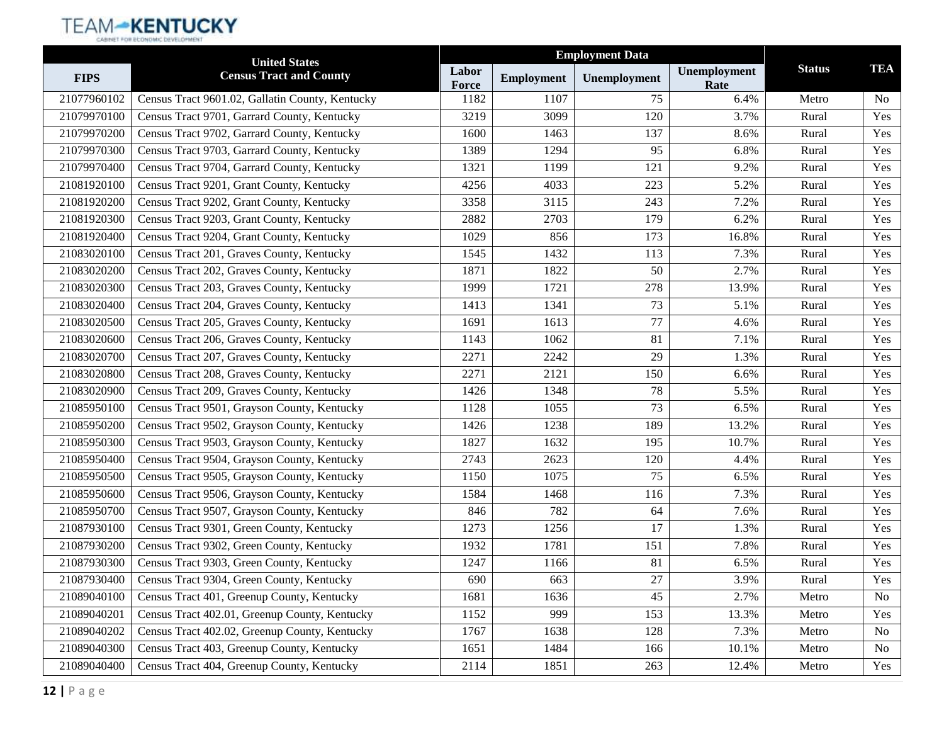|             | <b>United States</b>                            |                | <b>Employment Data</b> |              |                      |               |                |
|-------------|-------------------------------------------------|----------------|------------------------|--------------|----------------------|---------------|----------------|
| <b>FIPS</b> | <b>Census Tract and County</b>                  | Labor<br>Force | <b>Employment</b>      | Unemployment | Unemployment<br>Rate | <b>Status</b> | <b>TEA</b>     |
| 21077960102 | Census Tract 9601.02, Gallatin County, Kentucky | 1182           | 1107                   | 75           | 6.4%                 | Metro         | <b>No</b>      |
| 21079970100 | Census Tract 9701, Garrard County, Kentucky     | 3219           | 3099                   | 120          | 3.7%                 | Rural         | Yes            |
| 21079970200 | Census Tract 9702, Garrard County, Kentucky     | 1600           | 1463                   | 137          | 8.6%                 | Rural         | Yes            |
| 21079970300 | Census Tract 9703, Garrard County, Kentucky     | 1389           | 1294                   | 95           | 6.8%                 | Rural         | Yes            |
| 21079970400 | Census Tract 9704, Garrard County, Kentucky     | 1321           | 1199                   | 121          | 9.2%                 | Rural         | Yes            |
| 21081920100 | Census Tract 9201, Grant County, Kentucky       | 4256           | 4033                   | 223          | 5.2%                 | Rural         | Yes            |
| 21081920200 | Census Tract 9202, Grant County, Kentucky       | 3358           | 3115                   | 243          | 7.2%                 | Rural         | Yes            |
| 21081920300 | Census Tract 9203, Grant County, Kentucky       | 2882           | 2703                   | 179          | 6.2%                 | Rural         | Yes            |
| 21081920400 | Census Tract 9204, Grant County, Kentucky       | 1029           | 856                    | 173          | 16.8%                | Rural         | Yes            |
| 21083020100 | Census Tract 201, Graves County, Kentucky       | 1545           | 1432                   | 113          | 7.3%                 | Rural         | Yes            |
| 21083020200 | Census Tract 202, Graves County, Kentucky       | 1871           | 1822                   | 50           | 2.7%                 | Rural         | Yes            |
| 21083020300 | Census Tract 203, Graves County, Kentucky       | 1999           | 1721                   | 278          | 13.9%                | Rural         | Yes            |
| 21083020400 | Census Tract 204, Graves County, Kentucky       | 1413           | 1341                   | 73           | 5.1%                 | Rural         | Yes            |
| 21083020500 | Census Tract 205, Graves County, Kentucky       | 1691           | 1613                   | 77           | 4.6%                 | Rural         | Yes            |
| 21083020600 | Census Tract 206, Graves County, Kentucky       | 1143           | 1062                   | 81           | 7.1%                 | Rural         | Yes            |
| 21083020700 | Census Tract 207, Graves County, Kentucky       | 2271           | 2242                   | 29           | 1.3%                 | Rural         | Yes            |
| 21083020800 | Census Tract 208, Graves County, Kentucky       | 2271           | 2121                   | 150          | 6.6%                 | Rural         | Yes            |
| 21083020900 | Census Tract 209, Graves County, Kentucky       | 1426           | 1348                   | 78           | 5.5%                 | Rural         | Yes            |
| 21085950100 | Census Tract 9501, Grayson County, Kentucky     | 1128           | 1055                   | 73           | 6.5%                 | Rural         | Yes            |
| 21085950200 | Census Tract 9502, Grayson County, Kentucky     | 1426           | 1238                   | 189          | 13.2%                | Rural         | Yes            |
| 21085950300 | Census Tract 9503, Grayson County, Kentucky     | 1827           | 1632                   | 195          | 10.7%                | Rural         | Yes            |
| 21085950400 | Census Tract 9504, Grayson County, Kentucky     | 2743           | 2623                   | 120          | 4.4%                 | Rural         | Yes            |
| 21085950500 | Census Tract 9505, Grayson County, Kentucky     | 1150           | 1075                   | 75           | 6.5%                 | Rural         | Yes            |
| 21085950600 | Census Tract 9506, Grayson County, Kentucky     | 1584           | 1468                   | 116          | 7.3%                 | Rural         | Yes            |
| 21085950700 | Census Tract 9507, Grayson County, Kentucky     | 846            | 782                    | 64           | 7.6%                 | Rural         | Yes            |
| 21087930100 | Census Tract 9301, Green County, Kentucky       | 1273           | 1256                   | 17           | 1.3%                 | Rural         | Yes            |
| 21087930200 | Census Tract 9302, Green County, Kentucky       | 1932           | 1781                   | 151          | 7.8%                 | Rural         | Yes            |
| 21087930300 | Census Tract 9303, Green County, Kentucky       | 1247           | 1166                   | 81           | 6.5%                 | Rural         | Yes            |
| 21087930400 | Census Tract 9304, Green County, Kentucky       | 690            | 663                    | 27           | 3.9%                 | Rural         | Yes            |
| 21089040100 | Census Tract 401, Greenup County, Kentucky      | 1681           | 1636                   | 45           | 2.7%                 | Metro         | N <sub>o</sub> |
| 21089040201 | Census Tract 402.01, Greenup County, Kentucky   | 1152           | 999                    | 153          | 13.3%                | Metro         | Yes            |
| 21089040202 | Census Tract 402.02, Greenup County, Kentucky   | 1767           | 1638                   | 128          | 7.3%                 | Metro         | No             |
| 21089040300 | Census Tract 403, Greenup County, Kentucky      | 1651           | 1484                   | 166          | 10.1%                | Metro         | No             |
| 21089040400 | Census Tract 404, Greenup County, Kentucky      | 2114           | 1851                   | 263          | 12.4%                | Metro         | Yes            |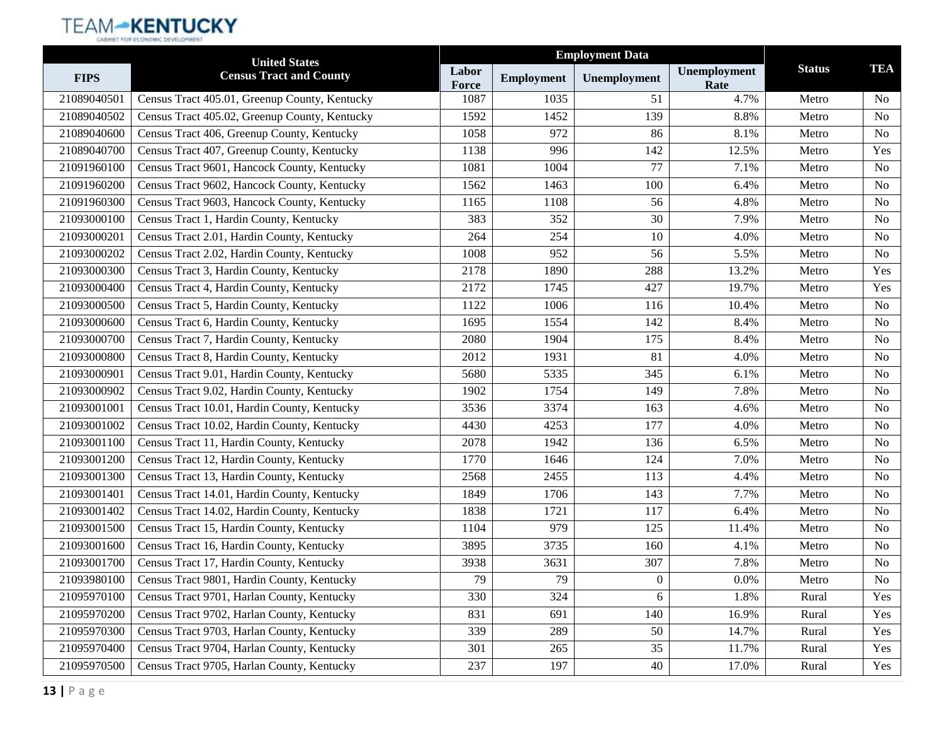|             | <b>United States</b>                          |                |                   | <b>Employment Data</b> |                      |               |                |
|-------------|-----------------------------------------------|----------------|-------------------|------------------------|----------------------|---------------|----------------|
| <b>FIPS</b> | <b>Census Tract and County</b>                | Labor<br>Force | <b>Employment</b> | Unemployment           | Unemployment<br>Rate | <b>Status</b> | <b>TEA</b>     |
| 21089040501 | Census Tract 405.01, Greenup County, Kentucky | 1087           | 1035              | 51                     | 4.7%                 | Metro         | N <sub>o</sub> |
| 21089040502 | Census Tract 405.02, Greenup County, Kentucky | 1592           | 1452              | 139                    | 8.8%                 | Metro         | No             |
| 21089040600 | Census Tract 406, Greenup County, Kentucky    | 1058           | 972               | 86                     | 8.1%                 | Metro         | No             |
| 21089040700 | Census Tract 407, Greenup County, Kentucky    | 1138           | 996               | 142                    | 12.5%                | Metro         | Yes            |
| 21091960100 | Census Tract 9601, Hancock County, Kentucky   | 1081           | 1004              | 77                     | 7.1%                 | Metro         | No             |
| 21091960200 | Census Tract 9602, Hancock County, Kentucky   | 1562           | 1463              | 100                    | 6.4%                 | Metro         | N <sub>o</sub> |
| 21091960300 | Census Tract 9603, Hancock County, Kentucky   | 1165           | 1108              | 56                     | 4.8%                 | Metro         | No             |
| 21093000100 | Census Tract 1, Hardin County, Kentucky       | 383            | 352               | 30                     | 7.9%                 | Metro         | N <sub>o</sub> |
| 21093000201 | Census Tract 2.01, Hardin County, Kentucky    | 264            | 254               | 10                     | 4.0%                 | Metro         | No             |
| 21093000202 | Census Tract 2.02, Hardin County, Kentucky    | 1008           | 952               | 56                     | 5.5%                 | Metro         | No             |
| 21093000300 | Census Tract 3, Hardin County, Kentucky       | 2178           | 1890              | 288                    | 13.2%                | Metro         | Yes            |
| 21093000400 | Census Tract 4, Hardin County, Kentucky       | 2172           | 1745              | 427                    | 19.7%                | Metro         | Yes            |
| 21093000500 | Census Tract 5, Hardin County, Kentucky       | 1122           | 1006              | 116                    | 10.4%                | Metro         | No             |
| 21093000600 | Census Tract 6, Hardin County, Kentucky       | 1695           | 1554              | 142                    | 8.4%                 | Metro         | No             |
| 21093000700 | Census Tract 7, Hardin County, Kentucky       | 2080           | 1904              | 175                    | 8.4%                 | Metro         | N <sub>o</sub> |
| 21093000800 | Census Tract 8, Hardin County, Kentucky       | 2012           | 1931              | 81                     | 4.0%                 | Metro         | No             |
| 21093000901 | Census Tract 9.01, Hardin County, Kentucky    | 5680           | 5335              | 345                    | 6.1%                 | Metro         | No             |
| 21093000902 | Census Tract 9.02, Hardin County, Kentucky    | 1902           | 1754              | 149                    | 7.8%                 | Metro         | No             |
| 21093001001 | Census Tract 10.01, Hardin County, Kentucky   | 3536           | 3374              | 163                    | 4.6%                 | Metro         | No             |
| 21093001002 | Census Tract 10.02, Hardin County, Kentucky   | 4430           | 4253              | 177                    | 4.0%                 | Metro         | N <sub>o</sub> |
| 21093001100 | Census Tract 11, Hardin County, Kentucky      | 2078           | 1942              | 136                    | 6.5%                 | Metro         | <b>No</b>      |
| 21093001200 | Census Tract 12, Hardin County, Kentucky      | 1770           | 1646              | 124                    | 7.0%                 | Metro         | No             |
| 21093001300 | Census Tract 13, Hardin County, Kentucky      | 2568           | 2455              | 113                    | 4.4%                 | Metro         | N <sub>o</sub> |
| 21093001401 | Census Tract 14.01, Hardin County, Kentucky   | 1849           | 1706              | 143                    | 7.7%                 | Metro         | No             |
| 21093001402 | Census Tract 14.02, Hardin County, Kentucky   | 1838           | 1721              | 117                    | 6.4%                 | Metro         | N <sub>o</sub> |
| 21093001500 | Census Tract 15, Hardin County, Kentucky      | 1104           | 979               | 125                    | 11.4%                | Metro         | No             |
| 21093001600 | Census Tract 16, Hardin County, Kentucky      | 3895           | 3735              | 160                    | 4.1%                 | Metro         | No             |
| 21093001700 | Census Tract 17, Hardin County, Kentucky      | 3938           | 3631              | 307                    | 7.8%                 | Metro         | N <sub>o</sub> |
| 21093980100 | Census Tract 9801, Hardin County, Kentucky    | 79             | 79                | $\boldsymbol{0}$       | $0.0\%$              | Metro         | No             |
| 21095970100 | Census Tract 9701, Harlan County, Kentucky    | 330            | 324               | 6                      | 1.8%                 | Rural         | Yes            |
| 21095970200 | Census Tract 9702, Harlan County, Kentucky    | 831            | 691               | 140                    | 16.9%                | Rural         | Yes            |
| 21095970300 | Census Tract 9703, Harlan County, Kentucky    | 339            | 289               | 50                     | 14.7%                | Rural         | Yes            |
| 21095970400 | Census Tract 9704, Harlan County, Kentucky    | 301            | 265               | 35                     | 11.7%                | Rural         | Yes            |
| 21095970500 | Census Tract 9705, Harlan County, Kentucky    | 237            | 197               | 40                     | 17.0%                | Rural         | Yes            |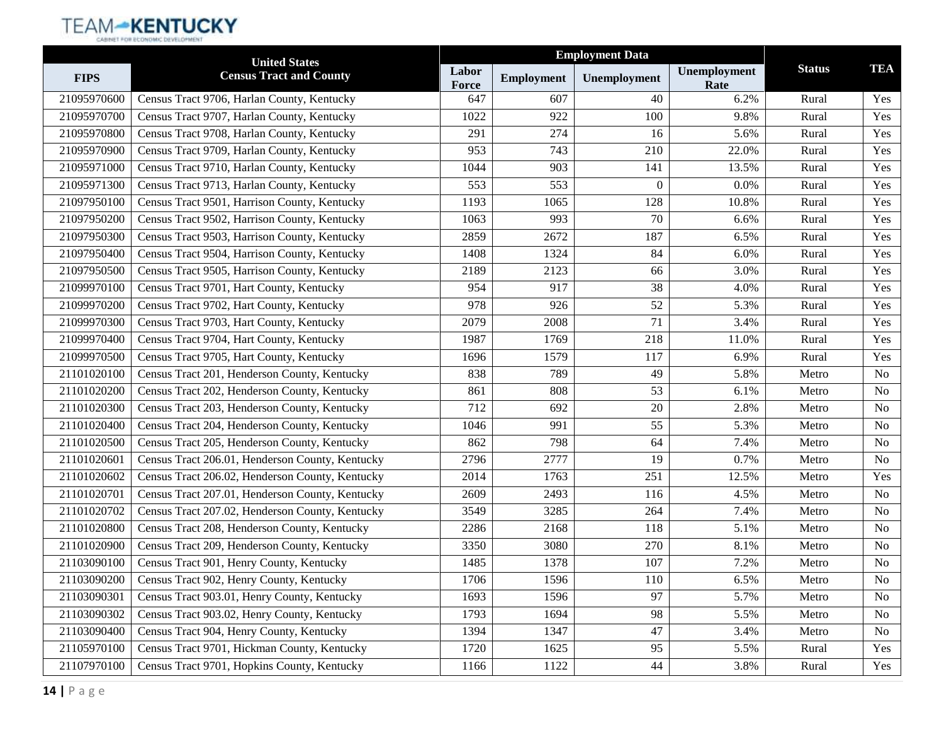|             | <b>United States</b>                            |                |                   |              |                      |               |                |
|-------------|-------------------------------------------------|----------------|-------------------|--------------|----------------------|---------------|----------------|
| <b>FIPS</b> | <b>Census Tract and County</b>                  | Labor<br>Force | <b>Employment</b> | Unemployment | Unemployment<br>Rate | <b>Status</b> | <b>TEA</b>     |
| 21095970600 | Census Tract 9706, Harlan County, Kentucky      | 647            | 607               | 40           | 6.2%                 | Rural         | Yes            |
| 21095970700 | Census Tract 9707, Harlan County, Kentucky      | 1022           | 922               | 100          | 9.8%                 | Rural         | Yes            |
| 21095970800 | Census Tract 9708, Harlan County, Kentucky      | 291            | 274               | 16           | 5.6%                 | Rural         | Yes            |
| 21095970900 | Census Tract 9709, Harlan County, Kentucky      | 953            | 743               | 210          | 22.0%                | Rural         | Yes            |
| 21095971000 | Census Tract 9710, Harlan County, Kentucky      | 1044           | 903               | 141          | 13.5%                | Rural         | Yes            |
| 21095971300 | Census Tract 9713, Harlan County, Kentucky      | 553            | 553               | $\theta$     | 0.0%                 | Rural         | Yes            |
| 21097950100 | Census Tract 9501, Harrison County, Kentucky    | 1193           | 1065              | 128          | 10.8%                | Rural         | Yes            |
| 21097950200 | Census Tract 9502, Harrison County, Kentucky    | 1063           | 993               | 70           | 6.6%                 | Rural         | Yes            |
| 21097950300 | Census Tract 9503, Harrison County, Kentucky    | 2859           | 2672              | 187          | 6.5%                 | Rural         | Yes            |
| 21097950400 | Census Tract 9504, Harrison County, Kentucky    | 1408           | 1324              | 84           | 6.0%                 | Rural         | Yes            |
| 21097950500 | Census Tract 9505, Harrison County, Kentucky    | 2189           | 2123              | 66           | 3.0%                 | Rural         | Yes            |
| 21099970100 | Census Tract 9701, Hart County, Kentucky        | 954            | 917               | 38           | 4.0%                 | Rural         | Yes            |
| 21099970200 | Census Tract 9702, Hart County, Kentucky        | 978            | 926               | 52           | 5.3%                 | Rural         | Yes            |
| 21099970300 | Census Tract 9703, Hart County, Kentucky        | 2079           | 2008              | 71           | 3.4%                 | Rural         | Yes            |
| 21099970400 | Census Tract 9704, Hart County, Kentucky        | 1987           | 1769              | 218          | 11.0%                | Rural         | Yes            |
| 21099970500 | Census Tract 9705, Hart County, Kentucky        | 1696           | 1579              | 117          | 6.9%                 | Rural         | Yes            |
| 21101020100 | Census Tract 201, Henderson County, Kentucky    | 838            | 789               | 49           | 5.8%                 | Metro         | N <sub>o</sub> |
| 21101020200 | Census Tract 202, Henderson County, Kentucky    | 861            | 808               | 53           | 6.1%                 | Metro         | N <sub>0</sub> |
| 21101020300 | Census Tract 203, Henderson County, Kentucky    | 712            | 692               | 20           | 2.8%                 | Metro         | No             |
| 21101020400 | Census Tract 204, Henderson County, Kentucky    | 1046           | 991               | 55           | 5.3%                 | Metro         | N <sub>0</sub> |
| 21101020500 | Census Tract 205, Henderson County, Kentucky    | 862            | 798               | 64           | 7.4%                 | Metro         | N <sub>0</sub> |
| 21101020601 | Census Tract 206.01, Henderson County, Kentucky | 2796           | 2777              | 19           | 0.7%                 | Metro         | N <sub>o</sub> |
| 21101020602 | Census Tract 206.02, Henderson County, Kentucky | 2014           | 1763              | 251          | 12.5%                | Metro         | Yes            |
| 21101020701 | Census Tract 207.01, Henderson County, Kentucky | 2609           | 2493              | 116          | 4.5%                 | Metro         | No             |
| 21101020702 | Census Tract 207.02, Henderson County, Kentucky | 3549           | 3285              | 264          | 7.4%                 | Metro         | N <sub>0</sub> |
| 21101020800 | Census Tract 208, Henderson County, Kentucky    | 2286           | 2168              | 118          | 5.1%                 | Metro         | No             |
| 21101020900 | Census Tract 209, Henderson County, Kentucky    | 3350           | 3080              | 270          | 8.1%                 | Metro         | No             |
| 21103090100 | Census Tract 901, Henry County, Kentucky        | 1485           | 1378              | 107          | 7.2%                 | Metro         | No             |
| 21103090200 | Census Tract 902, Henry County, Kentucky        | 1706           | 1596              | 110          | 6.5%                 | Metro         | No             |
| 21103090301 | Census Tract 903.01, Henry County, Kentucky     | 1693           | 1596              | 97           | 5.7%                 | Metro         | N <sub>0</sub> |
| 21103090302 | Census Tract 903.02, Henry County, Kentucky     | 1793           | 1694              | 98           | 5.5%                 | Metro         | No             |
| 21103090400 | Census Tract 904, Henry County, Kentucky        | 1394           | 1347              | 47           | 3.4%                 | Metro         | No             |
| 21105970100 | Census Tract 9701, Hickman County, Kentucky     | 1720           | 1625              | 95           | 5.5%                 | Rural         | Yes            |
| 21107970100 | Census Tract 9701, Hopkins County, Kentucky     | 1166           | 1122              | 44           | 3.8%                 | Rural         | Yes            |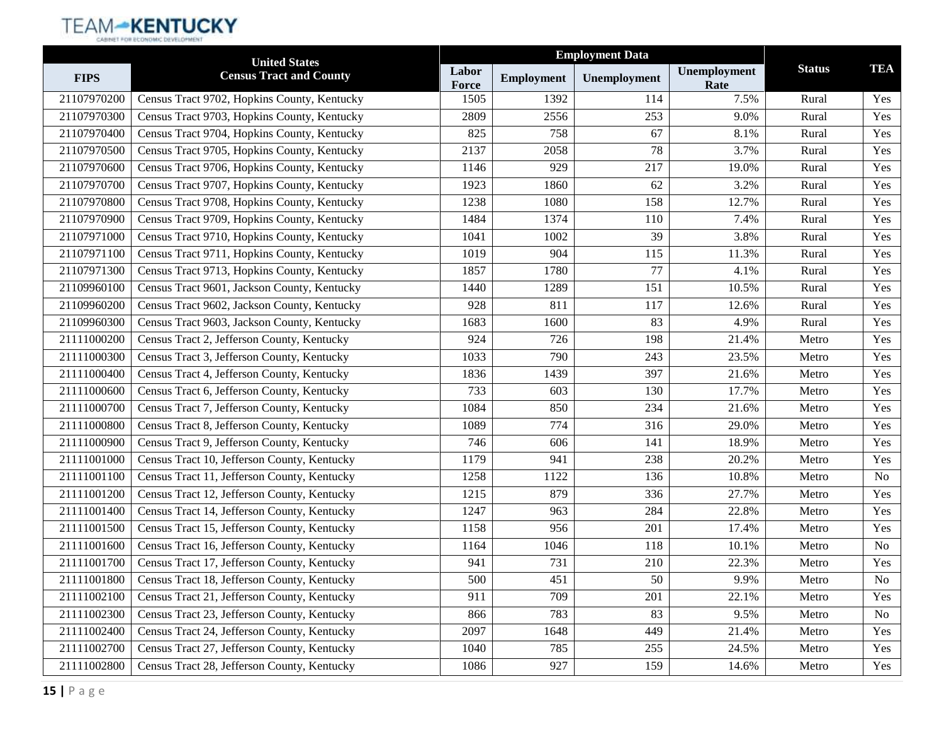|             | <b>United States</b>                        |                |                   |              |                      |               |            |
|-------------|---------------------------------------------|----------------|-------------------|--------------|----------------------|---------------|------------|
| <b>FIPS</b> | <b>Census Tract and County</b>              | Labor<br>Force | <b>Employment</b> | Unemployment | Unemployment<br>Rate | <b>Status</b> | <b>TEA</b> |
| 21107970200 | Census Tract 9702, Hopkins County, Kentucky | 1505           | 1392              | 114          | 7.5%                 | Rural         | Yes        |
| 21107970300 | Census Tract 9703, Hopkins County, Kentucky | 2809           | 2556              | 253          | 9.0%                 | Rural         | Yes        |
| 21107970400 | Census Tract 9704, Hopkins County, Kentucky | 825            | 758               | 67           | 8.1%                 | Rural         | Yes        |
| 21107970500 | Census Tract 9705, Hopkins County, Kentucky | 2137           | 2058              | 78           | 3.7%                 | Rural         | Yes        |
| 21107970600 | Census Tract 9706, Hopkins County, Kentucky | 1146           | 929               | 217          | 19.0%                | Rural         | Yes        |
| 21107970700 | Census Tract 9707, Hopkins County, Kentucky | 1923           | 1860              | 62           | 3.2%                 | Rural         | Yes        |
| 21107970800 | Census Tract 9708, Hopkins County, Kentucky | 1238           | 1080              | 158          | 12.7%                | Rural         | Yes        |
| 21107970900 | Census Tract 9709, Hopkins County, Kentucky | 1484           | 1374              | 110          | 7.4%                 | Rural         | Yes        |
| 21107971000 | Census Tract 9710, Hopkins County, Kentucky | 1041           | 1002              | 39           | 3.8%                 | Rural         | Yes        |
| 21107971100 | Census Tract 9711, Hopkins County, Kentucky | 1019           | 904               | 115          | 11.3%                | Rural         | Yes        |
| 21107971300 | Census Tract 9713, Hopkins County, Kentucky | 1857           | 1780              | 77           | 4.1%                 | Rural         | Yes        |
| 21109960100 | Census Tract 9601, Jackson County, Kentucky | 1440           | 1289              | 151          | 10.5%                | Rural         | Yes        |
| 21109960200 | Census Tract 9602, Jackson County, Kentucky | 928            | 811               | 117          | 12.6%                | Rural         | Yes        |
| 21109960300 | Census Tract 9603, Jackson County, Kentucky | 1683           | 1600              | 83           | 4.9%                 | Rural         | Yes        |
| 21111000200 | Census Tract 2, Jefferson County, Kentucky  | 924            | 726               | 198          | 21.4%                | Metro         | Yes        |
| 21111000300 | Census Tract 3, Jefferson County, Kentucky  | 1033           | 790               | 243          | 23.5%                | Metro         | Yes        |
| 21111000400 | Census Tract 4, Jefferson County, Kentucky  | 1836           | 1439              | 397          | 21.6%                | Metro         | Yes        |
| 21111000600 | Census Tract 6, Jefferson County, Kentucky  | 733            | 603               | 130          | 17.7%                | Metro         | Yes        |
| 21111000700 | Census Tract 7, Jefferson County, Kentucky  | 1084           | 850               | 234          | 21.6%                | Metro         | Yes        |
| 21111000800 | Census Tract 8, Jefferson County, Kentucky  | 1089           | 774               | 316          | 29.0%                | Metro         | Yes        |
| 21111000900 | Census Tract 9, Jefferson County, Kentucky  | 746            | 606               | 141          | 18.9%                | Metro         | Yes        |
| 21111001000 | Census Tract 10, Jefferson County, Kentucky | 1179           | 941               | 238          | 20.2%                | Metro         | Yes        |
| 21111001100 | Census Tract 11, Jefferson County, Kentucky | 1258           | 1122              | 136          | 10.8%                | Metro         | No         |
| 21111001200 | Census Tract 12, Jefferson County, Kentucky | 1215           | 879               | 336          | 27.7%                | Metro         | Yes        |
| 21111001400 | Census Tract 14, Jefferson County, Kentucky | 1247           | 963               | 284          | 22.8%                | Metro         | Yes        |
| 21111001500 | Census Tract 15, Jefferson County, Kentucky | 1158           | 956               | 201          | 17.4%                | Metro         | Yes        |
| 21111001600 | Census Tract 16, Jefferson County, Kentucky | 1164           | 1046              | 118          | 10.1%                | Metro         | No         |
| 21111001700 | Census Tract 17, Jefferson County, Kentucky | 941            | 731               | 210          | 22.3%                | Metro         | Yes        |
| 21111001800 | Census Tract 18, Jefferson County, Kentucky | 500            | 451               | 50           | $9.9\%$              | Metro         | No         |
| 21111002100 | Census Tract 21, Jefferson County, Kentucky | 911            | 709               | 201          | 22.1%                | Metro         | Yes        |
| 21111002300 | Census Tract 23, Jefferson County, Kentucky | 866            | 783               | 83           | 9.5%                 | Metro         | No         |
| 21111002400 | Census Tract 24, Jefferson County, Kentucky | 2097           | 1648              | 449          | 21.4%                | Metro         | Yes        |
| 21111002700 | Census Tract 27, Jefferson County, Kentucky | 1040           | 785               | 255          | 24.5%                | Metro         | Yes        |
| 21111002800 | Census Tract 28, Jefferson County, Kentucky | 1086           | 927               | 159          | 14.6%                | Metro         | Yes        |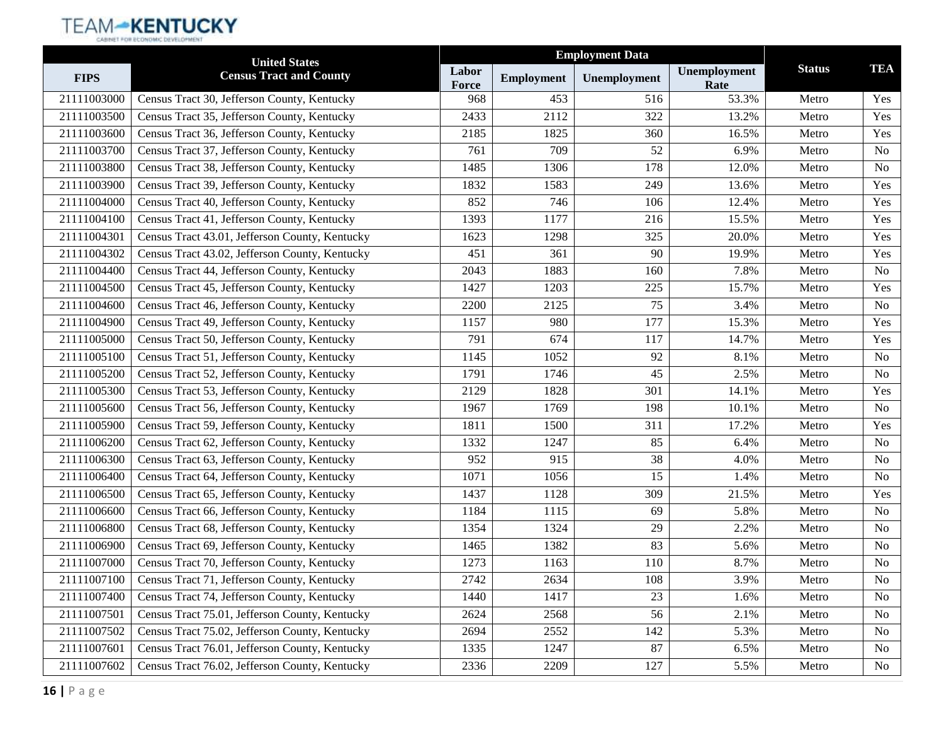|             | <b>United States</b>                           |                |                   |              |                      |               |                |
|-------------|------------------------------------------------|----------------|-------------------|--------------|----------------------|---------------|----------------|
| <b>FIPS</b> | <b>Census Tract and County</b>                 | Labor<br>Force | <b>Employment</b> | Unemployment | Unemployment<br>Rate | <b>Status</b> | <b>TEA</b>     |
| 21111003000 | Census Tract 30, Jefferson County, Kentucky    | 968            | 453               | 516          | 53.3%                | Metro         | Yes            |
| 21111003500 | Census Tract 35, Jefferson County, Kentucky    | 2433           | 2112              | 322          | 13.2%                | Metro         | Yes            |
| 21111003600 | Census Tract 36, Jefferson County, Kentucky    | 2185           | 1825              | 360          | 16.5%                | Metro         | Yes            |
| 21111003700 | Census Tract 37, Jefferson County, Kentucky    | 761            | 709               | 52           | 6.9%                 | Metro         | No             |
| 21111003800 | Census Tract 38, Jefferson County, Kentucky    | 1485           | 1306              | 178          | 12.0%                | Metro         | N <sub>o</sub> |
| 21111003900 | Census Tract 39, Jefferson County, Kentucky    | 1832           | 1583              | 249          | 13.6%                | Metro         | Yes            |
| 21111004000 | Census Tract 40, Jefferson County, Kentucky    | 852            | 746               | 106          | 12.4%                | Metro         | Yes            |
| 21111004100 | Census Tract 41, Jefferson County, Kentucky    | 1393           | 1177              | 216          | 15.5%                | Metro         | Yes            |
| 21111004301 | Census Tract 43.01, Jefferson County, Kentucky | 1623           | 1298              | 325          | 20.0%                | Metro         | Yes            |
| 21111004302 | Census Tract 43.02, Jefferson County, Kentucky | 451            | 361               | 90           | 19.9%                | Metro         | Yes            |
| 21111004400 | Census Tract 44, Jefferson County, Kentucky    | 2043           | 1883              | 160          | 7.8%                 | Metro         | No             |
| 21111004500 | Census Tract 45, Jefferson County, Kentucky    | 1427           | 1203              | 225          | 15.7%                | Metro         | Yes            |
| 21111004600 | Census Tract 46, Jefferson County, Kentucky    | 2200           | 2125              | 75           | 3.4%                 | Metro         | N <sub>o</sub> |
| 21111004900 | Census Tract 49, Jefferson County, Kentucky    | 1157           | 980               | 177          | 15.3%                | Metro         | Yes            |
| 21111005000 | Census Tract 50, Jefferson County, Kentucky    | 791            | 674               | 117          | 14.7%                | Metro         | Yes            |
| 21111005100 | Census Tract 51, Jefferson County, Kentucky    | 1145           | 1052              | 92           | 8.1%                 | Metro         | N <sub>o</sub> |
| 21111005200 | Census Tract 52, Jefferson County, Kentucky    | 1791           | 1746              | 45           | 2.5%                 | Metro         | N <sub>o</sub> |
| 21111005300 | Census Tract 53, Jefferson County, Kentucky    | 2129           | 1828              | 301          | 14.1%                | Metro         | Yes            |
| 21111005600 | Census Tract 56, Jefferson County, Kentucky    | 1967           | 1769              | 198          | 10.1%                | Metro         | No             |
| 21111005900 | Census Tract 59, Jefferson County, Kentucky    | 1811           | 1500              | 311          | 17.2%                | Metro         | Yes            |
| 21111006200 | Census Tract 62, Jefferson County, Kentucky    | 1332           | 1247              | 85           | 6.4%                 | Metro         | N <sub>o</sub> |
| 21111006300 | Census Tract 63, Jefferson County, Kentucky    | 952            | 915               | 38           | 4.0%                 | Metro         | N <sub>o</sub> |
| 21111006400 | Census Tract 64, Jefferson County, Kentucky    | 1071           | 1056              | 15           | 1.4%                 | Metro         | N <sub>o</sub> |
| 21111006500 | Census Tract 65, Jefferson County, Kentucky    | 1437           | 1128              | 309          | 21.5%                | Metro         | Yes            |
| 21111006600 | Census Tract 66, Jefferson County, Kentucky    | 1184           | 1115              | 69           | 5.8%                 | Metro         | N <sub>o</sub> |
| 21111006800 | Census Tract 68, Jefferson County, Kentucky    | 1354           | 1324              | 29           | 2.2%                 | Metro         | No             |
| 21111006900 | Census Tract 69, Jefferson County, Kentucky    | 1465           | 1382              | 83           | 5.6%                 | Metro         | No             |
| 21111007000 | Census Tract 70, Jefferson County, Kentucky    | 1273           | 1163              | 110          | 8.7%                 | Metro         | No             |
| 21111007100 | Census Tract 71, Jefferson County, Kentucky    | 2742           | 2634              | 108          | 3.9%                 | Metro         | No             |
| 21111007400 | Census Tract 74, Jefferson County, Kentucky    | 1440           | 1417              | 23           | 1.6%                 | Metro         | N <sub>0</sub> |
| 21111007501 | Census Tract 75.01, Jefferson County, Kentucky | 2624           | 2568              | 56           | 2.1%                 | Metro         | N <sub>0</sub> |
| 21111007502 | Census Tract 75.02, Jefferson County, Kentucky | 2694           | 2552              | 142          | 5.3%                 | Metro         | N <sub>0</sub> |
| 21111007601 | Census Tract 76.01, Jefferson County, Kentucky | 1335           | 1247              | 87           | 6.5%                 | Metro         | No             |
| 21111007602 | Census Tract 76.02, Jefferson County, Kentucky | 2336           | 2209              | 127          | 5.5%                 | Metro         | No             |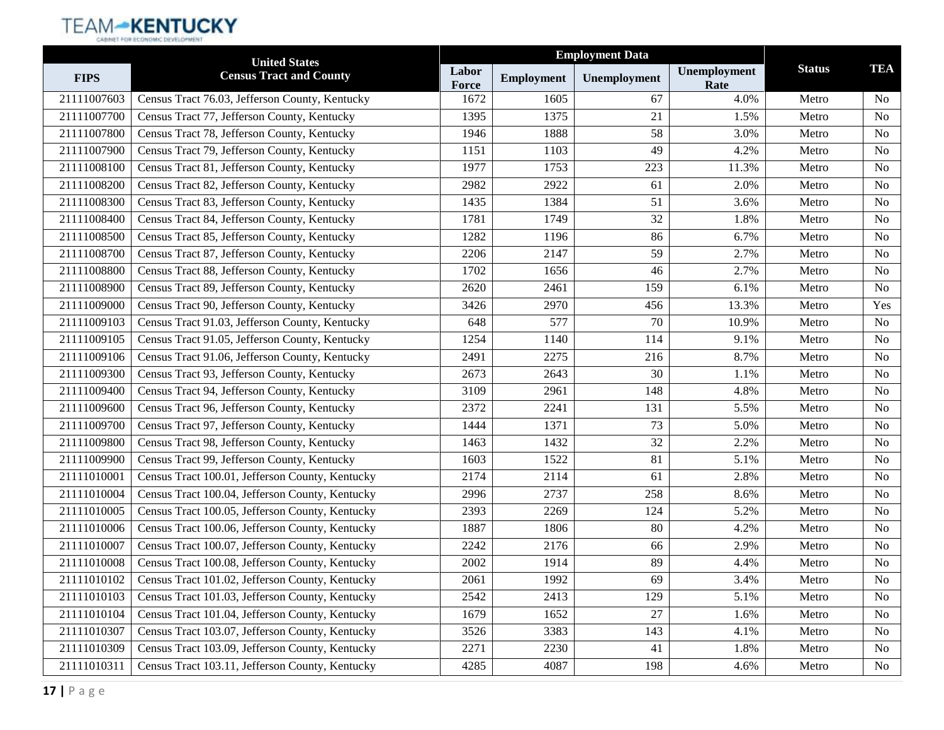|             | <b>United States</b>                            |                |                   |              |                      |               |                |
|-------------|-------------------------------------------------|----------------|-------------------|--------------|----------------------|---------------|----------------|
| <b>FIPS</b> | <b>Census Tract and County</b>                  | Labor<br>Force | <b>Employment</b> | Unemployment | Unemployment<br>Rate | <b>Status</b> | <b>TEA</b>     |
| 21111007603 | Census Tract 76.03, Jefferson County, Kentucky  | 1672           | 1605              | 67           | 4.0%                 | Metro         | N <sub>0</sub> |
| 21111007700 | Census Tract 77, Jefferson County, Kentucky     | 1395           | 1375              | 21           | 1.5%                 | Metro         | N <sub>o</sub> |
| 21111007800 | Census Tract 78, Jefferson County, Kentucky     | 1946           | 1888              | 58           | 3.0%                 | Metro         | N <sub>0</sub> |
| 21111007900 | Census Tract 79, Jefferson County, Kentucky     | 1151           | 1103              | 49           | 4.2%                 | Metro         | No             |
| 21111008100 | Census Tract 81, Jefferson County, Kentucky     | 1977           | 1753              | 223          | 11.3%                | Metro         | N <sub>o</sub> |
| 21111008200 | Census Tract 82, Jefferson County, Kentucky     | 2982           | 2922              | 61           | 2.0%                 | Metro         | N <sub>0</sub> |
| 21111008300 | Census Tract 83, Jefferson County, Kentucky     | 1435           | 1384              | 51           | 3.6%                 | Metro         | N <sub>o</sub> |
| 21111008400 | Census Tract 84, Jefferson County, Kentucky     | 1781           | 1749              | 32           | 1.8%                 | Metro         | N <sub>o</sub> |
| 21111008500 | Census Tract 85, Jefferson County, Kentucky     | 1282           | 1196              | 86           | 6.7%                 | Metro         | No             |
| 21111008700 | Census Tract 87, Jefferson County, Kentucky     | 2206           | 2147              | 59           | 2.7%                 | Metro         | N <sub>o</sub> |
| 21111008800 | Census Tract 88, Jefferson County, Kentucky     | 1702           | 1656              | 46           | 2.7%                 | Metro         | N <sub>o</sub> |
| 21111008900 | Census Tract 89, Jefferson County, Kentucky     | 2620           | 2461              | 159          | 6.1%                 | Metro         | N <sub>o</sub> |
| 21111009000 | Census Tract 90, Jefferson County, Kentucky     | 3426           | 2970              | 456          | 13.3%                | Metro         | Yes            |
| 21111009103 | Census Tract 91.03, Jefferson County, Kentucky  | 648            | 577               | 70           | 10.9%                | Metro         | No             |
| 21111009105 | Census Tract 91.05, Jefferson County, Kentucky  | 1254           | 1140              | 114          | 9.1%                 | Metro         | N <sub>o</sub> |
| 21111009106 | Census Tract 91.06, Jefferson County, Kentucky  | 2491           | 2275              | 216          | 8.7%                 | Metro         | N <sub>o</sub> |
| 21111009300 | Census Tract 93, Jefferson County, Kentucky     | 2673           | 2643              | 30           | 1.1%                 | Metro         | N <sub>o</sub> |
| 21111009400 | Census Tract 94, Jefferson County, Kentucky     | 3109           | 2961              | 148          | 4.8%                 | Metro         | N <sub>0</sub> |
| 21111009600 | Census Tract 96, Jefferson County, Kentucky     | 2372           | 2241              | 131          | 5.5%                 | Metro         | No             |
| 21111009700 | Census Tract 97, Jefferson County, Kentucky     | 1444           | 1371              | 73           | 5.0%                 | Metro         | N <sub>0</sub> |
| 21111009800 | Census Tract 98, Jefferson County, Kentucky     | 1463           | 1432              | 32           | 2.2%                 | Metro         | N <sub>0</sub> |
| 21111009900 | Census Tract 99, Jefferson County, Kentucky     | 1603           | 1522              | 81           | 5.1%                 | Metro         | N <sub>o</sub> |
| 21111010001 | Census Tract 100.01, Jefferson County, Kentucky | 2174           | 2114              | 61           | 2.8%                 | Metro         | N <sub>o</sub> |
| 21111010004 | Census Tract 100.04, Jefferson County, Kentucky | 2996           | 2737              | 258          | 8.6%                 | Metro         | No             |
| 21111010005 | Census Tract 100.05, Jefferson County, Kentucky | 2393           | 2269              | 124          | 5.2%                 | Metro         | N <sub>0</sub> |
| 21111010006 | Census Tract 100.06, Jefferson County, Kentucky | 1887           | 1806              | 80           | 4.2%                 | Metro         | No             |
| 21111010007 | Census Tract 100.07, Jefferson County, Kentucky | 2242           | 2176              | 66           | 2.9%                 | Metro         | No             |
| 21111010008 | Census Tract 100.08, Jefferson County, Kentucky | 2002           | 1914              | 89           | 4.4%                 | Metro         | No             |
| 21111010102 | Census Tract 101.02, Jefferson County, Kentucky | $2061\,$       | 1992              | 69           | 3.4%                 | Metro         | No             |
| 21111010103 | Census Tract 101.03, Jefferson County, Kentucky | 2542           | 2413              | 129          | 5.1%                 | Metro         | N <sub>0</sub> |
| 21111010104 | Census Tract 101.04, Jefferson County, Kentucky | 1679           | 1652              | 27           | 1.6%                 | Metro         | N <sub>0</sub> |
| 21111010307 | Census Tract 103.07, Jefferson County, Kentucky | 3526           | 3383              | 143          | 4.1%                 | Metro         | N <sub>0</sub> |
| 21111010309 | Census Tract 103.09, Jefferson County, Kentucky | 2271           | 2230              | 41           | 1.8%                 | Metro         | No             |
| 21111010311 | Census Tract 103.11, Jefferson County, Kentucky | 4285           | 4087              | 198          | 4.6%                 | Metro         | No             |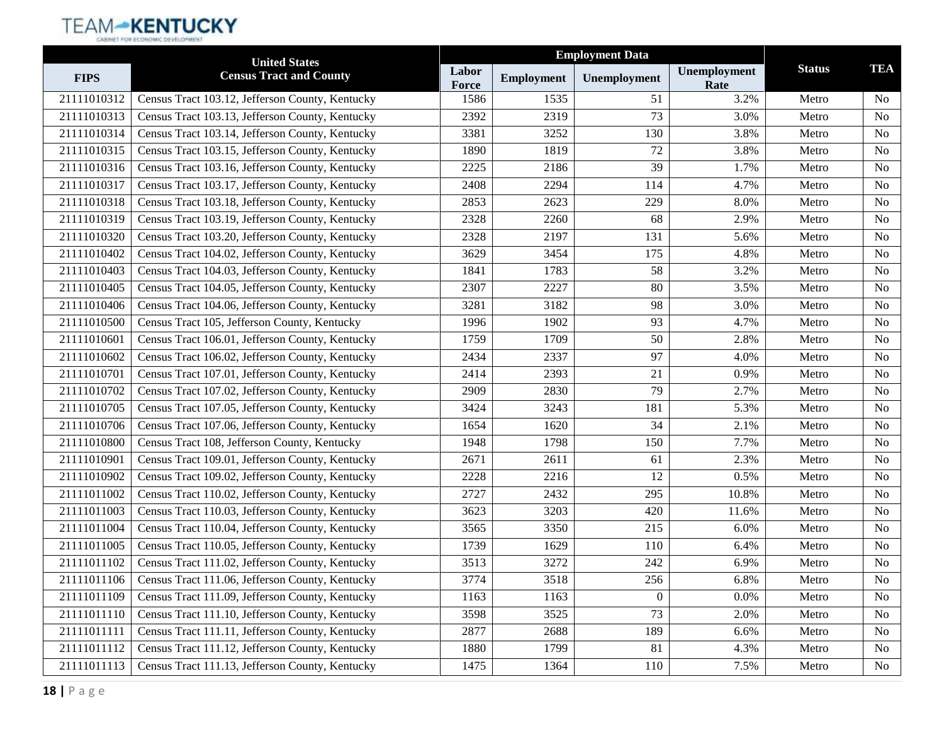|             | <b>United States</b>                            |                |                   |                  |                      |               |                |
|-------------|-------------------------------------------------|----------------|-------------------|------------------|----------------------|---------------|----------------|
| <b>FIPS</b> | <b>Census Tract and County</b>                  | Labor<br>Force | <b>Employment</b> | Unemployment     | Unemployment<br>Rate | <b>Status</b> | <b>TEA</b>     |
| 21111010312 | Census Tract 103.12, Jefferson County, Kentucky | 1586           | 1535              | 51               | 3.2%                 | Metro         | N <sub>o</sub> |
| 21111010313 | Census Tract 103.13, Jefferson County, Kentucky | 2392           | 2319              | 73               | 3.0%                 | Metro         | <b>No</b>      |
| 21111010314 | Census Tract 103.14, Jefferson County, Kentucky | 3381           | 3252              | 130              | 3.8%                 | Metro         | N <sub>0</sub> |
| 21111010315 | Census Tract 103.15, Jefferson County, Kentucky | 1890           | 1819              | 72               | 3.8%                 | Metro         | <b>No</b>      |
| 21111010316 | Census Tract 103.16, Jefferson County, Kentucky | 2225           | 2186              | 39               | 1.7%                 | Metro         | No             |
| 21111010317 | Census Tract 103.17, Jefferson County, Kentucky | 2408           | 2294              | 114              | 4.7%                 | Metro         | N <sub>o</sub> |
| 21111010318 | Census Tract 103.18, Jefferson County, Kentucky | 2853           | 2623              | 229              | 8.0%                 | Metro         | <b>No</b>      |
| 21111010319 | Census Tract 103.19, Jefferson County, Kentucky | 2328           | 2260              | 68               | 2.9%                 | Metro         | N <sub>o</sub> |
| 21111010320 | Census Tract 103.20, Jefferson County, Kentucky | 2328           | 2197              | 131              | 5.6%                 | Metro         | <b>No</b>      |
| 21111010402 | Census Tract 104.02, Jefferson County, Kentucky | 3629           | 3454              | 175              | 4.8%                 | Metro         | N <sub>o</sub> |
| 21111010403 | Census Tract 104.03, Jefferson County, Kentucky | 1841           | 1783              | 58               | 3.2%                 | Metro         | <b>No</b>      |
| 21111010405 | Census Tract 104.05, Jefferson County, Kentucky | 2307           | 2227              | 80               | 3.5%                 | Metro         | <b>No</b>      |
| 21111010406 | Census Tract 104.06, Jefferson County, Kentucky | 3281           | 3182              | 98               | 3.0%                 | Metro         | N <sub>0</sub> |
| 21111010500 | Census Tract 105, Jefferson County, Kentucky    | 1996           | 1902              | 93               | 4.7%                 | Metro         | <b>No</b>      |
| 21111010601 | Census Tract 106.01, Jefferson County, Kentucky | 1759           | 1709              | 50               | 2.8%                 | Metro         | N <sub>o</sub> |
| 21111010602 | Census Tract 106.02, Jefferson County, Kentucky | 2434           | 2337              | 97               | 4.0%                 | Metro         | N <sub>o</sub> |
| 21111010701 | Census Tract 107.01, Jefferson County, Kentucky | 2414           | 2393              | 21               | 0.9%                 | Metro         | <b>No</b>      |
| 21111010702 | Census Tract 107.02, Jefferson County, Kentucky | 2909           | 2830              | 79               | 2.7%                 | Metro         | N <sub>0</sub> |
| 21111010705 | Census Tract 107.05, Jefferson County, Kentucky | 3424           | 3243              | 181              | 5.3%                 | Metro         | <b>No</b>      |
| 21111010706 | Census Tract 107.06, Jefferson County, Kentucky | 1654           | 1620              | 34               | 2.1%                 | Metro         | N <sub>o</sub> |
| 21111010800 | Census Tract 108, Jefferson County, Kentucky    | 1948           | 1798              | 150              | 7.7%                 | Metro         | N <sub>o</sub> |
| 21111010901 | Census Tract 109.01, Jefferson County, Kentucky | 2671           | 2611              | 61               | 2.3%                 | Metro         | <b>No</b>      |
| 21111010902 | Census Tract 109.02, Jefferson County, Kentucky | 2228           | 2216              | 12               | 0.5%                 | Metro         | N <sub>o</sub> |
| 21111011002 | Census Tract 110.02, Jefferson County, Kentucky | 2727           | 2432              | 295              | 10.8%                | Metro         | <b>No</b>      |
| 21111011003 | Census Tract 110.03, Jefferson County, Kentucky | 3623           | 3203              | 420              | 11.6%                | Metro         | N <sub>o</sub> |
| 21111011004 | Census Tract 110.04, Jefferson County, Kentucky | 3565           | 3350              | 215              | 6.0%                 | Metro         | <b>No</b>      |
| 21111011005 | Census Tract 110.05, Jefferson County, Kentucky | 1739           | 1629              | 110              | 6.4%                 | Metro         | N <sub>o</sub> |
| 21111011102 | Census Tract 111.02, Jefferson County, Kentucky | 3513           | 3272              | 242              | 6.9%                 | Metro         | N <sub>o</sub> |
| 21111011106 | Census Tract 111.06, Jefferson County, Kentucky | 3774           | 3518              | 256              | 6.8%                 | Metro         | No             |
| 21111011109 | Census Tract 111.09, Jefferson County, Kentucky | 1163           | 1163              | $\boldsymbol{0}$ | $0.0\%$              | Metro         | N <sub>o</sub> |
| 21111011110 | Census Tract 111.10, Jefferson County, Kentucky | 3598           | 3525              | 73               | 2.0%                 | Metro         | N <sub>o</sub> |
| 21111011111 | Census Tract 111.11, Jefferson County, Kentucky | 2877           | 2688              | 189              | 6.6%                 | Metro         | N <sub>o</sub> |
| 21111011112 | Census Tract 111.12, Jefferson County, Kentucky | 1880           | 1799              | 81               | 4.3%                 | Metro         | No             |
| 21111011113 | Census Tract 111.13, Jefferson County, Kentucky | 1475           | 1364              | 110              | 7.5%                 | Metro         | No             |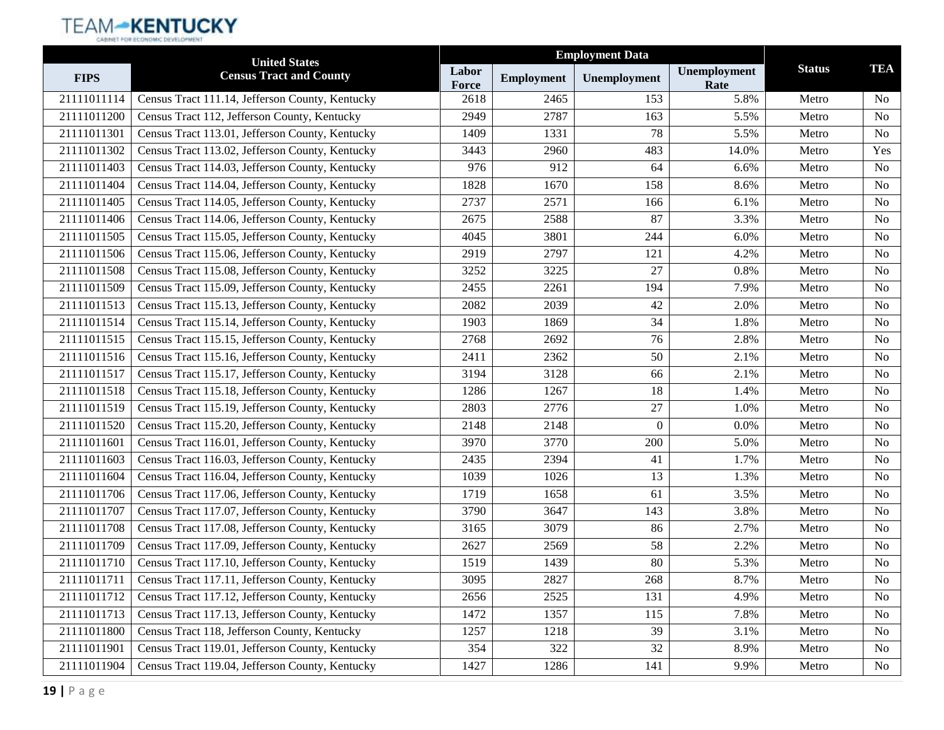|             | <b>United States</b>                            |                       | <b>Employment Data</b> |                  |                      |               |                |
|-------------|-------------------------------------------------|-----------------------|------------------------|------------------|----------------------|---------------|----------------|
| <b>FIPS</b> | <b>Census Tract and County</b>                  | Labor<br><b>Force</b> | <b>Employment</b>      | Unemployment     | Unemployment<br>Rate | <b>Status</b> | <b>TEA</b>     |
| 21111011114 | Census Tract 111.14, Jefferson County, Kentucky | 2618                  | 2465                   | 153              | 5.8%                 | Metro         | N <sub>o</sub> |
| 21111011200 | Census Tract 112, Jefferson County, Kentucky    | 2949                  | 2787                   | 163              | 5.5%                 | Metro         | <b>No</b>      |
| 21111011301 | Census Tract 113.01, Jefferson County, Kentucky | 1409                  | 1331                   | 78               | 5.5%                 | Metro         | N <sub>o</sub> |
| 21111011302 | Census Tract 113.02, Jefferson County, Kentucky | 3443                  | 2960                   | 483              | 14.0%                | Metro         | Yes            |
| 21111011403 | Census Tract 114.03, Jefferson County, Kentucky | 976                   | 912                    | 64               | 6.6%                 | Metro         | <b>No</b>      |
| 21111011404 | Census Tract 114.04, Jefferson County, Kentucky | 1828                  | 1670                   | 158              | 8.6%                 | Metro         | N <sub>o</sub> |
| 21111011405 | Census Tract 114.05, Jefferson County, Kentucky | 2737                  | 2571                   | 166              | 6.1%                 | Metro         | <b>No</b>      |
| 21111011406 | Census Tract 114.06, Jefferson County, Kentucky | 2675                  | 2588                   | 87               | 3.3%                 | Metro         | N <sub>o</sub> |
| 21111011505 | Census Tract 115.05, Jefferson County, Kentucky | 4045                  | 3801                   | 244              | 6.0%                 | Metro         | <b>No</b>      |
| 21111011506 | Census Tract 115.06, Jefferson County, Kentucky | 2919                  | 2797                   | 121              | 4.2%                 | Metro         | N <sub>o</sub> |
| 21111011508 | Census Tract 115.08, Jefferson County, Kentucky | 3252                  | 3225                   | 27               | 0.8%                 | Metro         | <b>No</b>      |
| 21111011509 | Census Tract 115.09, Jefferson County, Kentucky | 2455                  | 2261                   | 194              | 7.9%                 | Metro         | <b>No</b>      |
| 21111011513 | Census Tract 115.13, Jefferson County, Kentucky | 2082                  | 2039                   | 42               | 2.0%                 | Metro         | N <sub>o</sub> |
| 21111011514 | Census Tract 115.14, Jefferson County, Kentucky | 1903                  | 1869                   | 34               | 1.8%                 | Metro         | <b>No</b>      |
| 21111011515 | Census Tract 115.15, Jefferson County, Kentucky | 2768                  | 2692                   | 76               | 2.8%                 | Metro         | N <sub>o</sub> |
| 21111011516 | Census Tract 115.16, Jefferson County, Kentucky | 2411                  | 2362                   | 50               | 2.1%                 | Metro         | N <sub>o</sub> |
| 21111011517 | Census Tract 115.17, Jefferson County, Kentucky | 3194                  | 3128                   | 66               | 2.1%                 | Metro         | <b>No</b>      |
| 21111011518 | Census Tract 115.18, Jefferson County, Kentucky | 1286                  | 1267                   | 18               | 1.4%                 | Metro         | N <sub>0</sub> |
| 21111011519 | Census Tract 115.19, Jefferson County, Kentucky | 2803                  | 2776                   | 27               | 1.0%                 | Metro         | <b>No</b>      |
| 21111011520 | Census Tract 115.20, Jefferson County, Kentucky | 2148                  | 2148                   | $\boldsymbol{0}$ | $0.0\%$              | Metro         | N <sub>o</sub> |
| 21111011601 | Census Tract 116.01, Jefferson County, Kentucky | 3970                  | 3770                   | 200              | 5.0%                 | Metro         | N <sub>o</sub> |
| 21111011603 | Census Tract 116.03, Jefferson County, Kentucky | 2435                  | 2394                   | 41               | 1.7%                 | Metro         | <b>No</b>      |
| 21111011604 | Census Tract 116.04, Jefferson County, Kentucky | 1039                  | 1026                   | 13               | 1.3%                 | Metro         | N <sub>o</sub> |
| 21111011706 | Census Tract 117.06, Jefferson County, Kentucky | 1719                  | 1658                   | 61               | 3.5%                 | Metro         | <b>No</b>      |
| 21111011707 | Census Tract 117.07, Jefferson County, Kentucky | 3790                  | 3647                   | 143              | 3.8%                 | Metro         | N <sub>o</sub> |
| 21111011708 | Census Tract 117.08, Jefferson County, Kentucky | 3165                  | 3079                   | 86               | 2.7%                 | Metro         | <b>No</b>      |
| 21111011709 | Census Tract 117.09, Jefferson County, Kentucky | 2627                  | 2569                   | 58               | 2.2%                 | Metro         | <b>No</b>      |
| 21111011710 | Census Tract 117.10, Jefferson County, Kentucky | 1519                  | 1439                   | 80               | 5.3%                 | Metro         | N <sub>o</sub> |
| 21111011711 | Census Tract 117.11, Jefferson County, Kentucky | 3095                  | 2827                   | 268              | 8.7%                 | Metro         | No             |
| 21111011712 | Census Tract 117.12, Jefferson County, Kentucky | 2656                  | 2525                   | 131              | 4.9%                 | Metro         | N <sub>o</sub> |
| 21111011713 | Census Tract 117.13, Jefferson County, Kentucky | 1472                  | 1357                   | 115              | 7.8%                 | Metro         | N <sub>o</sub> |
| 21111011800 | Census Tract 118, Jefferson County, Kentucky    | 1257                  | 1218                   | 39               | 3.1%                 | Metro         | N <sub>o</sub> |
| 21111011901 | Census Tract 119.01, Jefferson County, Kentucky | 354                   | 322                    | $32\,$           | 8.9%                 | Metro         | No             |
| 21111011904 | Census Tract 119.04, Jefferson County, Kentucky | 1427                  | 1286                   | 141              | 9.9%                 | Metro         | No             |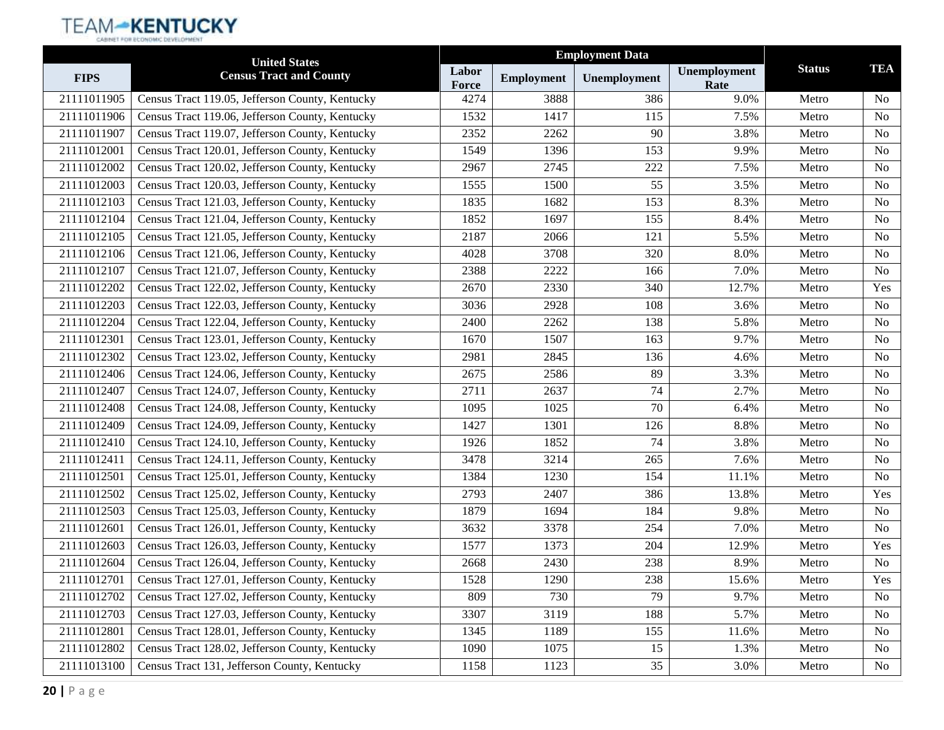|             | <b>United States</b>                            |                       | <b>Employment Data</b> |              |                      |               |                |
|-------------|-------------------------------------------------|-----------------------|------------------------|--------------|----------------------|---------------|----------------|
| <b>FIPS</b> | <b>Census Tract and County</b>                  | Labor<br><b>Force</b> | <b>Employment</b>      | Unemployment | Unemployment<br>Rate | <b>Status</b> | <b>TEA</b>     |
| 21111011905 | Census Tract 119.05, Jefferson County, Kentucky | 4274                  | 3888                   | 386          | 9.0%                 | Metro         | N <sub>o</sub> |
| 21111011906 | Census Tract 119.06, Jefferson County, Kentucky | 1532                  | 1417                   | 115          | 7.5%                 | Metro         | <b>No</b>      |
| 21111011907 | Census Tract 119.07, Jefferson County, Kentucky | 2352                  | 2262                   | 90           | 3.8%                 | Metro         | N <sub>0</sub> |
| 21111012001 | Census Tract 120.01, Jefferson County, Kentucky | 1549                  | 1396                   | 153          | 9.9%                 | Metro         | <b>No</b>      |
| 21111012002 | Census Tract 120.02, Jefferson County, Kentucky | 2967                  | 2745                   | 222          | 7.5%                 | Metro         | <b>No</b>      |
| 21111012003 | Census Tract 120.03, Jefferson County, Kentucky | 1555                  | 1500                   | 55           | 3.5%                 | Metro         | N <sub>o</sub> |
| 21111012103 | Census Tract 121.03, Jefferson County, Kentucky | 1835                  | 1682                   | 153          | 8.3%                 | Metro         | <b>No</b>      |
| 21111012104 | Census Tract 121.04, Jefferson County, Kentucky | 1852                  | 1697                   | 155          | 8.4%                 | Metro         | N <sub>0</sub> |
| 21111012105 | Census Tract 121.05, Jefferson County, Kentucky | 2187                  | 2066                   | 121          | 5.5%                 | Metro         | <b>No</b>      |
| 21111012106 | Census Tract 121.06, Jefferson County, Kentucky | 4028                  | 3708                   | 320          | 8.0%                 | Metro         | N <sub>o</sub> |
| 21111012107 | Census Tract 121.07, Jefferson County, Kentucky | 2388                  | 2222                   | 166          | 7.0%                 | Metro         | <b>No</b>      |
| 21111012202 | Census Tract 122.02, Jefferson County, Kentucky | 2670                  | 2330                   | 340          | 12.7%                | Metro         | Yes            |
| 21111012203 | Census Tract 122.03, Jefferson County, Kentucky | 3036                  | 2928                   | 108          | 3.6%                 | Metro         | N <sub>0</sub> |
| 21111012204 | Census Tract 122.04, Jefferson County, Kentucky | 2400                  | 2262                   | 138          | 5.8%                 | Metro         | <b>No</b>      |
| 21111012301 | Census Tract 123.01, Jefferson County, Kentucky | 1670                  | 1507                   | 163          | 9.7%                 | Metro         | N <sub>o</sub> |
| 21111012302 | Census Tract 123.02, Jefferson County, Kentucky | 2981                  | 2845                   | 136          | 4.6%                 | Metro         | N <sub>o</sub> |
| 21111012406 | Census Tract 124.06, Jefferson County, Kentucky | 2675                  | 2586                   | 89           | 3.3%                 | Metro         | <b>No</b>      |
| 21111012407 | Census Tract 124.07, Jefferson County, Kentucky | 2711                  | 2637                   | 74           | 2.7%                 | Metro         | N <sub>0</sub> |
| 21111012408 | Census Tract 124.08, Jefferson County, Kentucky | 1095                  | 1025                   | 70           | 6.4%                 | Metro         | <b>No</b>      |
| 21111012409 | Census Tract 124.09, Jefferson County, Kentucky | 1427                  | 1301                   | 126          | 8.8%                 | Metro         | N <sub>o</sub> |
| 21111012410 | Census Tract 124.10, Jefferson County, Kentucky | 1926                  | 1852                   | 74           | 3.8%                 | Metro         | N <sub>o</sub> |
| 21111012411 | Census Tract 124.11, Jefferson County, Kentucky | 3478                  | 3214                   | 265          | 7.6%                 | Metro         | <b>No</b>      |
| 21111012501 | Census Tract 125.01, Jefferson County, Kentucky | 1384                  | 1230                   | 154          | 11.1%                | Metro         | <b>No</b>      |
| 21111012502 | Census Tract 125.02, Jefferson County, Kentucky | 2793                  | 2407                   | 386          | 13.8%                | Metro         | Yes            |
| 21111012503 | Census Tract 125.03, Jefferson County, Kentucky | 1879                  | 1694                   | 184          | 9.8%                 | Metro         | <b>No</b>      |
| 21111012601 | Census Tract 126.01, Jefferson County, Kentucky | 3632                  | 3378                   | 254          | 7.0%                 | Metro         | <b>No</b>      |
| 21111012603 | Census Tract 126.03, Jefferson County, Kentucky | 1577                  | 1373                   | 204          | 12.9%                | Metro         | Yes            |
| 21111012604 | Census Tract 126.04, Jefferson County, Kentucky | 2668                  | 2430                   | 238          | 8.9%                 | Metro         | N <sub>o</sub> |
| 21111012701 | Census Tract 127.01, Jefferson County, Kentucky | 1528                  | 1290                   | 238          | 15.6%                | Metro         | Yes            |
| 21111012702 | Census Tract 127.02, Jefferson County, Kentucky | 809                   | 730                    | 79           | 9.7%                 | Metro         | N <sub>o</sub> |
| 21111012703 | Census Tract 127.03, Jefferson County, Kentucky | 3307                  | 3119                   | 188          | 5.7%                 | Metro         | N <sub>o</sub> |
| 21111012801 | Census Tract 128.01, Jefferson County, Kentucky | 1345                  | 1189                   | 155          | 11.6%                | Metro         | N <sub>o</sub> |
| 21111012802 | Census Tract 128.02, Jefferson County, Kentucky | 1090                  | 1075                   | 15           | 1.3%                 | Metro         | No             |
| 21111013100 | Census Tract 131, Jefferson County, Kentucky    | 1158                  | 1123                   | 35           | 3.0%                 | Metro         | No             |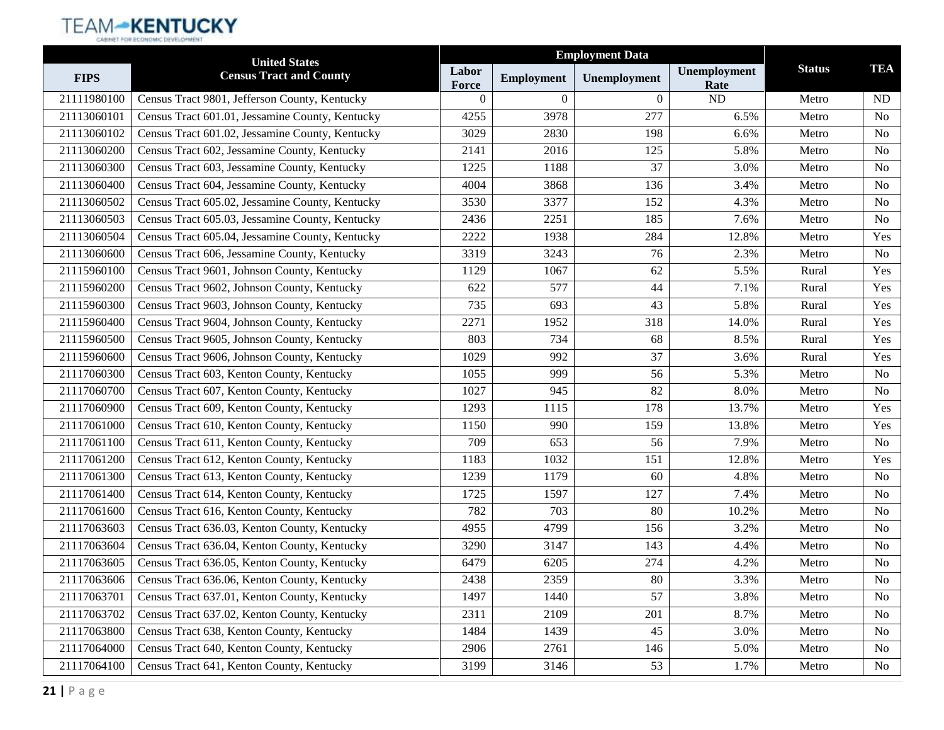|             | <b>United States</b>                            | <b>Employment Data</b> |                   |              |                      |               |                |
|-------------|-------------------------------------------------|------------------------|-------------------|--------------|----------------------|---------------|----------------|
| <b>FIPS</b> | <b>Census Tract and County</b>                  | Labor<br>Force         | <b>Employment</b> | Unemployment | Unemployment<br>Rate | <b>Status</b> | <b>TEA</b>     |
| 21111980100 | Census Tract 9801, Jefferson County, Kentucky   | $\theta$               | $\Omega$          | $\Omega$     | ND                   | Metro         | ND.            |
| 21113060101 | Census Tract 601.01, Jessamine County, Kentucky | 4255                   | 3978              | 277          | 6.5%                 | Metro         | N <sub>o</sub> |
| 21113060102 | Census Tract 601.02, Jessamine County, Kentucky | 3029                   | 2830              | 198          | 6.6%                 | Metro         | N <sub>0</sub> |
| 21113060200 | Census Tract 602, Jessamine County, Kentucky    | 2141                   | 2016              | 125          | 5.8%                 | Metro         | No             |
| 21113060300 | Census Tract 603, Jessamine County, Kentucky    | 1225                   | 1188              | 37           | 3.0%                 | Metro         | N <sub>o</sub> |
| 21113060400 | Census Tract 604, Jessamine County, Kentucky    | 4004                   | 3868              | 136          | 3.4%                 | Metro         | N <sub>0</sub> |
| 21113060502 | Census Tract 605.02, Jessamine County, Kentucky | 3530                   | 3377              | 152          | 4.3%                 | Metro         | N <sub>o</sub> |
| 21113060503 | Census Tract 605.03, Jessamine County, Kentucky | 2436                   | 2251              | 185          | 7.6%                 | Metro         | N <sub>o</sub> |
| 21113060504 | Census Tract 605.04, Jessamine County, Kentucky | 2222                   | 1938              | 284          | 12.8%                | Metro         | Yes            |
| 21113060600 | Census Tract 606, Jessamine County, Kentucky    | 3319                   | 3243              | 76           | 2.3%                 | Metro         | N <sub>o</sub> |
| 21115960100 | Census Tract 9601, Johnson County, Kentucky     | 1129                   | 1067              | 62           | 5.5%                 | Rural         | Yes            |
| 21115960200 | Census Tract 9602, Johnson County, Kentucky     | 622                    | 577               | 44           | 7.1%                 | Rural         | Yes            |
| 21115960300 | Census Tract 9603, Johnson County, Kentucky     | 735                    | 693               | 43           | 5.8%                 | Rural         | Yes            |
| 21115960400 | Census Tract 9604, Johnson County, Kentucky     | 2271                   | 1952              | 318          | 14.0%                | Rural         | Yes            |
| 21115960500 | Census Tract 9605, Johnson County, Kentucky     | 803                    | 734               | 68           | 8.5%                 | Rural         | Yes            |
| 21115960600 | Census Tract 9606, Johnson County, Kentucky     | 1029                   | 992               | 37           | 3.6%                 | Rural         | Yes            |
| 21117060300 | Census Tract 603, Kenton County, Kentucky       | 1055                   | 999               | 56           | 5.3%                 | Metro         | N <sub>o</sub> |
| 21117060700 | Census Tract 607, Kenton County, Kentucky       | 1027                   | 945               | 82           | 8.0%                 | Metro         | N <sub>0</sub> |
| 21117060900 | Census Tract 609, Kenton County, Kentucky       | 1293                   | 1115              | 178          | 13.7%                | Metro         | Yes            |
| 21117061000 | Census Tract 610, Kenton County, Kentucky       | 1150                   | 990               | 159          | 13.8%                | Metro         | Yes            |
| 21117061100 | Census Tract 611, Kenton County, Kentucky       | 709                    | 653               | 56           | 7.9%                 | Metro         | N <sub>0</sub> |
| 21117061200 | Census Tract 612, Kenton County, Kentucky       | 1183                   | 1032              | 151          | 12.8%                | Metro         | Yes            |
| 21117061300 | Census Tract 613, Kenton County, Kentucky       | 1239                   | 1179              | 60           | 4.8%                 | Metro         | N <sub>0</sub> |
| 21117061400 | Census Tract 614, Kenton County, Kentucky       | 1725                   | 1597              | 127          | 7.4%                 | Metro         | No             |
| 21117061600 | Census Tract 616, Kenton County, Kentucky       | 782                    | 703               | 80           | 10.2%                | Metro         | N <sub>0</sub> |
| 21117063603 | Census Tract 636.03, Kenton County, Kentucky    | 4955                   | 4799              | 156          | 3.2%                 | Metro         | No             |
| 21117063604 | Census Tract 636.04, Kenton County, Kentucky    | 3290                   | 3147              | 143          | 4.4%                 | Metro         | No             |
| 21117063605 | Census Tract 636.05, Kenton County, Kentucky    | 6479                   | 6205              | 274          | 4.2%                 | Metro         | No             |
| 21117063606 | Census Tract 636.06, Kenton County, Kentucky    | 2438                   | 2359              | 80           | 3.3%                 | Metro         | No             |
| 21117063701 | Census Tract 637.01, Kenton County, Kentucky    | 1497                   | 1440              | 57           | 3.8%                 | Metro         | N <sub>0</sub> |
| 21117063702 | Census Tract 637.02, Kenton County, Kentucky    | 2311                   | 2109              | 201          | 8.7%                 | Metro         | No             |
| 21117063800 | Census Tract 638, Kenton County, Kentucky       | 1484                   | 1439              | 45           | 3.0%                 | Metro         | N <sub>0</sub> |
| 21117064000 | Census Tract 640, Kenton County, Kentucky       | 2906                   | 2761              | 146          | 5.0%                 | Metro         | No             |
| 21117064100 | Census Tract 641, Kenton County, Kentucky       | 3199                   | 3146              | 53           | 1.7%                 | Metro         | No             |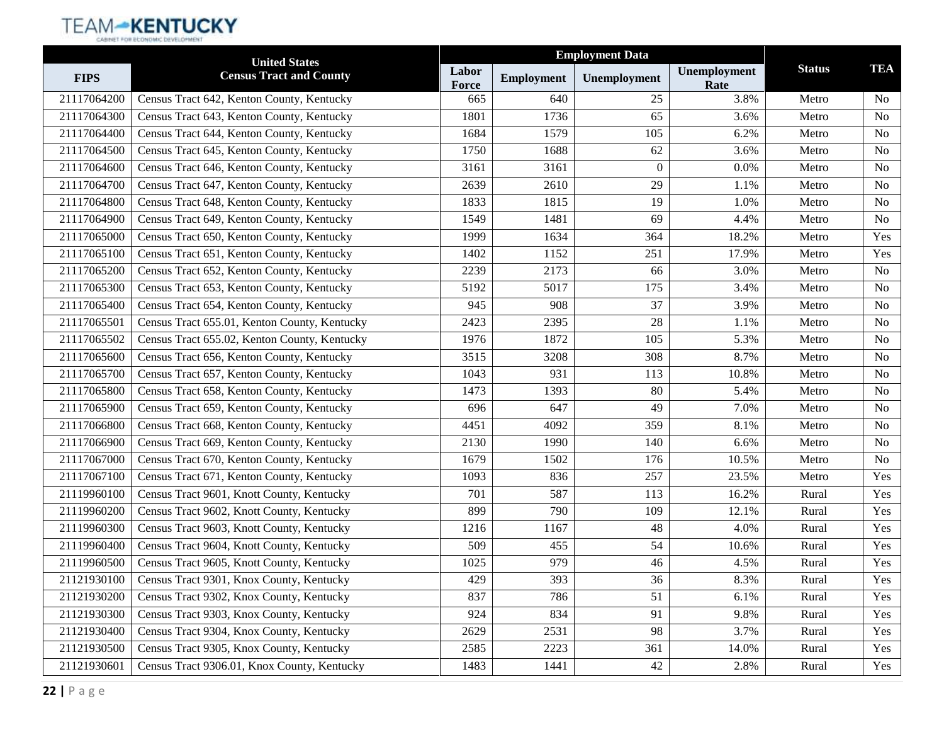|             | <b>United States</b>                         |                |                   |              |                      |               |                |
|-------------|----------------------------------------------|----------------|-------------------|--------------|----------------------|---------------|----------------|
| <b>FIPS</b> | <b>Census Tract and County</b>               | Labor<br>Force | <b>Employment</b> | Unemployment | Unemployment<br>Rate | <b>Status</b> | <b>TEA</b>     |
| 21117064200 | Census Tract 642, Kenton County, Kentucky    | 665            | 640               | 25           | 3.8%                 | Metro         | N <sub>0</sub> |
| 21117064300 | Census Tract 643, Kenton County, Kentucky    | 1801           | 1736              | 65           | 3.6%                 | Metro         | N <sub>o</sub> |
| 21117064400 | Census Tract 644, Kenton County, Kentucky    | 1684           | 1579              | 105          | 6.2%                 | Metro         | N <sub>0</sub> |
| 21117064500 | Census Tract 645, Kenton County, Kentucky    | 1750           | 1688              | 62           | 3.6%                 | Metro         | No             |
| 21117064600 | Census Tract 646, Kenton County, Kentucky    | 3161           | 3161              | $\theta$     | 0.0%                 | Metro         | N <sub>o</sub> |
| 21117064700 | Census Tract 647, Kenton County, Kentucky    | 2639           | 2610              | 29           | 1.1%                 | Metro         | N <sub>0</sub> |
| 21117064800 | Census Tract 648, Kenton County, Kentucky    | 1833           | 1815              | 19           | 1.0%                 | Metro         | N <sub>o</sub> |
| 21117064900 | Census Tract 649, Kenton County, Kentucky    | 1549           | 1481              | 69           | 4.4%                 | Metro         | N <sub>o</sub> |
| 21117065000 | Census Tract 650, Kenton County, Kentucky    | 1999           | 1634              | 364          | 18.2%                | Metro         | Yes            |
| 21117065100 | Census Tract 651, Kenton County, Kentucky    | 1402           | 1152              | 251          | 17.9%                | Metro         | Yes            |
| 21117065200 | Census Tract 652, Kenton County, Kentucky    | 2239           | 2173              | 66           | 3.0%                 | Metro         | N <sub>o</sub> |
| 21117065300 | Census Tract 653, Kenton County, Kentucky    | 5192           | 5017              | 175          | 3.4%                 | Metro         | N <sub>o</sub> |
| 21117065400 | Census Tract 654, Kenton County, Kentucky    | 945            | 908               | 37           | 3.9%                 | Metro         | N <sub>0</sub> |
| 21117065501 | Census Tract 655.01, Kenton County, Kentucky | 2423           | 2395              | 28           | 1.1%                 | Metro         | No             |
| 21117065502 | Census Tract 655.02, Kenton County, Kentucky | 1976           | 1872              | 105          | 5.3%                 | Metro         | N <sub>o</sub> |
| 21117065600 | Census Tract 656, Kenton County, Kentucky    | 3515           | 3208              | 308          | 8.7%                 | Metro         | N <sub>0</sub> |
| 21117065700 | Census Tract 657, Kenton County, Kentucky    | 1043           | 931               | 113          | 10.8%                | Metro         | N <sub>o</sub> |
| 21117065800 | Census Tract 658, Kenton County, Kentucky    | 1473           | 1393              | 80           | 5.4%                 | Metro         | N <sub>0</sub> |
| 21117065900 | Census Tract 659, Kenton County, Kentucky    | 696            | 647               | 49           | 7.0%                 | Metro         | No             |
| 21117066800 | Census Tract 668, Kenton County, Kentucky    | 4451           | 4092              | 359          | 8.1%                 | Metro         | N <sub>0</sub> |
| 21117066900 | Census Tract 669, Kenton County, Kentucky    | 2130           | 1990              | 140          | 6.6%                 | Metro         | N <sub>0</sub> |
| 21117067000 | Census Tract 670, Kenton County, Kentucky    | 1679           | 1502              | 176          | 10.5%                | Metro         | N <sub>o</sub> |
| 21117067100 | Census Tract 671, Kenton County, Kentucky    | 1093           | 836               | 257          | 23.5%                | Metro         | Yes            |
| 21119960100 | Census Tract 9601, Knott County, Kentucky    | 701            | 587               | 113          | 16.2%                | Rural         | Yes            |
| 21119960200 | Census Tract 9602, Knott County, Kentucky    | 899            | 790               | 109          | 12.1%                | Rural         | Yes            |
| 21119960300 | Census Tract 9603, Knott County, Kentucky    | 1216           | 1167              | 48           | 4.0%                 | Rural         | Yes            |
| 21119960400 | Census Tract 9604, Knott County, Kentucky    | 509            | 455               | 54           | 10.6%                | Rural         | Yes            |
| 21119960500 | Census Tract 9605, Knott County, Kentucky    | 1025           | 979               | 46           | 4.5%                 | Rural         | Yes            |
| 21121930100 | Census Tract 9301, Knox County, Kentucky     | 429            | 393               | 36           | 8.3%                 | Rural         | Yes            |
| 21121930200 | Census Tract 9302, Knox County, Kentucky     | 837            | 786               | 51           | 6.1%                 | Rural         | Yes            |
| 21121930300 | Census Tract 9303, Knox County, Kentucky     | 924            | 834               | 91           | 9.8%                 | Rural         | Yes            |
| 21121930400 | Census Tract 9304, Knox County, Kentucky     | 2629           | 2531              | 98           | 3.7%                 | Rural         | Yes            |
| 21121930500 | Census Tract 9305, Knox County, Kentucky     | 2585           | 2223              | 361          | 14.0%                | Rural         | Yes            |
| 21121930601 | Census Tract 9306.01, Knox County, Kentucky  | 1483           | 1441              | 42           | 2.8%                 | Rural         | Yes            |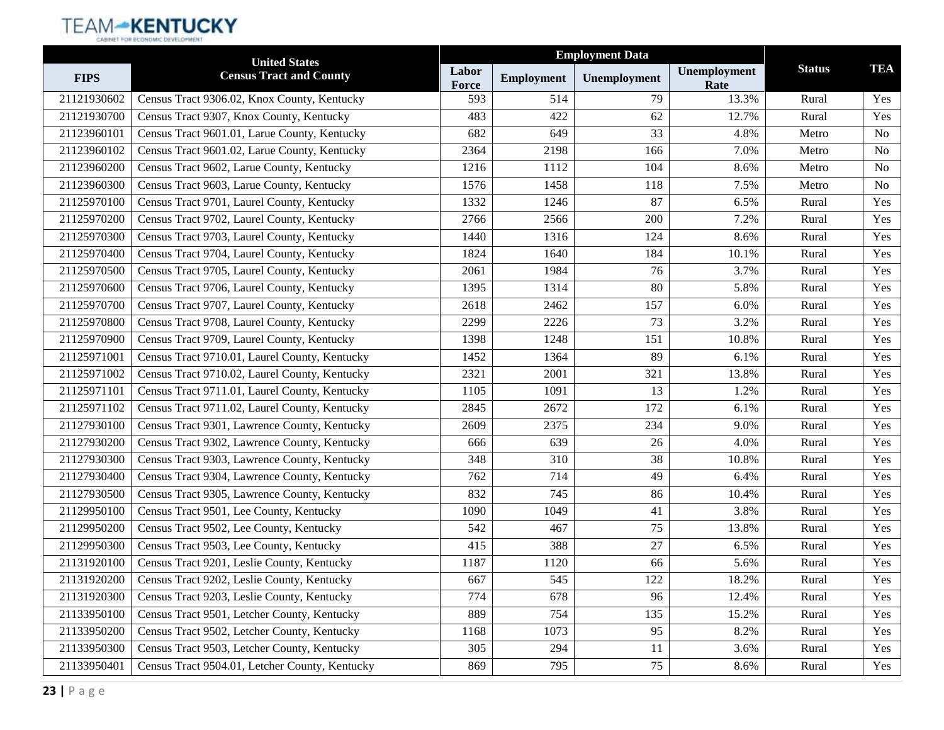|             | <b>United States</b>                           | <b>Employment Data</b> |                   |              |                      |               |                |
|-------------|------------------------------------------------|------------------------|-------------------|--------------|----------------------|---------------|----------------|
| <b>FIPS</b> | <b>Census Tract and County</b>                 | Labor<br>Force         | <b>Employment</b> | Unemployment | Unemployment<br>Rate | <b>Status</b> | <b>TEA</b>     |
| 21121930602 | Census Tract 9306.02, Knox County, Kentucky    | 593                    | 514               | 79           | 13.3%                | Rural         | Yes            |
| 21121930700 | Census Tract 9307, Knox County, Kentucky       | 483                    | 422               | 62           | 12.7%                | Rural         | Yes            |
| 21123960101 | Census Tract 9601.01, Larue County, Kentucky   | 682                    | 649               | 33           | 4.8%                 | Metro         | N <sub>0</sub> |
| 21123960102 | Census Tract 9601.02, Larue County, Kentucky   | 2364                   | 2198              | 166          | 7.0%                 | Metro         | No             |
| 21123960200 | Census Tract 9602, Larue County, Kentucky      | 1216                   | 1112              | 104          | 8.6%                 | Metro         | N <sub>o</sub> |
| 21123960300 | Census Tract 9603, Larue County, Kentucky      | 1576                   | 1458              | 118          | 7.5%                 | Metro         | N <sub>0</sub> |
| 21125970100 | Census Tract 9701, Laurel County, Kentucky     | 1332                   | 1246              | 87           | 6.5%                 | Rural         | Yes            |
| 21125970200 | Census Tract 9702, Laurel County, Kentucky     | 2766                   | 2566              | 200          | 7.2%                 | Rural         | Yes            |
| 21125970300 | Census Tract 9703, Laurel County, Kentucky     | 1440                   | 1316              | 124          | 8.6%                 | Rural         | Yes            |
| 21125970400 | Census Tract 9704, Laurel County, Kentucky     | 1824                   | 1640              | 184          | 10.1%                | Rural         | Yes            |
| 21125970500 | Census Tract 9705, Laurel County, Kentucky     | 2061                   | 1984              | 76           | 3.7%                 | Rural         | Yes            |
| 21125970600 | Census Tract 9706, Laurel County, Kentucky     | 1395                   | 1314              | 80           | 5.8%                 | Rural         | Yes            |
| 21125970700 | Census Tract 9707, Laurel County, Kentucky     | 2618                   | 2462              | 157          | 6.0%                 | Rural         | Yes            |
| 21125970800 | Census Tract 9708, Laurel County, Kentucky     | 2299                   | 2226              | 73           | 3.2%                 | Rural         | Yes            |
| 21125970900 | Census Tract 9709, Laurel County, Kentucky     | 1398                   | 1248              | 151          | 10.8%                | Rural         | Yes            |
| 21125971001 | Census Tract 9710.01, Laurel County, Kentucky  | 1452                   | 1364              | 89           | 6.1%                 | Rural         | Yes            |
| 21125971002 | Census Tract 9710.02, Laurel County, Kentucky  | 2321                   | 2001              | 321          | 13.8%                | Rural         | Yes            |
| 21125971101 | Census Tract 9711.01, Laurel County, Kentucky  | 1105                   | 1091              | 13           | 1.2%                 | Rural         | Yes            |
| 21125971102 | Census Tract 9711.02, Laurel County, Kentucky  | 2845                   | 2672              | 172          | 6.1%                 | Rural         | Yes            |
| 21127930100 | Census Tract 9301, Lawrence County, Kentucky   | 2609                   | 2375              | 234          | 9.0%                 | Rural         | Yes            |
| 21127930200 | Census Tract 9302, Lawrence County, Kentucky   | 666                    | 639               | 26           | 4.0%                 | Rural         | Yes            |
| 21127930300 | Census Tract 9303, Lawrence County, Kentucky   | 348                    | 310               | 38           | 10.8%                | Rural         | Yes            |
| 21127930400 | Census Tract 9304, Lawrence County, Kentucky   | 762                    | 714               | 49           | 6.4%                 | Rural         | Yes            |
| 21127930500 | Census Tract 9305, Lawrence County, Kentucky   | 832                    | 745               | 86           | 10.4%                | Rural         | Yes            |
| 21129950100 | Census Tract 9501, Lee County, Kentucky        | 1090                   | 1049              | 41           | 3.8%                 | Rural         | Yes            |
| 21129950200 | Census Tract 9502, Lee County, Kentucky        | 542                    | 467               | 75           | 13.8%                | Rural         | Yes            |
| 21129950300 | Census Tract 9503, Lee County, Kentucky        | 415                    | 388               | 27           | 6.5%                 | Rural         | Yes            |
| 21131920100 | Census Tract 9201, Leslie County, Kentucky     | 1187                   | 1120              | 66           | 5.6%                 | Rural         | Yes            |
| 21131920200 | Census Tract 9202, Leslie County, Kentucky     | 667                    | 545               | 122          | 18.2%                | Rural         | Yes            |
| 21131920300 | Census Tract 9203, Leslie County, Kentucky     | 774                    | 678               | 96           | 12.4%                | Rural         | Yes            |
| 21133950100 | Census Tract 9501, Letcher County, Kentucky    | 889                    | 754               | 135          | 15.2%                | Rural         | Yes            |
| 21133950200 | Census Tract 9502, Letcher County, Kentucky    | 1168                   | 1073              | 95           | 8.2%                 | Rural         | Yes            |
| 21133950300 | Census Tract 9503, Letcher County, Kentucky    | 305                    | 294               | 11           | 3.6%                 | Rural         | Yes            |
| 21133950401 | Census Tract 9504.01, Letcher County, Kentucky | 869                    | 795               | 75           | 8.6%                 | Rural         | Yes            |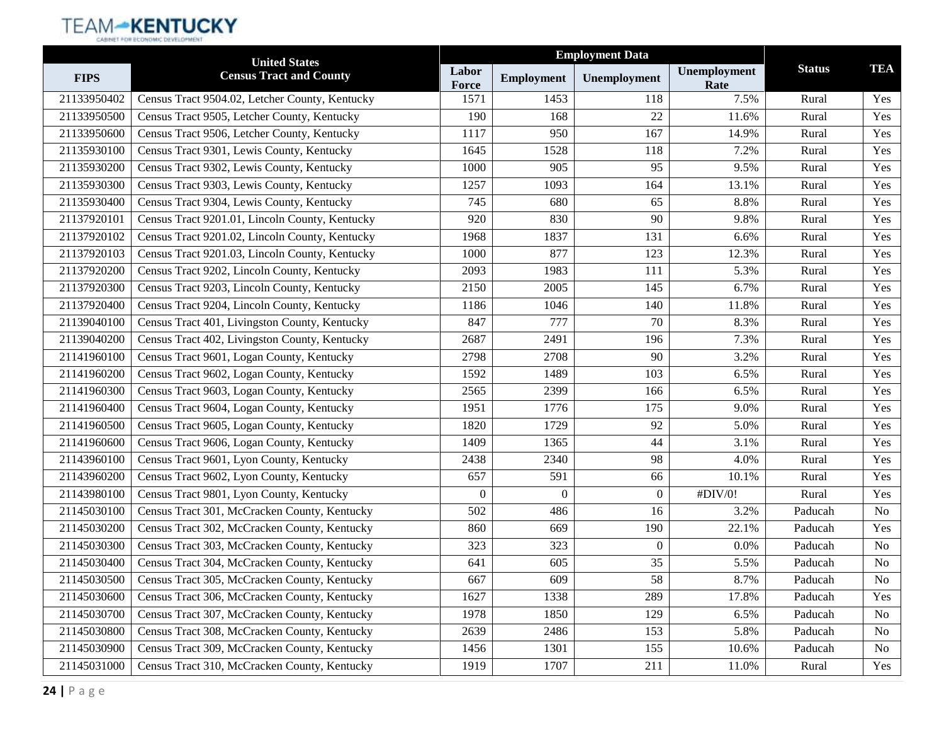|             | <b>United States</b>                           |                | <b>Employment Data</b> |                |                      |               |                |
|-------------|------------------------------------------------|----------------|------------------------|----------------|----------------------|---------------|----------------|
| <b>FIPS</b> | <b>Census Tract and County</b>                 | Labor<br>Force | <b>Employment</b>      | Unemployment   | Unemployment<br>Rate | <b>Status</b> | <b>TEA</b>     |
| 21133950402 | Census Tract 9504.02, Letcher County, Kentucky | 1571           | 1453                   | 118            | 7.5%                 | Rural         | Yes            |
| 21133950500 | Census Tract 9505, Letcher County, Kentucky    | 190            | 168                    | 22             | 11.6%                | Rural         | Yes            |
| 21133950600 | Census Tract 9506, Letcher County, Kentucky    | 1117           | 950                    | 167            | 14.9%                | Rural         | Yes            |
| 21135930100 | Census Tract 9301, Lewis County, Kentucky      | 1645           | 1528                   | 118            | 7.2%                 | Rural         | Yes            |
| 21135930200 | Census Tract 9302, Lewis County, Kentucky      | 1000           | 905                    | 95             | 9.5%                 | Rural         | Yes            |
| 21135930300 | Census Tract 9303, Lewis County, Kentucky      | 1257           | 1093                   | 164            | 13.1%                | Rural         | Yes            |
| 21135930400 | Census Tract 9304, Lewis County, Kentucky      | 745            | 680                    | 65             | 8.8%                 | Rural         | Yes            |
| 21137920101 | Census Tract 9201.01, Lincoln County, Kentucky | 920            | 830                    | 90             | 9.8%                 | Rural         | Yes            |
| 21137920102 | Census Tract 9201.02, Lincoln County, Kentucky | 1968           | 1837                   | 131            | 6.6%                 | Rural         | Yes            |
| 21137920103 | Census Tract 9201.03, Lincoln County, Kentucky | 1000           | 877                    | 123            | 12.3%                | Rural         | Yes            |
| 21137920200 | Census Tract 9202, Lincoln County, Kentucky    | 2093           | 1983                   | 111            | 5.3%                 | Rural         | Yes            |
| 21137920300 | Census Tract 9203, Lincoln County, Kentucky    | 2150           | 2005                   | 145            | 6.7%                 | Rural         | Yes            |
| 21137920400 | Census Tract 9204, Lincoln County, Kentucky    | 1186           | 1046                   | 140            | 11.8%                | Rural         | Yes            |
| 21139040100 | Census Tract 401, Livingston County, Kentucky  | 847            | 777                    | 70             | 8.3%                 | Rural         | Yes            |
| 21139040200 | Census Tract 402, Livingston County, Kentucky  | 2687           | 2491                   | 196            | 7.3%                 | Rural         | Yes            |
| 21141960100 | Census Tract 9601, Logan County, Kentucky      | 2798           | 2708                   | 90             | 3.2%                 | Rural         | Yes            |
| 21141960200 | Census Tract 9602, Logan County, Kentucky      | 1592           | 1489                   | 103            | 6.5%                 | Rural         | Yes            |
| 21141960300 | Census Tract 9603, Logan County, Kentucky      | 2565           | 2399                   | 166            | 6.5%                 | Rural         | Yes            |
| 21141960400 | Census Tract 9604, Logan County, Kentucky      | 1951           | 1776                   | 175            | 9.0%                 | Rural         | Yes            |
| 21141960500 | Census Tract 9605, Logan County, Kentucky      | 1820           | 1729                   | 92             | 5.0%                 | Rural         | Yes            |
| 21141960600 | Census Tract 9606, Logan County, Kentucky      | 1409           | 1365                   | 44             | 3.1%                 | Rural         | Yes            |
| 21143960100 | Census Tract 9601, Lyon County, Kentucky       | 2438           | 2340                   | 98             | 4.0%                 | Rural         | Yes            |
| 21143960200 | Census Tract 9602, Lyon County, Kentucky       | 657            | 591                    | 66             | 10.1%                | Rural         | Yes            |
| 21143980100 | Census Tract 9801, Lyon County, Kentucky       | $\mathbf{0}$   | $\overline{0}$         | $\overline{0}$ | #DIV/0!              | Rural         | Yes            |
| 21145030100 | Census Tract 301, McCracken County, Kentucky   | 502            | 486                    | 16             | 3.2%                 | Paducah       | N <sub>o</sub> |
| 21145030200 | Census Tract 302, McCracken County, Kentucky   | 860            | 669                    | 190            | 22.1%                | Paducah       | Yes            |
| 21145030300 | Census Tract 303, McCracken County, Kentucky   | 323            | 323                    | $\theta$       | 0.0%                 | Paducah       | No             |
| 21145030400 | Census Tract 304, McCracken County, Kentucky   | 641            | 605                    | 35             | 5.5%                 | Paducah       | No             |
| 21145030500 | Census Tract 305, McCracken County, Kentucky   | 667            | 609                    | 58             | 8.7%                 | Paducah       | No             |
| 21145030600 | Census Tract 306, McCracken County, Kentucky   | 1627           | 1338                   | 289            | 17.8%                | Paducah       | Yes            |
| 21145030700 | Census Tract 307, McCracken County, Kentucky   | 1978           | 1850                   | 129            | 6.5%                 | Paducah       | No             |
| 21145030800 | Census Tract 308, McCracken County, Kentucky   | 2639           | 2486                   | 153            | 5.8%                 | Paducah       | N <sub>0</sub> |
| 21145030900 | Census Tract 309, McCracken County, Kentucky   | 1456           | 1301                   | 155            | 10.6%                | Paducah       | No             |
| 21145031000 | Census Tract 310, McCracken County, Kentucky   | 1919           | 1707                   | 211            | 11.0%                | Rural         | Yes            |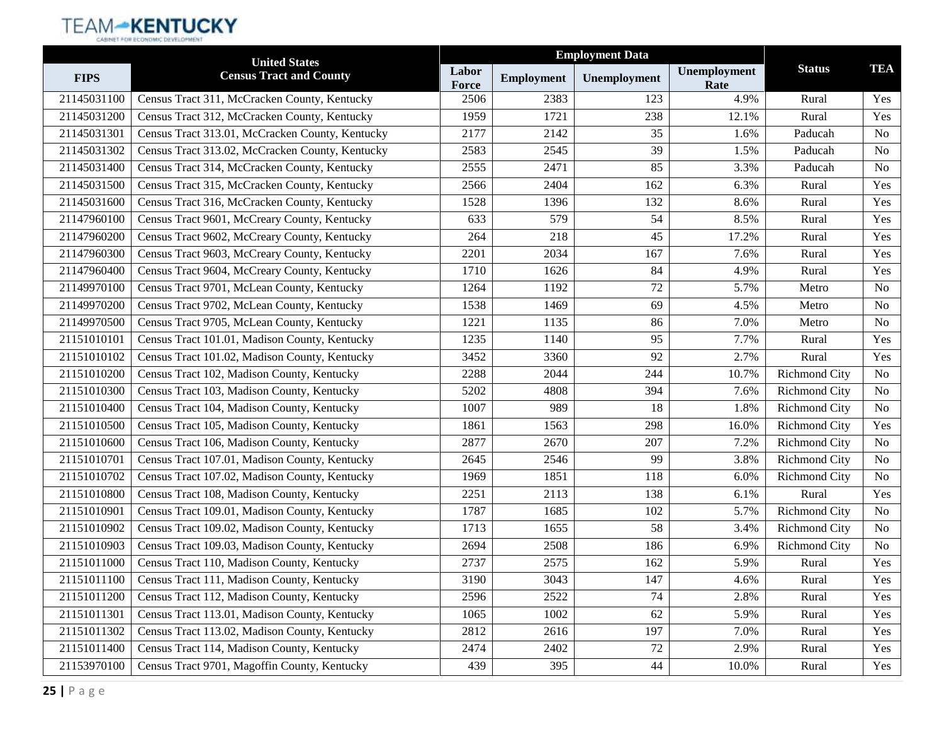|             | <b>United States</b>                            |                       |                   | <b>Employment Data</b> |                      |                      |                |
|-------------|-------------------------------------------------|-----------------------|-------------------|------------------------|----------------------|----------------------|----------------|
| <b>FIPS</b> | <b>Census Tract and County</b>                  | Labor<br><b>Force</b> | <b>Employment</b> | Unemployment           | Unemployment<br>Rate | <b>Status</b>        | <b>TEA</b>     |
| 21145031100 | Census Tract 311, McCracken County, Kentucky    | 2506                  | 2383              | 123                    | 4.9%                 | Rural                | Yes            |
| 21145031200 | Census Tract 312, McCracken County, Kentucky    | 1959                  | 1721              | 238                    | 12.1%                | Rural                | Yes            |
| 21145031301 | Census Tract 313.01, McCracken County, Kentucky | 2177                  | 2142              | 35                     | 1.6%                 | Paducah              | N <sub>0</sub> |
| 21145031302 | Census Tract 313.02, McCracken County, Kentucky | 2583                  | 2545              | 39                     | 1.5%                 | Paducah              | N <sub>o</sub> |
| 21145031400 | Census Tract 314, McCracken County, Kentucky    | 2555                  | 2471              | 85                     | 3.3%                 | Paducah              | <b>No</b>      |
| 21145031500 | Census Tract 315, McCracken County, Kentucky    | 2566                  | 2404              | 162                    | 6.3%                 | Rural                | Yes            |
| 21145031600 | Census Tract 316, McCracken County, Kentucky    | 1528                  | 1396              | 132                    | 8.6%                 | Rural                | Yes            |
| 21147960100 | Census Tract 9601, McCreary County, Kentucky    | 633                   | 579               | 54                     | 8.5%                 | Rural                | Yes            |
| 21147960200 | Census Tract 9602, McCreary County, Kentucky    | 264                   | 218               | 45                     | 17.2%                | Rural                | Yes            |
| 21147960300 | Census Tract 9603, McCreary County, Kentucky    | 2201                  | 2034              | 167                    | 7.6%                 | Rural                | Yes            |
| 21147960400 | Census Tract 9604, McCreary County, Kentucky    | 1710                  | 1626              | 84                     | 4.9%                 | Rural                | Yes            |
| 21149970100 | Census Tract 9701, McLean County, Kentucky      | 1264                  | 1192              | 72                     | 5.7%                 | Metro                | <b>No</b>      |
| 21149970200 | Census Tract 9702, McLean County, Kentucky      | 1538                  | 1469              | 69                     | 4.5%                 | Metro                | N <sub>o</sub> |
| 21149970500 | Census Tract 9705, McLean County, Kentucky      | 1221                  | 1135              | 86                     | 7.0%                 | Metro                | <b>No</b>      |
| 21151010101 | Census Tract 101.01, Madison County, Kentucky   | 1235                  | 1140              | 95                     | 7.7%                 | Rural                | Yes            |
| 21151010102 | Census Tract 101.02, Madison County, Kentucky   | 3452                  | 3360              | 92                     | 2.7%                 | Rural                | Yes            |
| 21151010200 | Census Tract 102, Madison County, Kentucky      | 2288                  | 2044              | 244                    | 10.7%                | <b>Richmond City</b> | <b>No</b>      |
| 21151010300 | Census Tract 103, Madison County, Kentucky      | 5202                  | 4808              | 394                    | 7.6%                 | <b>Richmond City</b> | N <sub>o</sub> |
| 21151010400 | Census Tract 104, Madison County, Kentucky      | 1007                  | 989               | 18                     | 1.8%                 | <b>Richmond City</b> | <b>No</b>      |
| 21151010500 | Census Tract 105, Madison County, Kentucky      | 1861                  | 1563              | 298                    | 16.0%                | <b>Richmond City</b> | Yes            |
| 21151010600 | Census Tract 106, Madison County, Kentucky      | 2877                  | 2670              | 207                    | 7.2%                 | <b>Richmond City</b> | N <sub>o</sub> |
| 21151010701 | Census Tract 107.01, Madison County, Kentucky   | 2645                  | 2546              | 99                     | 3.8%                 | <b>Richmond City</b> | <b>No</b>      |
| 21151010702 | Census Tract 107.02, Madison County, Kentucky   | 1969                  | 1851              | 118                    | 6.0%                 | <b>Richmond City</b> | N <sub>o</sub> |
| 21151010800 | Census Tract 108, Madison County, Kentucky      | 2251                  | 2113              | 138                    | 6.1%                 | Rural                | Yes            |
| 21151010901 | Census Tract 109.01, Madison County, Kentucky   | 1787                  | 1685              | 102                    | 5.7%                 | <b>Richmond City</b> | N <sub>o</sub> |
| 21151010902 | Census Tract 109.02, Madison County, Kentucky   | 1713                  | 1655              | 58                     | 3.4%                 | <b>Richmond City</b> | N <sub>o</sub> |
| 21151010903 | Census Tract 109.03, Madison County, Kentucky   | 2694                  | 2508              | 186                    | 6.9%                 | <b>Richmond City</b> | <b>No</b>      |
| 21151011000 | Census Tract 110, Madison County, Kentucky      | 2737                  | 2575              | 162                    | 5.9%                 | Rural                | Yes            |
| 21151011100 | Census Tract 111, Madison County, Kentucky      | 3190                  | 3043              | 147                    | 4.6%                 | Rural                | Yes            |
| 21151011200 | Census Tract 112, Madison County, Kentucky      | 2596                  | 2522              | 74                     | 2.8%                 | Rural                | Yes            |
| 21151011301 | Census Tract 113.01, Madison County, Kentucky   | 1065                  | 1002              | 62                     | 5.9%                 | Rural                | Yes            |
| 21151011302 | Census Tract 113.02, Madison County, Kentucky   | 2812                  | 2616              | 197                    | 7.0%                 | Rural                | Yes            |
| 21151011400 | Census Tract 114, Madison County, Kentucky      | 2474                  | 2402              | 72                     | 2.9%                 | Rural                | Yes            |
| 21153970100 | Census Tract 9701, Magoffin County, Kentucky    | 439                   | 395               | 44                     | 10.0%                | Rural                | Yes            |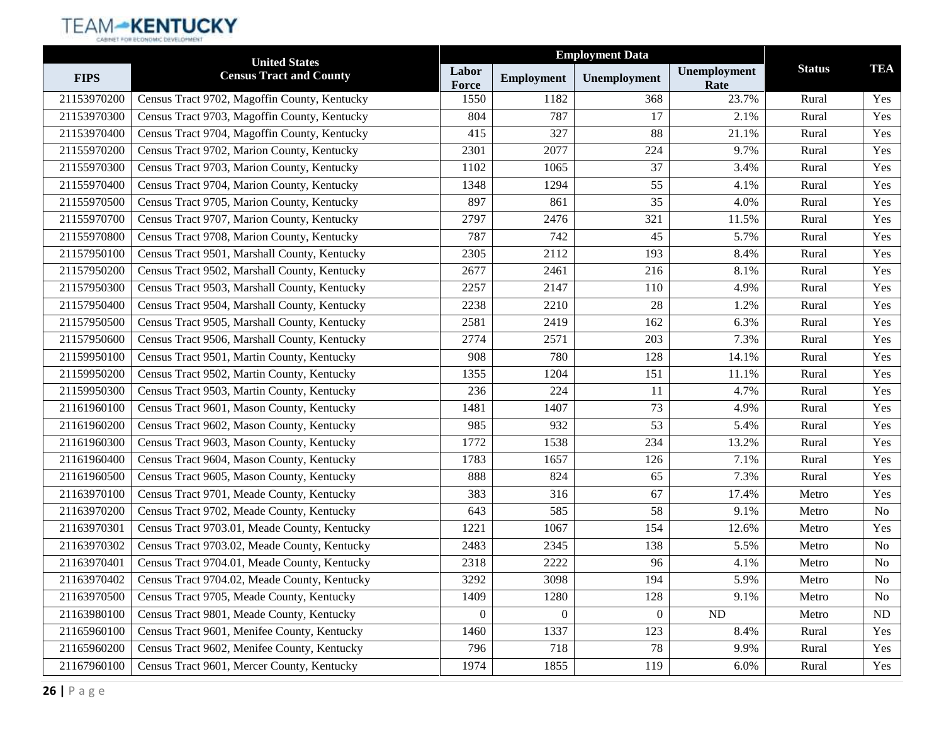|             | <b>United States</b>                         |                |                   | <b>Employment Data</b> |                      |               |                |
|-------------|----------------------------------------------|----------------|-------------------|------------------------|----------------------|---------------|----------------|
| <b>FIPS</b> | <b>Census Tract and County</b>               | Labor<br>Force | <b>Employment</b> | Unemployment           | Unemployment<br>Rate | <b>Status</b> | <b>TEA</b>     |
| 21153970200 | Census Tract 9702, Magoffin County, Kentucky | 1550           | 1182              | 368                    | 23.7%                | Rural         | Yes            |
| 21153970300 | Census Tract 9703, Magoffin County, Kentucky | 804            | 787               | 17                     | 2.1%                 | Rural         | Yes            |
| 21153970400 | Census Tract 9704, Magoffin County, Kentucky | 415            | 327               | 88                     | 21.1%                | Rural         | Yes            |
| 21155970200 | Census Tract 9702, Marion County, Kentucky   | 2301           | 2077              | 224                    | 9.7%                 | Rural         | Yes            |
| 21155970300 | Census Tract 9703, Marion County, Kentucky   | 1102           | 1065              | 37                     | 3.4%                 | Rural         | Yes            |
| 21155970400 | Census Tract 9704, Marion County, Kentucky   | 1348           | 1294              | 55                     | 4.1%                 | Rural         | Yes            |
| 21155970500 | Census Tract 9705, Marion County, Kentucky   | 897            | 861               | 35                     | 4.0%                 | Rural         | Yes            |
| 21155970700 | Census Tract 9707, Marion County, Kentucky   | 2797           | 2476              | 321                    | 11.5%                | Rural         | Yes            |
| 21155970800 | Census Tract 9708, Marion County, Kentucky   | 787            | 742               | 45                     | 5.7%                 | Rural         | Yes            |
| 21157950100 | Census Tract 9501, Marshall County, Kentucky | 2305           | 2112              | 193                    | 8.4%                 | Rural         | Yes            |
| 21157950200 | Census Tract 9502, Marshall County, Kentucky | 2677           | 2461              | 216                    | 8.1%                 | Rural         | Yes            |
| 21157950300 | Census Tract 9503, Marshall County, Kentucky | 2257           | 2147              | 110                    | 4.9%                 | Rural         | Yes            |
| 21157950400 | Census Tract 9504, Marshall County, Kentucky | 2238           | 2210              | 28                     | 1.2%                 | Rural         | Yes            |
| 21157950500 | Census Tract 9505, Marshall County, Kentucky | 2581           | 2419              | 162                    | 6.3%                 | Rural         | Yes            |
| 21157950600 | Census Tract 9506, Marshall County, Kentucky | 2774           | 2571              | 203                    | 7.3%                 | Rural         | Yes            |
| 21159950100 | Census Tract 9501, Martin County, Kentucky   | 908            | 780               | 128                    | 14.1%                | Rural         | Yes            |
| 21159950200 | Census Tract 9502, Martin County, Kentucky   | 1355           | 1204              | 151                    | 11.1%                | Rural         | Yes            |
| 21159950300 | Census Tract 9503, Martin County, Kentucky   | 236            | 224               | 11                     | 4.7%                 | Rural         | Yes            |
| 21161960100 | Census Tract 9601, Mason County, Kentucky    | 1481           | 1407              | 73                     | 4.9%                 | Rural         | Yes            |
| 21161960200 | Census Tract 9602, Mason County, Kentucky    | 985            | 932               | 53                     | 5.4%                 | Rural         | Yes            |
| 21161960300 | Census Tract 9603, Mason County, Kentucky    | 1772           | 1538              | 234                    | 13.2%                | Rural         | Yes            |
| 21161960400 | Census Tract 9604, Mason County, Kentucky    | 1783           | 1657              | 126                    | 7.1%                 | Rural         | Yes            |
| 21161960500 | Census Tract 9605, Mason County, Kentucky    | 888            | 824               | 65                     | 7.3%                 | Rural         | Yes            |
| 21163970100 | Census Tract 9701, Meade County, Kentucky    | 383            | 316               | 67                     | 17.4%                | Metro         | Yes            |
| 21163970200 | Census Tract 9702, Meade County, Kentucky    | 643            | 585               | 58                     | 9.1%                 | Metro         | No             |
| 21163970301 | Census Tract 9703.01, Meade County, Kentucky | 1221           | 1067              | 154                    | 12.6%                | Metro         | Yes            |
| 21163970302 | Census Tract 9703.02, Meade County, Kentucky | 2483           | 2345              | 138                    | 5.5%                 | Metro         | No             |
| 21163970401 | Census Tract 9704.01, Meade County, Kentucky | 2318           | 2222              | 96                     | 4.1%                 | Metro         | N <sub>o</sub> |
| 21163970402 | Census Tract 9704.02, Meade County, Kentucky | 3292           | 3098              | 194                    | 5.9%                 | Metro         | No             |
| 21163970500 | Census Tract 9705, Meade County, Kentucky    | 1409           | 1280              | 128                    | 9.1%                 | Metro         | No             |
| 21163980100 | Census Tract 9801, Meade County, Kentucky    | $\overline{0}$ | $\boldsymbol{0}$  | $\theta$               | ND                   | Metro         | ND             |
| 21165960100 | Census Tract 9601, Menifee County, Kentucky  | 1460           | 1337              | 123                    | 8.4%                 | Rural         | Yes            |
| 21165960200 | Census Tract 9602, Menifee County, Kentucky  | 796            | 718               | 78                     | 9.9%                 | Rural         | Yes            |
| 21167960100 | Census Tract 9601, Mercer County, Kentucky   | 1974           | 1855              | 119                    | 6.0%                 | Rural         | Yes            |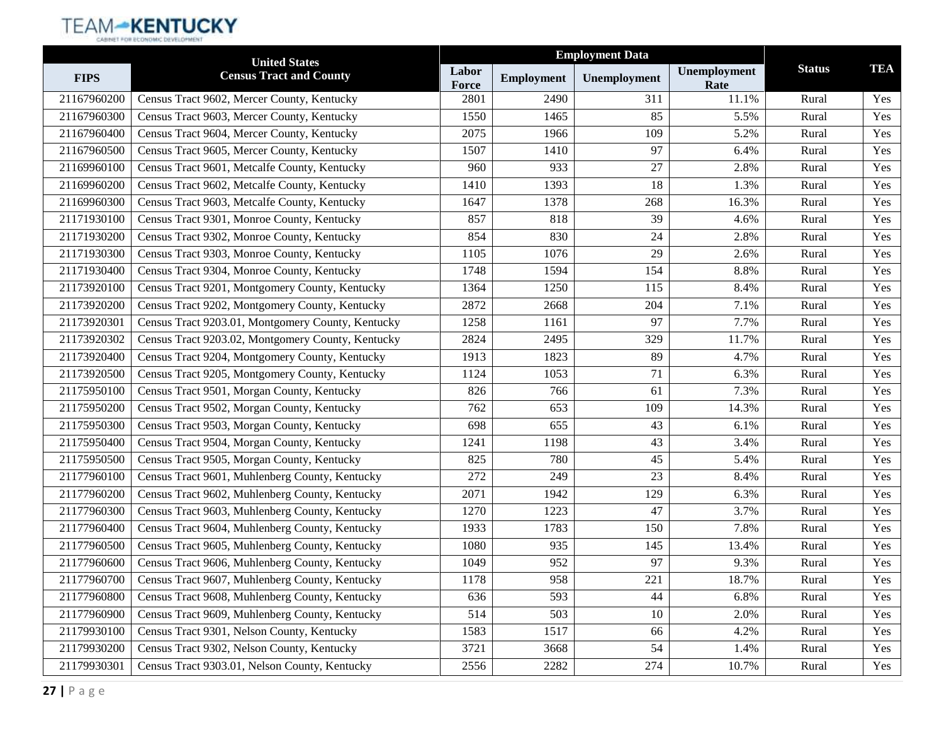|             | <b>United States</b>                              |                | <b>Employment Data</b> |              |                      |               |            |
|-------------|---------------------------------------------------|----------------|------------------------|--------------|----------------------|---------------|------------|
| <b>FIPS</b> | <b>Census Tract and County</b>                    | Labor<br>Force | <b>Employment</b>      | Unemployment | Unemployment<br>Rate | <b>Status</b> | <b>TEA</b> |
| 21167960200 | Census Tract 9602, Mercer County, Kentucky        | 2801           | 2490                   | 311          | 11.1%                | Rural         | Yes        |
| 21167960300 | Census Tract 9603, Mercer County, Kentucky        | 1550           | 1465                   | 85           | 5.5%                 | Rural         | Yes        |
| 21167960400 | Census Tract 9604, Mercer County, Kentucky        | 2075           | 1966                   | 109          | 5.2%                 | Rural         | Yes        |
| 21167960500 | Census Tract 9605, Mercer County, Kentucky        | 1507           | 1410                   | 97           | 6.4%                 | Rural         | Yes        |
| 21169960100 | Census Tract 9601, Metcalfe County, Kentucky      | 960            | 933                    | 27           | 2.8%                 | Rural         | Yes        |
| 21169960200 | Census Tract 9602, Metcalfe County, Kentucky      | 1410           | 1393                   | 18           | 1.3%                 | Rural         | Yes        |
| 21169960300 | Census Tract 9603, Metcalfe County, Kentucky      | 1647           | 1378                   | 268          | 16.3%                | Rural         | Yes        |
| 21171930100 | Census Tract 9301, Monroe County, Kentucky        | 857            | 818                    | 39           | 4.6%                 | Rural         | Yes        |
| 21171930200 | Census Tract 9302, Monroe County, Kentucky        | 854            | 830                    | 24           | 2.8%                 | Rural         | Yes        |
| 21171930300 | Census Tract 9303, Monroe County, Kentucky        | 1105           | 1076                   | 29           | 2.6%                 | Rural         | Yes        |
| 21171930400 | Census Tract 9304, Monroe County, Kentucky        | 1748           | 1594                   | 154          | 8.8%                 | Rural         | Yes        |
| 21173920100 | Census Tract 9201, Montgomery County, Kentucky    | 1364           | 1250                   | 115          | 8.4%                 | Rural         | Yes        |
| 21173920200 | Census Tract 9202, Montgomery County, Kentucky    | 2872           | 2668                   | 204          | 7.1%                 | Rural         | Yes        |
| 21173920301 | Census Tract 9203.01, Montgomery County, Kentucky | 1258           | 1161                   | 97           | 7.7%                 | Rural         | Yes        |
| 21173920302 | Census Tract 9203.02, Montgomery County, Kentucky | 2824           | 2495                   | 329          | 11.7%                | Rural         | Yes        |
| 21173920400 | Census Tract 9204, Montgomery County, Kentucky    | 1913           | 1823                   | 89           | 4.7%                 | Rural         | Yes        |
| 21173920500 | Census Tract 9205, Montgomery County, Kentucky    | 1124           | 1053                   | 71           | 6.3%                 | Rural         | Yes        |
| 21175950100 | Census Tract 9501, Morgan County, Kentucky        | 826            | 766                    | 61           | 7.3%                 | Rural         | Yes        |
| 21175950200 | Census Tract 9502, Morgan County, Kentucky        | 762            | 653                    | 109          | 14.3%                | Rural         | Yes        |
| 21175950300 | Census Tract 9503, Morgan County, Kentucky        | 698            | 655                    | 43           | 6.1%                 | Rural         | Yes        |
| 21175950400 | Census Tract 9504, Morgan County, Kentucky        | 1241           | 1198                   | 43           | 3.4%                 | Rural         | Yes        |
| 21175950500 | Census Tract 9505, Morgan County, Kentucky        | 825            | 780                    | 45           | 5.4%                 | Rural         | Yes        |
| 21177960100 | Census Tract 9601, Muhlenberg County, Kentucky    | 272            | 249                    | 23           | 8.4%                 | Rural         | Yes        |
| 21177960200 | Census Tract 9602, Muhlenberg County, Kentucky    | 2071           | 1942                   | 129          | 6.3%                 | Rural         | Yes        |
| 21177960300 | Census Tract 9603, Muhlenberg County, Kentucky    | 1270           | 1223                   | 47           | 3.7%                 | Rural         | Yes        |
| 21177960400 | Census Tract 9604, Muhlenberg County, Kentucky    | 1933           | 1783                   | 150          | 7.8%                 | Rural         | Yes        |
| 21177960500 | Census Tract 9605, Muhlenberg County, Kentucky    | 1080           | 935                    | 145          | 13.4%                | Rural         | Yes        |
| 21177960600 | Census Tract 9606, Muhlenberg County, Kentucky    | 1049           | 952                    | 97           | 9.3%                 | Rural         | Yes        |
| 21177960700 | Census Tract 9607, Muhlenberg County, Kentucky    | 1178           | 958                    | 221          | 18.7%                | Rural         | Yes        |
| 21177960800 | Census Tract 9608, Muhlenberg County, Kentucky    | 636            | 593                    | 44           | 6.8%                 | Rural         | Yes        |
| 21177960900 | Census Tract 9609, Muhlenberg County, Kentucky    | 514            | 503                    | 10           | 2.0%                 | Rural         | Yes        |
| 21179930100 | Census Tract 9301, Nelson County, Kentucky        | 1583           | 1517                   | 66           | 4.2%                 | Rural         | Yes        |
| 21179930200 | Census Tract 9302, Nelson County, Kentucky        | 3721           | 3668                   | 54           | 1.4%                 | Rural         | Yes        |
| 21179930301 | Census Tract 9303.01, Nelson County, Kentucky     | 2556           | 2282                   | 274          | 10.7%                | Rural         | Yes        |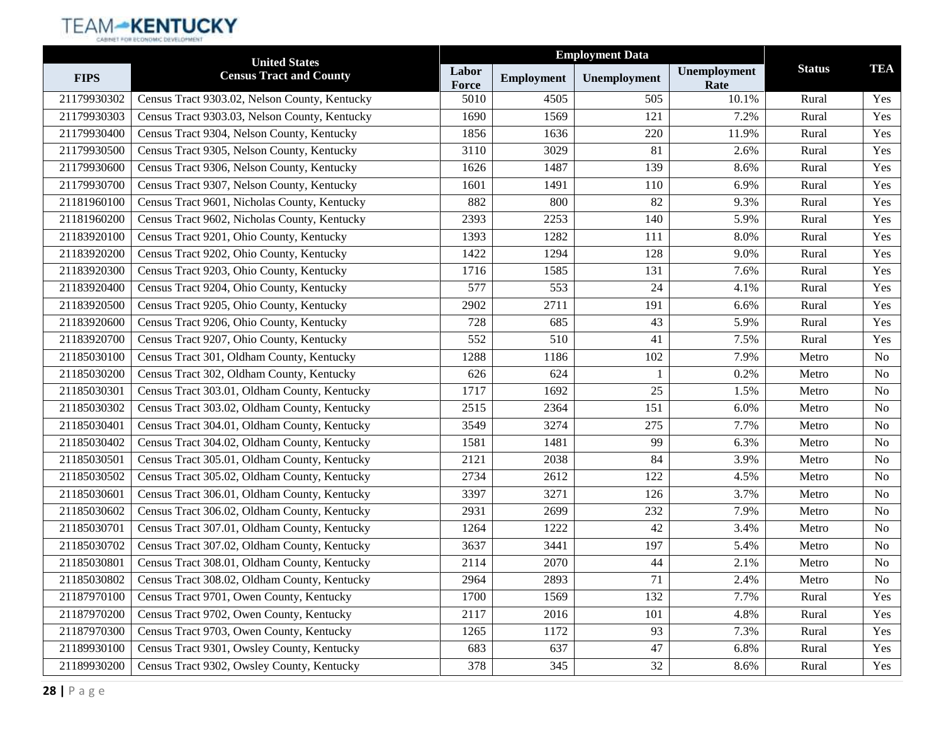|             | <b>United States</b>                          |                |                   | <b>Employment Data</b> |                      |               |                |
|-------------|-----------------------------------------------|----------------|-------------------|------------------------|----------------------|---------------|----------------|
| <b>FIPS</b> | <b>Census Tract and County</b>                | Labor<br>Force | <b>Employment</b> | Unemployment           | Unemployment<br>Rate | <b>Status</b> | <b>TEA</b>     |
| 21179930302 | Census Tract 9303.02, Nelson County, Kentucky | 5010           | 4505              | 505                    | 10.1%                | Rural         | Yes            |
| 21179930303 | Census Tract 9303.03, Nelson County, Kentucky | 1690           | 1569              | 121                    | 7.2%                 | Rural         | Yes            |
| 21179930400 | Census Tract 9304, Nelson County, Kentucky    | 1856           | 1636              | 220                    | 11.9%                | Rural         | Yes            |
| 21179930500 | Census Tract 9305, Nelson County, Kentucky    | 3110           | 3029              | 81                     | 2.6%                 | Rural         | Yes            |
| 21179930600 | Census Tract 9306, Nelson County, Kentucky    | 1626           | 1487              | 139                    | 8.6%                 | Rural         | Yes            |
| 21179930700 | Census Tract 9307, Nelson County, Kentucky    | 1601           | 1491              | 110                    | 6.9%                 | Rural         | Yes            |
| 21181960100 | Census Tract 9601, Nicholas County, Kentucky  | 882            | 800               | 82                     | 9.3%                 | Rural         | Yes            |
| 21181960200 | Census Tract 9602, Nicholas County, Kentucky  | 2393           | 2253              | 140                    | 5.9%                 | Rural         | Yes            |
| 21183920100 | Census Tract 9201, Ohio County, Kentucky      | 1393           | 1282              | 111                    | 8.0%                 | Rural         | Yes            |
| 21183920200 | Census Tract 9202, Ohio County, Kentucky      | 1422           | 1294              | 128                    | 9.0%                 | Rural         | Yes            |
| 21183920300 | Census Tract 9203, Ohio County, Kentucky      | 1716           | 1585              | 131                    | 7.6%                 | Rural         | Yes            |
| 21183920400 | Census Tract 9204, Ohio County, Kentucky      | 577            | 553               | 24                     | 4.1%                 | Rural         | Yes            |
| 21183920500 | Census Tract 9205, Ohio County, Kentucky      | 2902           | 2711              | 191                    | 6.6%                 | Rural         | Yes            |
| 21183920600 | Census Tract 9206, Ohio County, Kentucky      | 728            | 685               | 43                     | 5.9%                 | Rural         | Yes            |
| 21183920700 | Census Tract 9207, Ohio County, Kentucky      | 552            | 510               | 41                     | 7.5%                 | Rural         | Yes            |
| 21185030100 | Census Tract 301, Oldham County, Kentucky     | 1288           | 1186              | 102                    | 7.9%                 | Metro         | <b>No</b>      |
| 21185030200 | Census Tract 302, Oldham County, Kentucky     | 626            | 624               |                        | 0.2%                 | Metro         | No             |
| 21185030301 | Census Tract 303.01, Oldham County, Kentucky  | 1717           | 1692              | 25                     | 1.5%                 | Metro         | N <sub>o</sub> |
| 21185030302 | Census Tract 303.02, Oldham County, Kentucky  | 2515           | 2364              | 151                    | 6.0%                 | Metro         | No             |
| 21185030401 | Census Tract 304.01, Oldham County, Kentucky  | 3549           | 3274              | 275                    | 7.7%                 | Metro         | N <sub>o</sub> |
| 21185030402 | Census Tract 304.02, Oldham County, Kentucky  | 1581           | 1481              | 99                     | 6.3%                 | Metro         | <b>No</b>      |
| 21185030501 | Census Tract 305.01, Oldham County, Kentucky  | 2121           | 2038              | 84                     | 3.9%                 | Metro         | No             |
| 21185030502 | Census Tract 305.02, Oldham County, Kentucky  | 2734           | 2612              | 122                    | 4.5%                 | Metro         | No             |
| 21185030601 | Census Tract 306.01, Oldham County, Kentucky  | 3397           | 3271              | 126                    | 3.7%                 | Metro         | No             |
| 21185030602 | Census Tract 306.02, Oldham County, Kentucky  | 2931           | 2699              | 232                    | 7.9%                 | Metro         | N <sub>o</sub> |
| 21185030701 | Census Tract 307.01, Oldham County, Kentucky  | 1264           | 1222              | 42                     | 3.4%                 | Metro         | <b>No</b>      |
| 21185030702 | Census Tract 307.02, Oldham County, Kentucky  | 3637           | 3441              | 197                    | 5.4%                 | Metro         | No             |
| 21185030801 | Census Tract 308.01, Oldham County, Kentucky  | 2114           | 2070              | 44                     | 2.1%                 | Metro         | N <sub>o</sub> |
| 21185030802 | Census Tract 308.02, Oldham County, Kentucky  | 2964           | 2893              | 71                     | 2.4%                 | Metro         | No             |
| 21187970100 | Census Tract 9701, Owen County, Kentucky      | 1700           | 1569              | 132                    | 7.7%                 | Rural         | Yes            |
| 21187970200 | Census Tract 9702, Owen County, Kentucky      | 2117           | 2016              | 101                    | 4.8%                 | Rural         | Yes            |
| 21187970300 | Census Tract 9703, Owen County, Kentucky      | 1265           | 1172              | 93                     | 7.3%                 | Rural         | Yes            |
| 21189930100 | Census Tract 9301, Owsley County, Kentucky    | 683            | 637               | 47                     | 6.8%                 | Rural         | Yes            |
| 21189930200 | Census Tract 9302, Owsley County, Kentucky    | 378            | 345               | 32                     | 8.6%                 | Rural         | Yes            |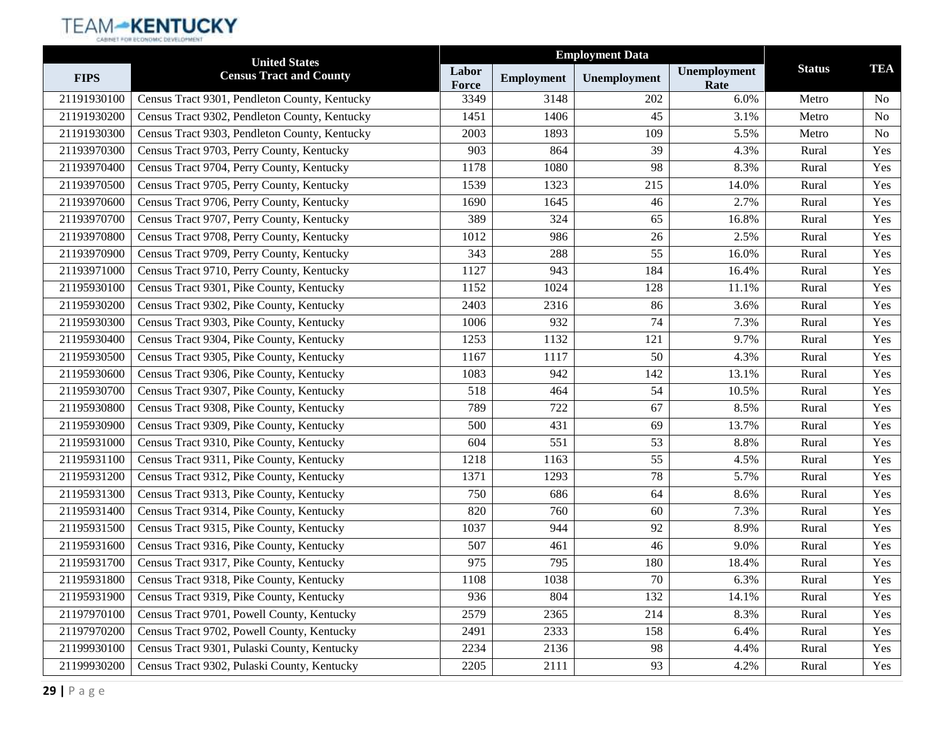|             | <b>United States</b>                          | <b>Employment Data</b> |                   |              |                      |               |                |
|-------------|-----------------------------------------------|------------------------|-------------------|--------------|----------------------|---------------|----------------|
| <b>FIPS</b> | <b>Census Tract and County</b>                | Labor<br>Force         | <b>Employment</b> | Unemployment | Unemployment<br>Rate | <b>Status</b> | <b>TEA</b>     |
| 21191930100 | Census Tract 9301, Pendleton County, Kentucky | 3349                   | 3148              | 202          | 6.0%                 | Metro         | N <sub>o</sub> |
| 21191930200 | Census Tract 9302, Pendleton County, Kentucky | 1451                   | 1406              | 45           | 3.1%                 | Metro         | No             |
| 21191930300 | Census Tract 9303, Pendleton County, Kentucky | 2003                   | 1893              | 109          | 5.5%                 | Metro         | No             |
| 21193970300 | Census Tract 9703, Perry County, Kentucky     | 903                    | 864               | 39           | 4.3%                 | Rural         | Yes            |
| 21193970400 | Census Tract 9704, Perry County, Kentucky     | 1178                   | 1080              | 98           | 8.3%                 | Rural         | Yes            |
| 21193970500 | Census Tract 9705, Perry County, Kentucky     | 1539                   | 1323              | 215          | 14.0%                | Rural         | Yes            |
| 21193970600 | Census Tract 9706, Perry County, Kentucky     | 1690                   | 1645              | 46           | 2.7%                 | Rural         | Yes            |
| 21193970700 | Census Tract 9707, Perry County, Kentucky     | 389                    | 324               | 65           | 16.8%                | Rural         | Yes            |
| 21193970800 | Census Tract 9708, Perry County, Kentucky     | 1012                   | 986               | 26           | 2.5%                 | Rural         | Yes            |
| 21193970900 | Census Tract 9709, Perry County, Kentucky     | 343                    | 288               | 55           | 16.0%                | Rural         | Yes            |
| 21193971000 | Census Tract 9710, Perry County, Kentucky     | 1127                   | 943               | 184          | 16.4%                | Rural         | Yes            |
| 21195930100 | Census Tract 9301, Pike County, Kentucky      | 1152                   | 1024              | 128          | 11.1%                | Rural         | Yes            |
| 21195930200 | Census Tract 9302, Pike County, Kentucky      | 2403                   | 2316              | 86           | 3.6%                 | Rural         | Yes            |
| 21195930300 | Census Tract 9303, Pike County, Kentucky      | 1006                   | 932               | 74           | 7.3%                 | Rural         | Yes            |
| 21195930400 | Census Tract 9304, Pike County, Kentucky      | 1253                   | 1132              | 121          | 9.7%                 | Rural         | Yes            |
| 21195930500 | Census Tract 9305, Pike County, Kentucky      | 1167                   | 1117              | 50           | 4.3%                 | Rural         | Yes            |
| 21195930600 | Census Tract 9306, Pike County, Kentucky      | 1083                   | 942               | 142          | 13.1%                | Rural         | Yes            |
| 21195930700 | Census Tract 9307, Pike County, Kentucky      | 518                    | 464               | 54           | 10.5%                | Rural         | Yes            |
| 21195930800 | Census Tract 9308, Pike County, Kentucky      | 789                    | 722               | 67           | 8.5%                 | Rural         | Yes            |
| 21195930900 | Census Tract 9309, Pike County, Kentucky      | 500                    | 431               | 69           | 13.7%                | Rural         | Yes            |
| 21195931000 | Census Tract 9310, Pike County, Kentucky      | 604                    | 551               | 53           | 8.8%                 | Rural         | Yes            |
| 21195931100 | Census Tract 9311, Pike County, Kentucky      | 1218                   | 1163              | 55           | 4.5%                 | Rural         | Yes            |
| 21195931200 | Census Tract 9312, Pike County, Kentucky      | 1371                   | 1293              | 78           | 5.7%                 | Rural         | Yes            |
| 21195931300 | Census Tract 9313, Pike County, Kentucky      | 750                    | 686               | 64           | 8.6%                 | Rural         | Yes            |
| 21195931400 | Census Tract 9314, Pike County, Kentucky      | 820                    | 760               | 60           | 7.3%                 | Rural         | Yes            |
| 21195931500 | Census Tract 9315, Pike County, Kentucky      | 1037                   | 944               | 92           | 8.9%                 | Rural         | Yes            |
| 21195931600 | Census Tract 9316, Pike County, Kentucky      | 507                    | 461               | 46           | 9.0%                 | Rural         | Yes            |
| 21195931700 | Census Tract 9317, Pike County, Kentucky      | 975                    | 795               | 180          | 18.4%                | Rural         | Yes            |
| 21195931800 | Census Tract 9318, Pike County, Kentucky      | 1108                   | 1038              | 70           | 6.3%                 | Rural         | Yes            |
| 21195931900 | Census Tract 9319, Pike County, Kentucky      | 936                    | 804               | 132          | 14.1%                | Rural         | Yes            |
| 21197970100 | Census Tract 9701, Powell County, Kentucky    | 2579                   | 2365              | 214          | 8.3%                 | Rural         | Yes            |
| 21197970200 | Census Tract 9702, Powell County, Kentucky    | 2491                   | 2333              | 158          | 6.4%                 | Rural         | Yes            |
| 21199930100 | Census Tract 9301, Pulaski County, Kentucky   | 2234                   | 2136              | 98           | 4.4%                 | Rural         | Yes            |
| 21199930200 | Census Tract 9302, Pulaski County, Kentucky   | 2205                   | 2111              | 93           | 4.2%                 | Rural         | Yes            |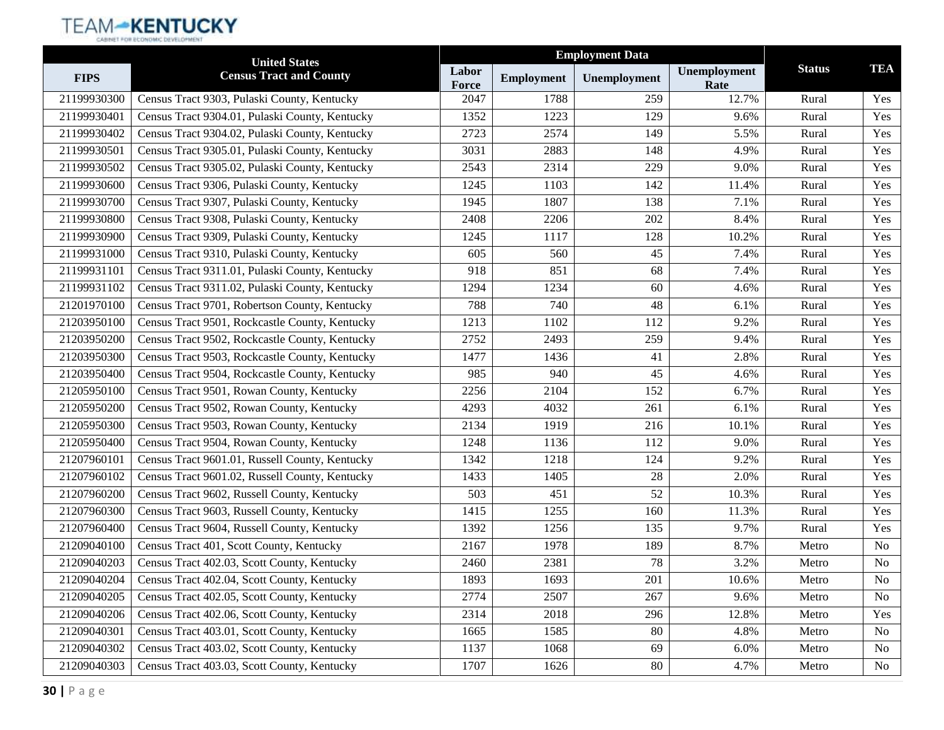|             | <b>United States</b>                           |                |                   | <b>Employment Data</b> |                      |               |            |
|-------------|------------------------------------------------|----------------|-------------------|------------------------|----------------------|---------------|------------|
| <b>FIPS</b> | <b>Census Tract and County</b>                 | Labor<br>Force | <b>Employment</b> | Unemployment           | Unemployment<br>Rate | <b>Status</b> | <b>TEA</b> |
| 21199930300 | Census Tract 9303, Pulaski County, Kentucky    | 2047           | 1788              | 259                    | 12.7%                | Rural         | Yes        |
| 21199930401 | Census Tract 9304.01, Pulaski County, Kentucky | 1352           | 1223              | 129                    | 9.6%                 | Rural         | Yes        |
| 21199930402 | Census Tract 9304.02, Pulaski County, Kentucky | 2723           | 2574              | 149                    | 5.5%                 | Rural         | Yes        |
| 21199930501 | Census Tract 9305.01, Pulaski County, Kentucky | 3031           | 2883              | 148                    | 4.9%                 | Rural         | Yes        |
| 21199930502 | Census Tract 9305.02, Pulaski County, Kentucky | 2543           | 2314              | 229                    | 9.0%                 | Rural         | Yes        |
| 21199930600 | Census Tract 9306, Pulaski County, Kentucky    | 1245           | 1103              | 142                    | 11.4%                | Rural         | Yes        |
| 21199930700 | Census Tract 9307, Pulaski County, Kentucky    | 1945           | 1807              | 138                    | 7.1%                 | Rural         | Yes        |
| 21199930800 | Census Tract 9308, Pulaski County, Kentucky    | 2408           | 2206              | 202                    | 8.4%                 | Rural         | Yes        |
| 21199930900 | Census Tract 9309, Pulaski County, Kentucky    | 1245           | 1117              | 128                    | 10.2%                | Rural         | Yes        |
| 21199931000 | Census Tract 9310, Pulaski County, Kentucky    | 605            | 560               | 45                     | 7.4%                 | Rural         | Yes        |
| 21199931101 | Census Tract 9311.01, Pulaski County, Kentucky | 918            | 851               | 68                     | 7.4%                 | Rural         | Yes        |
| 21199931102 | Census Tract 9311.02, Pulaski County, Kentucky | 1294           | 1234              | 60                     | 4.6%                 | Rural         | Yes        |
| 21201970100 | Census Tract 9701, Robertson County, Kentucky  | 788            | 740               | 48                     | 6.1%                 | Rural         | Yes        |
| 21203950100 | Census Tract 9501, Rockcastle County, Kentucky | 1213           | 1102              | 112                    | 9.2%                 | Rural         | Yes        |
| 21203950200 | Census Tract 9502, Rockcastle County, Kentucky | 2752           | 2493              | 259                    | 9.4%                 | Rural         | Yes        |
| 21203950300 | Census Tract 9503, Rockcastle County, Kentucky | 1477           | 1436              | 41                     | 2.8%                 | Rural         | Yes        |
| 21203950400 | Census Tract 9504, Rockcastle County, Kentucky | 985            | 940               | 45                     | 4.6%                 | Rural         | Yes        |
| 21205950100 | Census Tract 9501, Rowan County, Kentucky      | 2256           | 2104              | 152                    | 6.7%                 | Rural         | Yes        |
| 21205950200 | Census Tract 9502, Rowan County, Kentucky      | 4293           | 4032              | 261                    | 6.1%                 | Rural         | Yes        |
| 21205950300 | Census Tract 9503, Rowan County, Kentucky      | 2134           | 1919              | 216                    | 10.1%                | Rural         | Yes        |
| 21205950400 | Census Tract 9504, Rowan County, Kentucky      | 1248           | 1136              | 112                    | 9.0%                 | Rural         | Yes        |
| 21207960101 | Census Tract 9601.01, Russell County, Kentucky | 1342           | 1218              | 124                    | 9.2%                 | Rural         | Yes        |
| 21207960102 | Census Tract 9601.02, Russell County, Kentucky | 1433           | 1405              | 28                     | 2.0%                 | Rural         | Yes        |
| 21207960200 | Census Tract 9602, Russell County, Kentucky    | 503            | 451               | 52                     | 10.3%                | Rural         | Yes        |
| 21207960300 | Census Tract 9603, Russell County, Kentucky    | 1415           | 1255              | 160                    | 11.3%                | Rural         | Yes        |
| 21207960400 | Census Tract 9604, Russell County, Kentucky    | 1392           | 1256              | 135                    | 9.7%                 | Rural         | Yes        |
| 21209040100 | Census Tract 401, Scott County, Kentucky       | 2167           | 1978              | 189                    | 8.7%                 | Metro         | No         |
| 21209040203 | Census Tract 402.03, Scott County, Kentucky    | 2460           | 2381              | 78                     | 3.2%                 | Metro         | No         |
| 21209040204 | Census Tract 402.04, Scott County, Kentucky    | 1893           | 1693              | 201                    | 10.6%                | Metro         | No         |
| 21209040205 | Census Tract 402.05, Scott County, Kentucky    | 2774           | 2507              | 267                    | 9.6%                 | Metro         | No         |
| 21209040206 | Census Tract 402.06, Scott County, Kentucky    | 2314           | 2018              | 296                    | 12.8%                | Metro         | Yes        |
| 21209040301 | Census Tract 403.01, Scott County, Kentucky    | 1665           | 1585              | 80                     | 4.8%                 | Metro         | No         |
| 21209040302 | Census Tract 403.02, Scott County, Kentucky    | 1137           | 1068              | 69                     | 6.0%                 | Metro         | No         |
| 21209040303 | Census Tract 403.03, Scott County, Kentucky    | 1707           | 1626              | 80                     | 4.7%                 | Metro         | No         |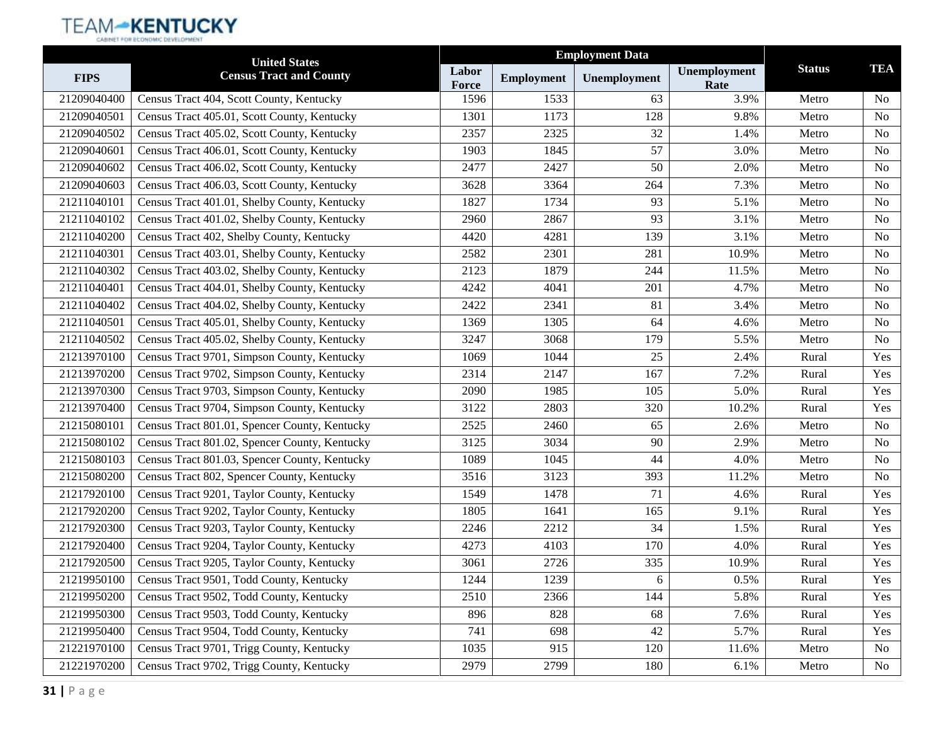|             | <b>United States</b>                          |                |                   | <b>Employment Data</b> |                      |               |                |
|-------------|-----------------------------------------------|----------------|-------------------|------------------------|----------------------|---------------|----------------|
| <b>FIPS</b> | <b>Census Tract and County</b>                | Labor<br>Force | <b>Employment</b> | Unemployment           | Unemployment<br>Rate | <b>Status</b> | <b>TEA</b>     |
| 21209040400 | Census Tract 404, Scott County, Kentucky      | 1596           | 1533              | 63                     | 3.9%                 | Metro         | N <sub>0</sub> |
| 21209040501 | Census Tract 405.01, Scott County, Kentucky   | 1301           | 1173              | 128                    | 9.8%                 | Metro         | N <sub>o</sub> |
| 21209040502 | Census Tract 405.02, Scott County, Kentucky   | 2357           | 2325              | 32                     | 1.4%                 | Metro         | N <sub>0</sub> |
| 21209040601 | Census Tract 406.01, Scott County, Kentucky   | 1903           | 1845              | 57                     | 3.0%                 | Metro         | N <sub>o</sub> |
| 21209040602 | Census Tract 406.02, Scott County, Kentucky   | 2477           | 2427              | 50                     | 2.0%                 | Metro         | N <sub>o</sub> |
| 21209040603 | Census Tract 406.03, Scott County, Kentucky   | 3628           | 3364              | 264                    | 7.3%                 | Metro         | N <sub>0</sub> |
| 21211040101 | Census Tract 401.01, Shelby County, Kentucky  | 1827           | 1734              | 93                     | 5.1%                 | Metro         | N <sub>o</sub> |
| 21211040102 | Census Tract 401.02, Shelby County, Kentucky  | 2960           | 2867              | 93                     | 3.1%                 | Metro         | N <sub>o</sub> |
| 21211040200 | Census Tract 402, Shelby County, Kentucky     | 4420           | 4281              | 139                    | 3.1%                 | Metro         | N <sub>o</sub> |
| 21211040301 | Census Tract 403.01, Shelby County, Kentucky  | 2582           | 2301              | 281                    | 10.9%                | Metro         | N <sub>o</sub> |
| 21211040302 | Census Tract 403.02, Shelby County, Kentucky  | 2123           | 1879              | 244                    | 11.5%                | Metro         | N <sub>o</sub> |
| 21211040401 | Census Tract 404.01, Shelby County, Kentucky  | 4242           | 4041              | 201                    | 4.7%                 | Metro         | N <sub>o</sub> |
| 21211040402 | Census Tract 404.02, Shelby County, Kentucky  | 2422           | 2341              | 81                     | 3.4%                 | Metro         | N <sub>o</sub> |
| 21211040501 | Census Tract 405.01, Shelby County, Kentucky  | 1369           | 1305              | 64                     | 4.6%                 | Metro         | No             |
| 21211040502 | Census Tract 405.02, Shelby County, Kentucky  | 3247           | 3068              | 179                    | 5.5%                 | Metro         | N <sub>o</sub> |
| 21213970100 | Census Tract 9701, Simpson County, Kentucky   | 1069           | 1044              | 25                     | 2.4%                 | Rural         | Yes            |
| 21213970200 | Census Tract 9702, Simpson County, Kentucky   | 2314           | 2147              | 167                    | 7.2%                 | Rural         | Yes            |
| 21213970300 | Census Tract 9703, Simpson County, Kentucky   | 2090           | 1985              | 105                    | 5.0%                 | Rural         | Yes            |
| 21213970400 | Census Tract 9704, Simpson County, Kentucky   | 3122           | 2803              | 320                    | 10.2%                | Rural         | Yes            |
| 21215080101 | Census Tract 801.01, Spencer County, Kentucky | 2525           | 2460              | 65                     | 2.6%                 | Metro         | N <sub>o</sub> |
| 21215080102 | Census Tract 801.02, Spencer County, Kentucky | 3125           | 3034              | 90                     | 2.9%                 | Metro         | N <sub>0</sub> |
| 21215080103 | Census Tract 801.03, Spencer County, Kentucky | 1089           | 1045              | 44                     | 4.0%                 | Metro         | N <sub>o</sub> |
| 21215080200 | Census Tract 802, Spencer County, Kentucky    | 3516           | 3123              | 393                    | 11.2%                | Metro         | N <sub>o</sub> |
| 21217920100 | Census Tract 9201, Taylor County, Kentucky    | 1549           | 1478              | 71                     | 4.6%                 | Rural         | Yes            |
| 21217920200 | Census Tract 9202, Taylor County, Kentucky    | 1805           | 1641              | 165                    | 9.1%                 | Rural         | Yes            |
| 21217920300 | Census Tract 9203, Taylor County, Kentucky    | 2246           | 2212              | 34                     | 1.5%                 | Rural         | Yes            |
| 21217920400 | Census Tract 9204, Taylor County, Kentucky    | 4273           | 4103              | 170                    | 4.0%                 | Rural         | Yes            |
| 21217920500 | Census Tract 9205, Taylor County, Kentucky    | 3061           | 2726              | 335                    | 10.9%                | Rural         | Yes            |
| 21219950100 | Census Tract 9501, Todd County, Kentucky      | 1244           | 1239              | 6                      | 0.5%                 | Rural         | Yes            |
| 21219950200 | Census Tract 9502, Todd County, Kentucky      | 2510           | 2366              | 144                    | 5.8%                 | Rural         | Yes            |
| 21219950300 | Census Tract 9503, Todd County, Kentucky      | 896            | 828               | 68                     | 7.6%                 | Rural         | Yes            |
| 21219950400 | Census Tract 9504, Todd County, Kentucky      | 741            | 698               | 42                     | 5.7%                 | Rural         | Yes            |
| 21221970100 | Census Tract 9701, Trigg County, Kentucky     | 1035           | 915               | 120                    | 11.6%                | Metro         | No             |
| 21221970200 | Census Tract 9702, Trigg County, Kentucky     | 2979           | 2799              | 180                    | 6.1%                 | Metro         | No             |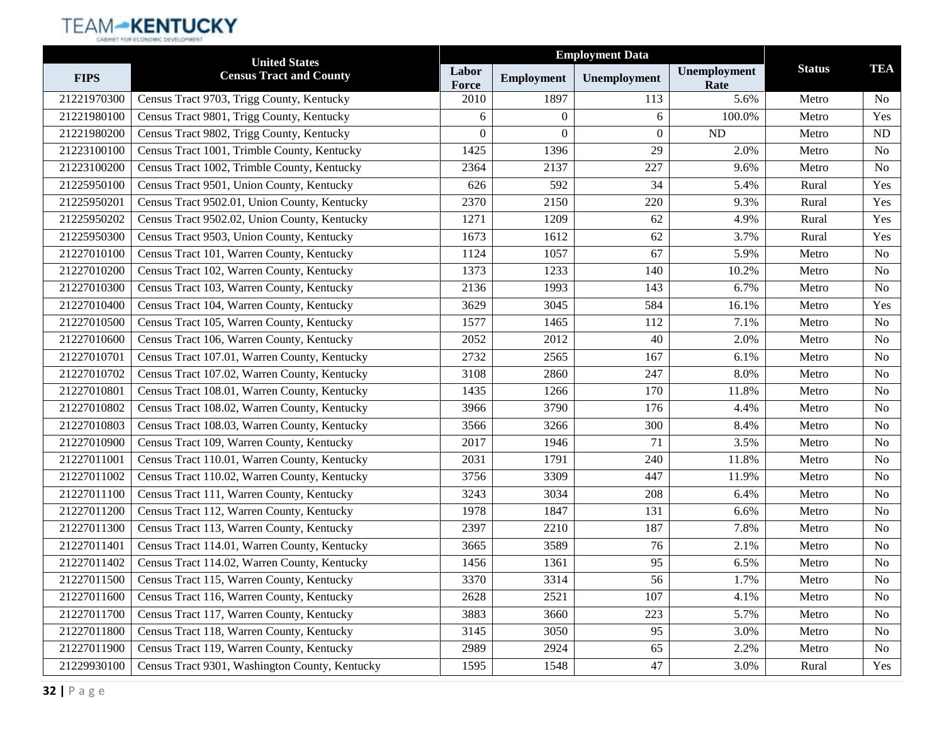|             | <b>United States</b>                           |                |                   | <b>Employment Data</b> |                      |               |                |
|-------------|------------------------------------------------|----------------|-------------------|------------------------|----------------------|---------------|----------------|
| <b>FIPS</b> | <b>Census Tract and County</b>                 | Labor<br>Force | <b>Employment</b> | Unemployment           | Unemployment<br>Rate | <b>Status</b> | <b>TEA</b>     |
| 21221970300 | Census Tract 9703, Trigg County, Kentucky      | 2010           | 1897              | 113                    | 5.6%                 | Metro         | N <sub>0</sub> |
| 21221980100 | Census Tract 9801, Trigg County, Kentucky      | 6              | $\Omega$          | 6                      | 100.0%               | Metro         | Yes            |
| 21221980200 | Census Tract 9802, Trigg County, Kentucky      | $\theta$       | $\theta$          | $\overline{0}$         | ND                   | Metro         | ND             |
| 21223100100 | Census Tract 1001, Trimble County, Kentucky    | 1425           | 1396              | 29                     | 2.0%                 | Metro         | No             |
| 21223100200 | Census Tract 1002, Trimble County, Kentucky    | 2364           | 2137              | 227                    | 9.6%                 | Metro         | N <sub>0</sub> |
| 21225950100 | Census Tract 9501, Union County, Kentucky      | 626            | 592               | 34                     | 5.4%                 | Rural         | Yes            |
| 21225950201 | Census Tract 9502.01, Union County, Kentucky   | 2370           | 2150              | 220                    | 9.3%                 | Rural         | Yes            |
| 21225950202 | Census Tract 9502.02, Union County, Kentucky   | 1271           | 1209              | 62                     | 4.9%                 | Rural         | Yes            |
| 21225950300 | Census Tract 9503, Union County, Kentucky      | 1673           | 1612              | 62                     | 3.7%                 | Rural         | Yes            |
| 21227010100 | Census Tract 101, Warren County, Kentucky      | 1124           | 1057              | 67                     | 5.9%                 | Metro         | N <sub>0</sub> |
| 21227010200 | Census Tract 102, Warren County, Kentucky      | 1373           | 1233              | 140                    | 10.2%                | Metro         | N <sub>0</sub> |
| 21227010300 | Census Tract 103, Warren County, Kentucky      | 2136           | 1993              | 143                    | 6.7%                 | Metro         | N <sub>o</sub> |
| 21227010400 | Census Tract 104, Warren County, Kentucky      | 3629           | 3045              | 584                    | 16.1%                | Metro         | Yes            |
| 21227010500 | Census Tract 105, Warren County, Kentucky      | 1577           | 1465              | 112                    | 7.1%                 | Metro         | N <sub>o</sub> |
| 21227010600 | Census Tract 106, Warren County, Kentucky      | 2052           | 2012              | 40                     | 2.0%                 | Metro         | N <sub>0</sub> |
| 21227010701 | Census Tract 107.01, Warren County, Kentucky   | 2732           | 2565              | 167                    | 6.1%                 | Metro         | N <sub>0</sub> |
| 21227010702 | Census Tract 107.02, Warren County, Kentucky   | 3108           | 2860              | 247                    | 8.0%                 | Metro         | N <sub>o</sub> |
| 21227010801 | Census Tract 108.01, Warren County, Kentucky   | 1435           | 1266              | 170                    | 11.8%                | Metro         | N <sub>0</sub> |
| 21227010802 | Census Tract 108.02, Warren County, Kentucky   | 3966           | 3790              | 176                    | 4.4%                 | Metro         | N <sub>o</sub> |
| 21227010803 | Census Tract 108.03, Warren County, Kentucky   | 3566           | 3266              | 300                    | 8.4%                 | Metro         | N <sub>0</sub> |
| 21227010900 | Census Tract 109, Warren County, Kentucky      | 2017           | 1946              | 71                     | 3.5%                 | Metro         | No             |
| 21227011001 | Census Tract 110.01, Warren County, Kentucky   | 2031           | 1791              | 240                    | 11.8%                | Metro         | N <sub>o</sub> |
| 21227011002 | Census Tract 110.02, Warren County, Kentucky   | 3756           | 3309              | 447                    | 11.9%                | Metro         | N <sub>0</sub> |
| 21227011100 | Census Tract 111, Warren County, Kentucky      | 3243           | 3034              | 208                    | 6.4%                 | Metro         | N <sub>o</sub> |
| 21227011200 | Census Tract 112, Warren County, Kentucky      | 1978           | 1847              | 131                    | 6.6%                 | Metro         | N <sub>0</sub> |
| 21227011300 | Census Tract 113, Warren County, Kentucky      | 2397           | 2210              | 187                    | 7.8%                 | Metro         | No             |
| 21227011401 | Census Tract 114.01, Warren County, Kentucky   | 3665           | 3589              | 76                     | 2.1%                 | Metro         | No             |
| 21227011402 | Census Tract 114.02, Warren County, Kentucky   | 1456           | 1361              | 95                     | 6.5%                 | Metro         | No             |
| 21227011500 | Census Tract 115, Warren County, Kentucky      | 3370           | 3314              | 56                     | 1.7%                 | Metro         | No             |
| 21227011600 | Census Tract 116, Warren County, Kentucky      | 2628           | 2521              | 107                    | 4.1%                 | Metro         | N <sub>0</sub> |
| 21227011700 | Census Tract 117, Warren County, Kentucky      | 3883           | 3660              | 223                    | 5.7%                 | Metro         | No             |
| 21227011800 | Census Tract 118, Warren County, Kentucky      | 3145           | 3050              | 95                     | 3.0%                 | Metro         | N <sub>o</sub> |
| 21227011900 | Census Tract 119, Warren County, Kentucky      | 2989           | 2924              | 65                     | 2.2%                 | Metro         | No             |
| 21229930100 | Census Tract 9301, Washington County, Kentucky | 1595           | 1548              | 47                     | 3.0%                 | Rural         | Yes            |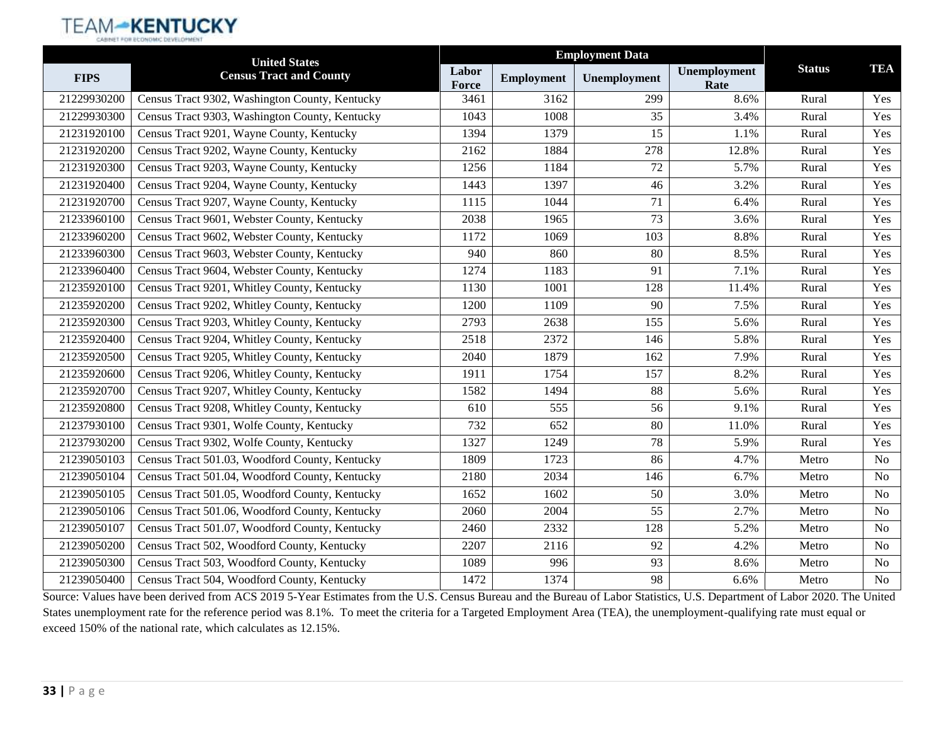## **TEAM-KENTUCKY**

|             | <b>United States</b>                           |                |                   |                  |                      |               |                |
|-------------|------------------------------------------------|----------------|-------------------|------------------|----------------------|---------------|----------------|
| <b>FIPS</b> | <b>Census Tract and County</b>                 | Labor<br>Force | <b>Employment</b> | Unemployment     | Unemployment<br>Rate | <b>Status</b> | TEA            |
| 21229930200 | Census Tract 9302, Washington County, Kentucky | 3461           | 3162              | 299              | 8.6%                 | Rural         | Yes            |
| 21229930300 | Census Tract 9303, Washington County, Kentucky | 1043           | 1008              | 35               | 3.4%                 | Rural         | Yes            |
| 21231920100 | Census Tract 9201, Wayne County, Kentucky      | 1394           | 1379              | 15               | 1.1%                 | Rural         | Yes            |
| 21231920200 | Census Tract 9202, Wayne County, Kentucky      | 2162           | 1884              | 278              | 12.8%                | Rural         | Yes            |
| 21231920300 | Census Tract 9203, Wayne County, Kentucky      | 1256           | 1184              | 72               | 5.7%                 | Rural         | Yes            |
| 21231920400 | Census Tract 9204, Wayne County, Kentucky      | 1443           | 1397              | 46               | 3.2%                 | Rural         | Yes            |
| 21231920700 | Census Tract 9207, Wayne County, Kentucky      | 1115           | 1044              | 71               | 6.4%                 | Rural         | Yes            |
| 21233960100 | Census Tract 9601, Webster County, Kentucky    | 2038           | 1965              | 73               | 3.6%                 | Rural         | Yes            |
| 21233960200 | Census Tract 9602, Webster County, Kentucky    | 1172           | 1069              | 103              | 8.8%                 | Rural         | Yes            |
| 21233960300 | Census Tract 9603, Webster County, Kentucky    | 940            | 860               | 80               | 8.5%                 | Rural         | Yes            |
| 21233960400 | Census Tract 9604, Webster County, Kentucky    | 1274           | 1183              | 91               | 7.1%                 | Rural         | Yes            |
| 21235920100 | Census Tract 9201, Whitley County, Kentucky    | 1130           | 1001              | 128              | 11.4%                | Rural         | Yes            |
| 21235920200 | Census Tract 9202, Whitley County, Kentucky    | 1200           | 1109              | 90               | 7.5%                 | Rural         | Yes            |
| 21235920300 | Census Tract 9203, Whitley County, Kentucky    | 2793           | 2638              | $\overline{155}$ | 5.6%                 | Rural         | Yes            |
| 21235920400 | Census Tract 9204, Whitley County, Kentucky    | 2518           | 2372              | 146              | 5.8%                 | Rural         | Yes            |
| 21235920500 | Census Tract 9205, Whitley County, Kentucky    | 2040           | 1879              | 162              | 7.9%                 | Rural         | Yes            |
| 21235920600 | Census Tract 9206, Whitley County, Kentucky    | 1911           | 1754              | 157              | 8.2%                 | Rural         | Yes            |
| 21235920700 | Census Tract 9207, Whitley County, Kentucky    | 1582           | 1494              | 88               | 5.6%                 | Rural         | Yes            |
| 21235920800 | Census Tract 9208, Whitley County, Kentucky    | 610            | 555               | 56               | 9.1%                 | Rural         | Yes            |
| 21237930100 | Census Tract 9301, Wolfe County, Kentucky      | 732            | 652               | 80               | 11.0%                | Rural         | Yes            |
| 21237930200 | Census Tract 9302, Wolfe County, Kentucky      | 1327           | 1249              | 78               | 5.9%                 | Rural         | Yes            |
| 21239050103 | Census Tract 501.03, Woodford County, Kentucky | 1809           | 1723              | 86               | 4.7%                 | Metro         | <b>No</b>      |
| 21239050104 | Census Tract 501.04, Woodford County, Kentucky | 2180           | 2034              | 146              | 6.7%                 | Metro         | No             |
| 21239050105 | Census Tract 501.05, Woodford County, Kentucky | 1652           | 1602              | 50               | 3.0%                 | Metro         | N <sub>o</sub> |
| 21239050106 | Census Tract 501.06, Woodford County, Kentucky | 2060           | 2004              | 55               | 2.7%                 | Metro         | <b>No</b>      |
| 21239050107 | Census Tract 501.07, Woodford County, Kentucky | 2460           | 2332              | 128              | 5.2%                 | Metro         | <b>No</b>      |
| 21239050200 | Census Tract 502, Woodford County, Kentucky    | 2207           | 2116              | 92               | 4.2%                 | Metro         | N <sub>o</sub> |
| 21239050300 | Census Tract 503, Woodford County, Kentucky    | 1089           | 996               | 93               | 8.6%                 | Metro         | No             |
| 21239050400 | Census Tract 504, Woodford County, Kentucky    | 1472           | 1374              | 98               | 6.6%                 | Metro         | No             |

Source: Values have been derived from ACS 2019 5-Year Estimates from the U.S. Census Bureau and the Bureau of Labor Statistics, U.S. Department of Labor 2020. The United States unemployment rate for the reference period was 8.1%. To meet the criteria for a Targeted Employment Area (TEA), the unemployment-qualifying rate must equal or exceed 150% of the national rate, which calculates as 12.15%.